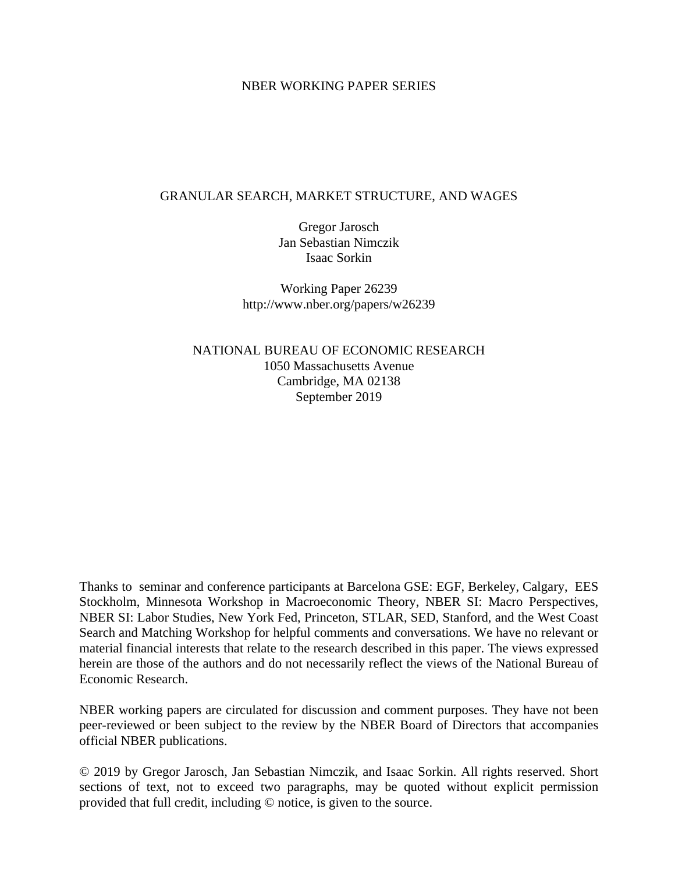## NBER WORKING PAPER SERIES

## GRANULAR SEARCH, MARKET STRUCTURE, AND WAGES

Gregor Jarosch Jan Sebastian Nimczik Isaac Sorkin

Working Paper 26239 http://www.nber.org/papers/w26239

NATIONAL BUREAU OF ECONOMIC RESEARCH 1050 Massachusetts Avenue Cambridge, MA 02138 September 2019

Thanks to seminar and conference participants at Barcelona GSE: EGF, Berkeley, Calgary, EES Stockholm, Minnesota Workshop in Macroeconomic Theory, NBER SI: Macro Perspectives, NBER SI: Labor Studies, New York Fed, Princeton, STLAR, SED, Stanford, and the West Coast Search and Matching Workshop for helpful comments and conversations. We have no relevant or material financial interests that relate to the research described in this paper. The views expressed herein are those of the authors and do not necessarily reflect the views of the National Bureau of Economic Research.

NBER working papers are circulated for discussion and comment purposes. They have not been peer-reviewed or been subject to the review by the NBER Board of Directors that accompanies official NBER publications.

© 2019 by Gregor Jarosch, Jan Sebastian Nimczik, and Isaac Sorkin. All rights reserved. Short sections of text, not to exceed two paragraphs, may be quoted without explicit permission provided that full credit, including © notice, is given to the source.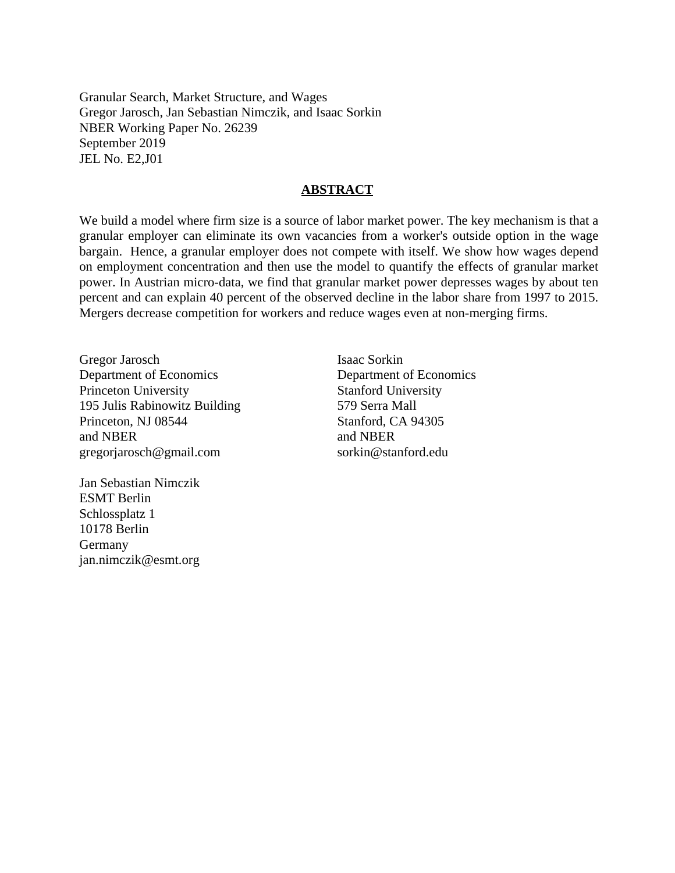Granular Search, Market Structure, and Wages Gregor Jarosch, Jan Sebastian Nimczik, and Isaac Sorkin NBER Working Paper No. 26239 September 2019 JEL No. E2,J01

### **ABSTRACT**

We build a model where firm size is a source of labor market power. The key mechanism is that a granular employer can eliminate its own vacancies from a worker's outside option in the wage bargain. Hence, a granular employer does not compete with itself. We show how wages depend on employment concentration and then use the model to quantify the effects of granular market power. In Austrian micro-data, we find that granular market power depresses wages by about ten percent and can explain 40 percent of the observed decline in the labor share from 1997 to 2015. Mergers decrease competition for workers and reduce wages even at non-merging firms.

Gregor Jarosch Department of Economics Princeton University 195 Julis Rabinowitz Building Princeton, NJ 08544 and NBER gregorjarosch@gmail.com

Jan Sebastian Nimczik ESMT Berlin Schlossplatz 1 10178 Berlin Germany jan.nimczik@esmt.org Isaac Sorkin Department of Economics Stanford University 579 Serra Mall Stanford, CA 94305 and NBER sorkin@stanford.edu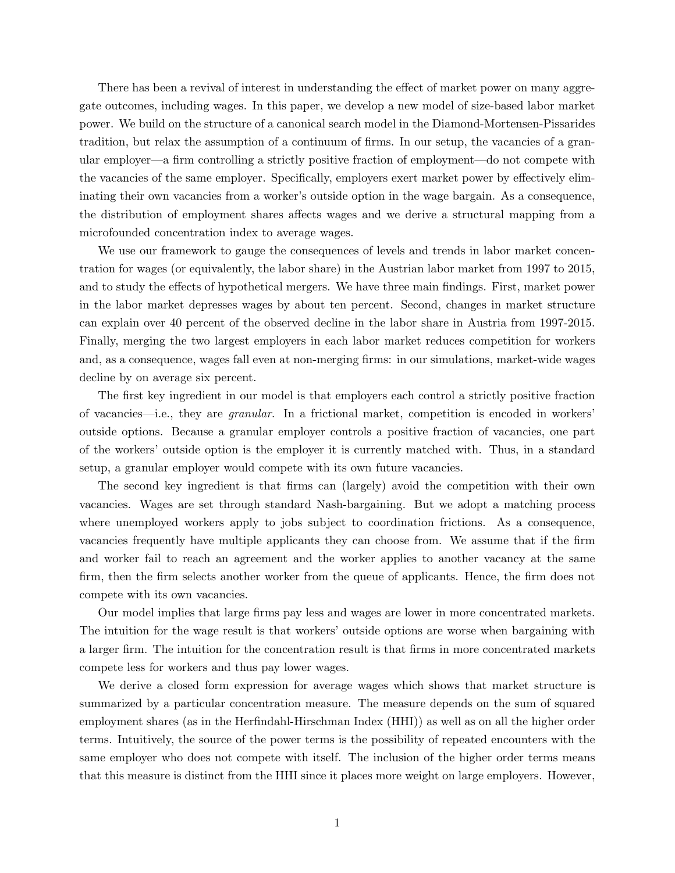There has been a revival of interest in understanding the effect of market power on many aggregate outcomes, including wages. In this paper, we develop a new model of size-based labor market power. We build on the structure of a canonical search model in the Diamond-Mortensen-Pissarides tradition, but relax the assumption of a continuum of firms. In our setup, the vacancies of a granular employer—a firm controlling a strictly positive fraction of employment—do not compete with the vacancies of the same employer. Specifically, employers exert market power by effectively eliminating their own vacancies from a worker's outside option in the wage bargain. As a consequence, the distribution of employment shares affects wages and we derive a structural mapping from a microfounded concentration index to average wages.

We use our framework to gauge the consequences of levels and trends in labor market concentration for wages (or equivalently, the labor share) in the Austrian labor market from 1997 to 2015, and to study the effects of hypothetical mergers. We have three main findings. First, market power in the labor market depresses wages by about ten percent. Second, changes in market structure can explain over 40 percent of the observed decline in the labor share in Austria from 1997-2015. Finally, merging the two largest employers in each labor market reduces competition for workers and, as a consequence, wages fall even at non-merging firms: in our simulations, market-wide wages decline by on average six percent.

The first key ingredient in our model is that employers each control a strictly positive fraction of vacancies—i.e., they are granular. In a frictional market, competition is encoded in workers' outside options. Because a granular employer controls a positive fraction of vacancies, one part of the workers' outside option is the employer it is currently matched with. Thus, in a standard setup, a granular employer would compete with its own future vacancies.

The second key ingredient is that firms can (largely) avoid the competition with their own vacancies. Wages are set through standard Nash-bargaining. But we adopt a matching process where unemployed workers apply to jobs subject to coordination frictions. As a consequence, vacancies frequently have multiple applicants they can choose from. We assume that if the firm and worker fail to reach an agreement and the worker applies to another vacancy at the same firm, then the firm selects another worker from the queue of applicants. Hence, the firm does not compete with its own vacancies.

Our model implies that large firms pay less and wages are lower in more concentrated markets. The intuition for the wage result is that workers' outside options are worse when bargaining with a larger firm. The intuition for the concentration result is that firms in more concentrated markets compete less for workers and thus pay lower wages.

We derive a closed form expression for average wages which shows that market structure is summarized by a particular concentration measure. The measure depends on the sum of squared employment shares (as in the Herfindahl-Hirschman Index (HHI)) as well as on all the higher order terms. Intuitively, the source of the power terms is the possibility of repeated encounters with the same employer who does not compete with itself. The inclusion of the higher order terms means that this measure is distinct from the HHI since it places more weight on large employers. However,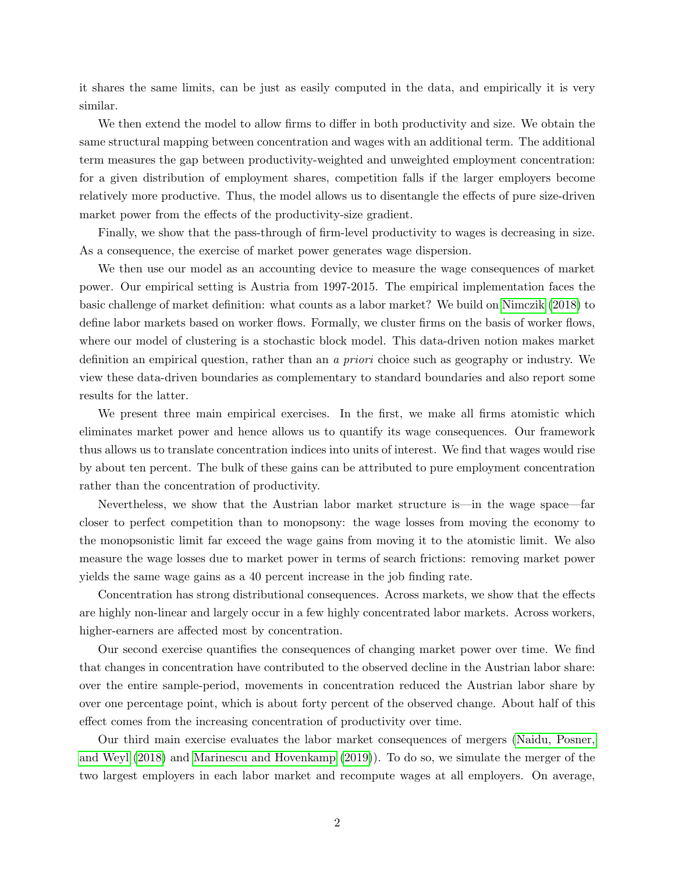it shares the same limits, can be just as easily computed in the data, and empirically it is very similar.

We then extend the model to allow firms to differ in both productivity and size. We obtain the same structural mapping between concentration and wages with an additional term. The additional term measures the gap between productivity-weighted and unweighted employment concentration: for a given distribution of employment shares, competition falls if the larger employers become relatively more productive. Thus, the model allows us to disentangle the effects of pure size-driven market power from the effects of the productivity-size gradient.

Finally, we show that the pass-through of firm-level productivity to wages is decreasing in size. As a consequence, the exercise of market power generates wage dispersion.

We then use our model as an accounting device to measure the wage consequences of market power. Our empirical setting is Austria from 1997-2015. The empirical implementation faces the basic challenge of market definition: what counts as a labor market? We build on [Nimczik](#page-31-0) [\(2018\)](#page-31-0) to define labor markets based on worker flows. Formally, we cluster firms on the basis of worker flows, where our model of clustering is a stochastic block model. This data-driven notion makes market definition an empirical question, rather than an a priori choice such as geography or industry. We view these data-driven boundaries as complementary to standard boundaries and also report some results for the latter.

We present three main empirical exercises. In the first, we make all firms atomistic which eliminates market power and hence allows us to quantify its wage consequences. Our framework thus allows us to translate concentration indices into units of interest. We find that wages would rise by about ten percent. The bulk of these gains can be attributed to pure employment concentration rather than the concentration of productivity.

Nevertheless, we show that the Austrian labor market structure is—in the wage space—far closer to perfect competition than to monopsony: the wage losses from moving the economy to the monopsonistic limit far exceed the wage gains from moving it to the atomistic limit. We also measure the wage losses due to market power in terms of search frictions: removing market power yields the same wage gains as a 40 percent increase in the job finding rate.

Concentration has strong distributional consequences. Across markets, we show that the effects are highly non-linear and largely occur in a few highly concentrated labor markets. Across workers, higher-earners are affected most by concentration.

Our second exercise quantifies the consequences of changing market power over time. We find that changes in concentration have contributed to the observed decline in the Austrian labor share: over the entire sample-period, movements in concentration reduced the Austrian labor share by over one percentage point, which is about forty percent of the observed change. About half of this effect comes from the increasing concentration of productivity over time.

Our third main exercise evaluates the labor market consequences of mergers [\(Naidu, Posner,](#page-31-1) [and Weyl](#page-31-1) [\(2018\)](#page-31-1) and [Marinescu and Hovenkamp](#page-31-2) [\(2019\)](#page-31-2)). To do so, we simulate the merger of the two largest employers in each labor market and recompute wages at all employers. On average,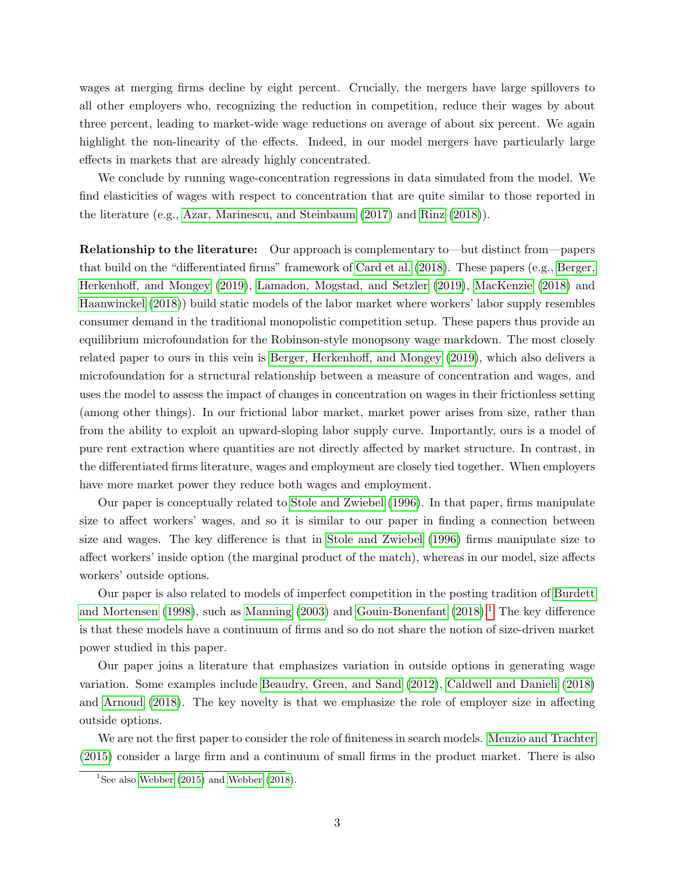wages at merging firms decline by eight percent. Crucially, the mergers have large spillovers to all other employers who, recognizing the reduction in competition, reduce their wages by about three percent, leading to market-wide wage reductions on average of about six percent. We again highlight the non-linearity of the effects. Indeed, in our model mergers have particularly large effects in markets that are already highly concentrated.

We conclude by running wage-concentration regressions in data simulated from the model. We find elasticities of wages with respect to concentration that are quite similar to those reported in the literature (e.g., [Azar, Marinescu, and Steinbaum](#page-30-0) [\(2017\)](#page-30-0) and [Rinz](#page-32-0) [\(2018\)](#page-32-0)).

Relationship to the literature: Our approach is complementary to—but distinct from—papers that build on the "differentiated firms" framework of [Card et al.](#page-30-1) [\(2018\)](#page-30-1). These papers (e.g., [Berger,](#page-30-2) [Herkenhoff, and Mongey](#page-30-2) [\(2019\)](#page-30-2), [Lamadon, Mogstad, and Setzler](#page-31-3) [\(2019\)](#page-31-3), [MacKenzie](#page-31-4) [\(2018\)](#page-31-4) and [Haanwinckel](#page-31-5) [\(2018\)](#page-31-5)) build static models of the labor market where workers' labor supply resembles consumer demand in the traditional monopolistic competition setup. These papers thus provide an equilibrium microfoundation for the Robinson-style monopsony wage markdown. The most closely related paper to ours in this vein is [Berger, Herkenhoff, and Mongey](#page-30-2) [\(2019\)](#page-30-2), which also delivers a microfoundation for a structural relationship between a measure of concentration and wages, and uses the model to assess the impact of changes in concentration on wages in their frictionless setting (among other things). In our frictional labor market, market power arises from size, rather than from the ability to exploit an upward-sloping labor supply curve. Importantly, ours is a model of pure rent extraction where quantities are not directly affected by market structure. In contrast, in the differentiated firms literature, wages and employment are closely tied together. When employers have more market power they reduce both wages and employment.

Our paper is conceptually related to [Stole and Zwiebel](#page-32-1) [\(1996\)](#page-32-1). In that paper, firms manipulate size to affect workers' wages, and so it is similar to our paper in finding a connection between size and wages. The key difference is that in [Stole and Zwiebel](#page-32-1) [\(1996\)](#page-32-1) firms manipulate size to affect workers' inside option (the marginal product of the match), whereas in our model, size affects workers' outside options.

Our paper is also related to models of imperfect competition in the posting tradition of [Burdett](#page-30-3) [and Mortensen](#page-30-3) [\(1998\)](#page-30-3), such as [Manning](#page-31-6) [\(2003\)](#page-31-6) and [Gouin-Bonenfant](#page-31-7) [\(2018\)](#page-31-7).<sup>[1](#page-4-0)</sup> The key difference is that these models have a continuum of firms and so do not share the notion of size-driven market power studied in this paper.

Our paper joins a literature that emphasizes variation in outside options in generating wage variation. Some examples include [Beaudry, Green, and Sand](#page-30-4) [\(2012\)](#page-30-4), [Caldwell and Danieli](#page-30-5) [\(2018\)](#page-30-5) and [Arnoud](#page-30-6) [\(2018\)](#page-30-6). The key novelty is that we emphasize the role of employer size in affecting outside options.

We are not the first paper to consider the role of finiteness in search models. [Menzio and Trachter](#page-31-8) [\(2015\)](#page-31-8) consider a large firm and a continuum of small firms in the product market. There is also

<span id="page-4-0"></span><sup>&</sup>lt;sup>1</sup>See also [Webber](#page-32-3) [\(2015\)](#page-32-2) and Webber [\(2018\)](#page-32-3).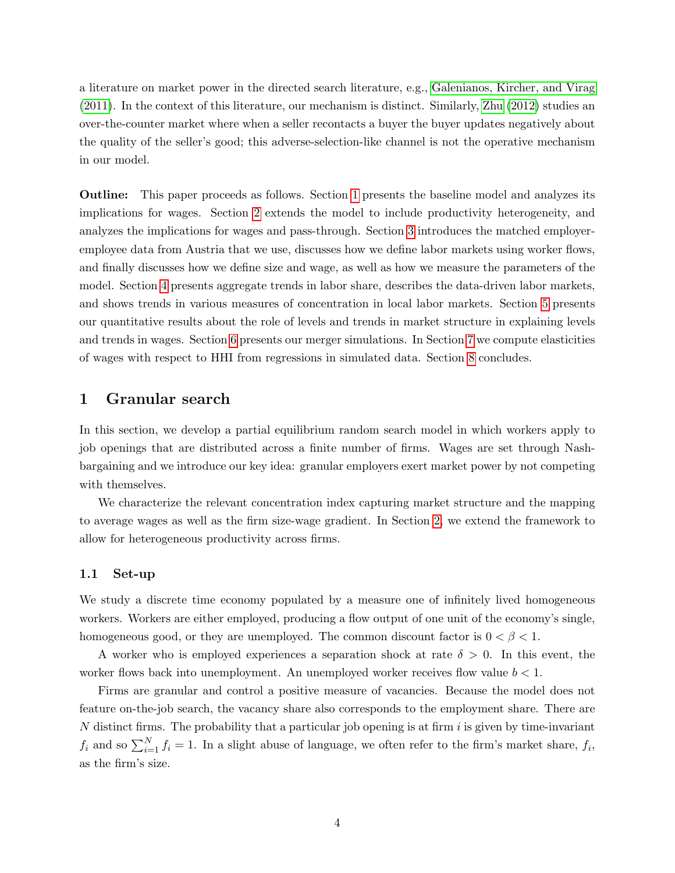a literature on market power in the directed search literature, e.g., [Galenianos, Kircher, and Virag](#page-30-7) [\(2011\)](#page-30-7). In the context of this literature, our mechanism is distinct. Similarly, [Zhu](#page-32-4) [\(2012\)](#page-32-4) studies an over-the-counter market where when a seller recontacts a buyer the buyer updates negatively about the quality of the seller's good; this adverse-selection-like channel is not the operative mechanism in our model.

Outline: This paper proceeds as follows. Section [1](#page-5-0) presents the baseline model and analyzes its implications for wages. Section [2](#page-12-0) extends the model to include productivity heterogeneity, and analyzes the implications for wages and pass-through. Section [3](#page-16-0) introduces the matched employeremployee data from Austria that we use, discusses how we define labor markets using worker flows, and finally discusses how we define size and wage, as well as how we measure the parameters of the model. Section [4](#page-20-0) presents aggregate trends in labor share, describes the data-driven labor markets, and shows trends in various measures of concentration in local labor markets. Section [5](#page-22-0) presents our quantitative results about the role of levels and trends in market structure in explaining levels and trends in wages. Section [6](#page-27-0) presents our merger simulations. In Section [7](#page-28-0) we compute elasticities of wages with respect to HHI from regressions in simulated data. Section [8](#page-29-0) concludes.

## <span id="page-5-0"></span>1 Granular search

In this section, we develop a partial equilibrium random search model in which workers apply to job openings that are distributed across a finite number of firms. Wages are set through Nashbargaining and we introduce our key idea: granular employers exert market power by not competing with themselves.

We characterize the relevant concentration index capturing market structure and the mapping to average wages as well as the firm size-wage gradient. In Section [2,](#page-12-0) we extend the framework to allow for heterogeneous productivity across firms.

#### 1.1 Set-up

We study a discrete time economy populated by a measure one of infinitely lived homogeneous workers. Workers are either employed, producing a flow output of one unit of the economy's single, homogeneous good, or they are unemployed. The common discount factor is  $0 < \beta < 1$ .

A worker who is employed experiences a separation shock at rate  $\delta > 0$ . In this event, the worker flows back into unemployment. An unemployed worker receives flow value  $b < 1$ .

Firms are granular and control a positive measure of vacancies. Because the model does not feature on-the-job search, the vacancy share also corresponds to the employment share. There are N distinct firms. The probability that a particular job opening is at firm  $i$  is given by time-invariant  $f_i$  and so  $\sum_{i=1}^{N} f_i = 1$ . In a slight abuse of language, we often refer to the firm's market share,  $f_i$ , as the firm's size.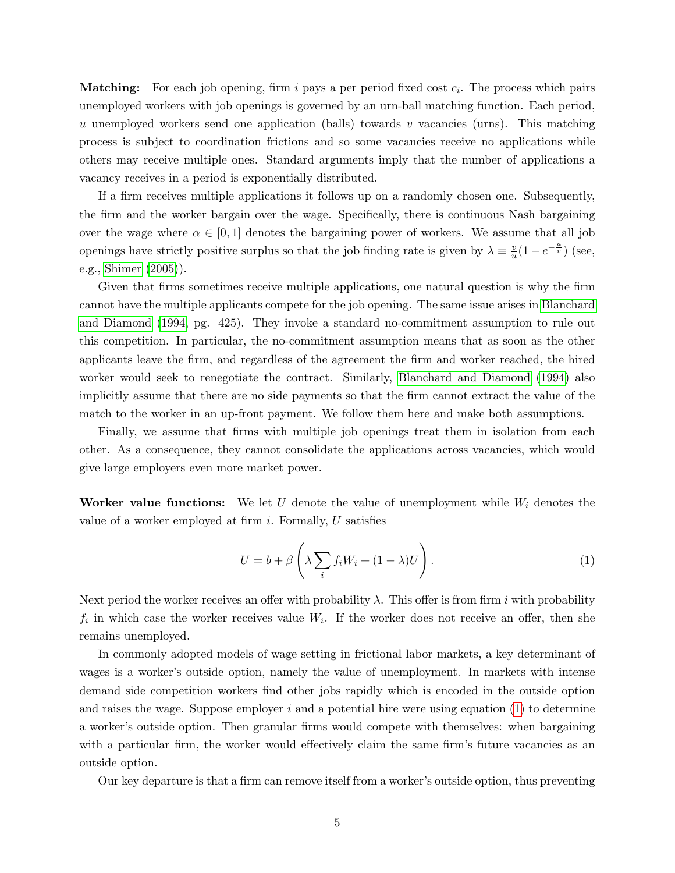**Matching:** For each job opening, firm i pays a per period fixed cost  $c_i$ . The process which pairs unemployed workers with job openings is governed by an urn-ball matching function. Each period, u unemployed workers send one application (balls) towards v vacancies (urns). This matching process is subject to coordination frictions and so some vacancies receive no applications while others may receive multiple ones. Standard arguments imply that the number of applications a vacancy receives in a period is exponentially distributed.

If a firm receives multiple applications it follows up on a randomly chosen one. Subsequently, the firm and the worker bargain over the wage. Specifically, there is continuous Nash bargaining over the wage where  $\alpha \in [0,1]$  denotes the bargaining power of workers. We assume that all job openings have strictly positive surplus so that the job finding rate is given by  $\lambda \equiv \frac{v}{u}$  $\frac{v}{u}(1-e^{-\frac{u}{v}})$  (see, e.g., [Shimer](#page-32-5) [\(2005\)](#page-32-5)).

Given that firms sometimes receive multiple applications, one natural question is why the firm cannot have the multiple applicants compete for the job opening. The same issue arises in [Blanchard](#page-30-8) [and Diamond](#page-30-8) [\(1994,](#page-30-8) pg. 425). They invoke a standard no-commitment assumption to rule out this competition. In particular, the no-commitment assumption means that as soon as the other applicants leave the firm, and regardless of the agreement the firm and worker reached, the hired worker would seek to renegotiate the contract. Similarly, [Blanchard and Diamond](#page-30-8) [\(1994\)](#page-30-8) also implicitly assume that there are no side payments so that the firm cannot extract the value of the match to the worker in an up-front payment. We follow them here and make both assumptions.

Finally, we assume that firms with multiple job openings treat them in isolation from each other. As a consequence, they cannot consolidate the applications across vacancies, which would give large employers even more market power.

Worker value functions: We let U denote the value of unemployment while  $W_i$  denotes the value of a worker employed at firm  $i$ . Formally,  $U$  satisfies

<span id="page-6-0"></span>
$$
U = b + \beta \left( \lambda \sum_{i} f_i W_i + (1 - \lambda) U \right).
$$
 (1)

Next period the worker receives an offer with probability  $\lambda$ . This offer is from firm i with probability  $f_i$  in which case the worker receives value  $W_i$ . If the worker does not receive an offer, then she remains unemployed.

In commonly adopted models of wage setting in frictional labor markets, a key determinant of wages is a worker's outside option, namely the value of unemployment. In markets with intense demand side competition workers find other jobs rapidly which is encoded in the outside option and raises the wage. Suppose employer  $i$  and a potential hire were using equation  $(1)$  to determine a worker's outside option. Then granular firms would compete with themselves: when bargaining with a particular firm, the worker would effectively claim the same firm's future vacancies as an outside option.

Our key departure is that a firm can remove itself from a worker's outside option, thus preventing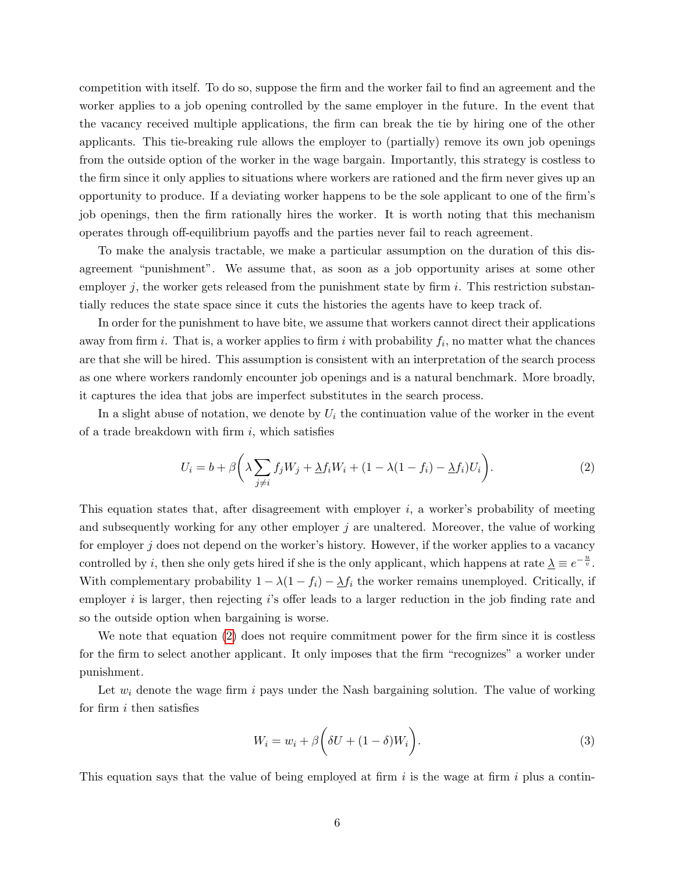competition with itself. To do so, suppose the firm and the worker fail to find an agreement and the worker applies to a job opening controlled by the same employer in the future. In the event that the vacancy received multiple applications, the firm can break the tie by hiring one of the other applicants. This tie-breaking rule allows the employer to (partially) remove its own job openings from the outside option of the worker in the wage bargain. Importantly, this strategy is costless to the firm since it only applies to situations where workers are rationed and the firm never gives up an opportunity to produce. If a deviating worker happens to be the sole applicant to one of the firm's job openings, then the firm rationally hires the worker. It is worth noting that this mechanism operates through off-equilibrium payoffs and the parties never fail to reach agreement.

To make the analysis tractable, we make a particular assumption on the duration of this disagreement "punishment". We assume that, as soon as a job opportunity arises at some other employer j, the worker gets released from the punishment state by firm i. This restriction substantially reduces the state space since it cuts the histories the agents have to keep track of.

In order for the punishment to have bite, we assume that workers cannot direct their applications away from firm *i*. That is, a worker applies to firm *i* with probability  $f_i$ , no matter what the chances are that she will be hired. This assumption is consistent with an interpretation of the search process as one where workers randomly encounter job openings and is a natural benchmark. More broadly, it captures the idea that jobs are imperfect substitutes in the search process.

In a slight abuse of notation, we denote by  $U_i$  the continuation value of the worker in the event of a trade breakdown with firm  $i$ , which satisfies

<span id="page-7-0"></span>
$$
U_i = b + \beta \left( \lambda \sum_{j \neq i} f_j W_j + \Delta f_i W_i + (1 - \lambda (1 - f_i) - \Delta f_i) U_i \right). \tag{2}
$$

This equation states that, after disagreement with employer  $i$ , a worker's probability of meeting and subsequently working for any other employer  $j$  are unaltered. Moreover, the value of working for employer  $j$  does not depend on the worker's history. However, if the worker applies to a vacancy controlled by *i*, then she only gets hired if she is the only applicant, which happens at rate  $\lambda \equiv e^{-\frac{u}{v}}$ . With complementary probability  $1 - \lambda(1 - f_i) - \lambda f_i$  the worker remains unemployed. Critically, if employer *i* is larger, then rejecting *i*'s offer leads to a larger reduction in the job finding rate and so the outside option when bargaining is worse.

We note that equation [\(2\)](#page-7-0) does not require commitment power for the firm since it is costless for the firm to select another applicant. It only imposes that the firm "recognizes" a worker under punishment.

Let  $w_i$  denote the wage firm i pays under the Nash bargaining solution. The value of working for firm  $i$  then satisfies

<span id="page-7-1"></span>
$$
W_i = w_i + \beta \bigg(\delta U + (1 - \delta)W_i\bigg). \tag{3}
$$

This equation says that the value of being employed at firm i is the wage at firm i plus a contin-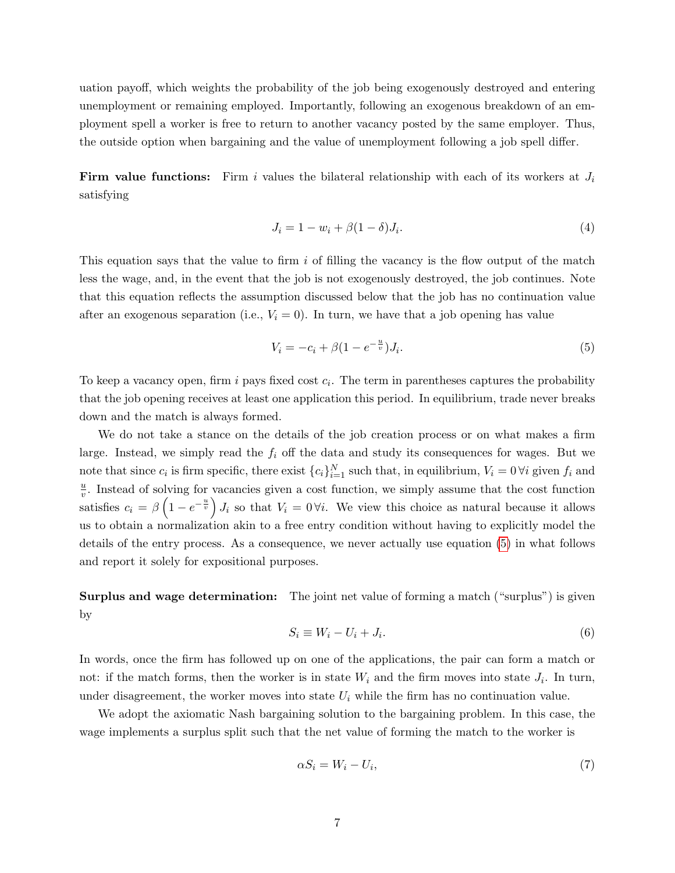uation payoff, which weights the probability of the job being exogenously destroyed and entering unemployment or remaining employed. Importantly, following an exogenous breakdown of an employment spell a worker is free to return to another vacancy posted by the same employer. Thus, the outside option when bargaining and the value of unemployment following a job spell differ.

**Firm value functions:** Firm i values the bilateral relationship with each of its workers at  $J_i$ satisfying

<span id="page-8-2"></span>
$$
J_i = 1 - w_i + \beta(1 - \delta)J_i.
$$
\n<sup>(4)</sup>

This equation says that the value to firm  $i$  of filling the vacancy is the flow output of the match less the wage, and, in the event that the job is not exogenously destroyed, the job continues. Note that this equation reflects the assumption discussed below that the job has no continuation value after an exogenous separation (i.e.,  $V_i = 0$ ). In turn, we have that a job opening has value

<span id="page-8-0"></span>
$$
V_i = -c_i + \beta (1 - e^{-\frac{u}{v}}) J_i.
$$
\n(5)

To keep a vacancy open, firm i pays fixed cost  $c_i$ . The term in parentheses captures the probability that the job opening receives at least one application this period. In equilibrium, trade never breaks down and the match is always formed.

We do not take a stance on the details of the job creation process or on what makes a firm large. Instead, we simply read the  $f_i$  off the data and study its consequences for wages. But we note that since  $c_i$  is firm specific, there exist  $\{c_i\}_{i=1}^N$  such that, in equilibrium,  $V_i = 0 \forall i$  given  $f_i$  and  $\overline{u}$  $\frac{u}{v}$ . Instead of solving for vacancies given a cost function, we simply assume that the cost function satisfies  $c_i = \beta \left(1 - e^{-\frac{u}{v}}\right) J_i$  so that  $V_i = 0 \forall i$ . We view this choice as natural because it allows us to obtain a normalization akin to a free entry condition without having to explicitly model the details of the entry process. As a consequence, we never actually use equation [\(5\)](#page-8-0) in what follows and report it solely for expositional purposes.

Surplus and wage determination: The joint net value of forming a match ("surplus") is given by

$$
S_i \equiv W_i - U_i + J_i. \tag{6}
$$

In words, once the firm has followed up on one of the applications, the pair can form a match or not: if the match forms, then the worker is in state  $W_i$  and the firm moves into state  $J_i$ . In turn, under disagreement, the worker moves into state  $U_i$  while the firm has no continuation value.

We adopt the axiomatic Nash bargaining solution to the bargaining problem. In this case, the wage implements a surplus split such that the net value of forming the match to the worker is

<span id="page-8-1"></span>
$$
\alpha S_i = W_i - U_i,\tag{7}
$$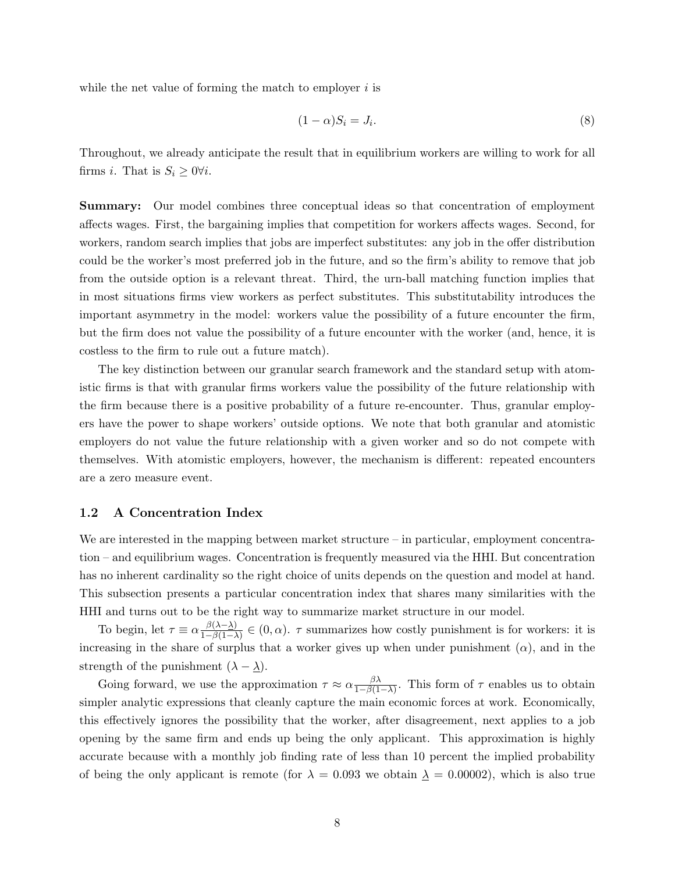while the net value of forming the match to employer  $i$  is

<span id="page-9-0"></span>
$$
(1 - \alpha)S_i = J_i. \tag{8}
$$

Throughout, we already anticipate the result that in equilibrium workers are willing to work for all firms *i*. That is  $S_i \geq 0 \forall i$ .

Summary: Our model combines three conceptual ideas so that concentration of employment affects wages. First, the bargaining implies that competition for workers affects wages. Second, for workers, random search implies that jobs are imperfect substitutes: any job in the offer distribution could be the worker's most preferred job in the future, and so the firm's ability to remove that job from the outside option is a relevant threat. Third, the urn-ball matching function implies that in most situations firms view workers as perfect substitutes. This substitutability introduces the important asymmetry in the model: workers value the possibility of a future encounter the firm, but the firm does not value the possibility of a future encounter with the worker (and, hence, it is costless to the firm to rule out a future match).

The key distinction between our granular search framework and the standard setup with atomistic firms is that with granular firms workers value the possibility of the future relationship with the firm because there is a positive probability of a future re-encounter. Thus, granular employers have the power to shape workers' outside options. We note that both granular and atomistic employers do not value the future relationship with a given worker and so do not compete with themselves. With atomistic employers, however, the mechanism is different: repeated encounters are a zero measure event.

#### 1.2 A Concentration Index

We are interested in the mapping between market structure – in particular, employment concentration – and equilibrium wages. Concentration is frequently measured via the HHI. But concentration has no inherent cardinality so the right choice of units depends on the question and model at hand. This subsection presents a particular concentration index that shares many similarities with the HHI and turns out to be the right way to summarize market structure in our model.

To begin, let  $\tau \equiv \alpha \frac{\beta(\lambda - \lambda)}{1 - \beta(1 - \lambda)}$  $\frac{\beta(\lambda-\Delta)}{1-\beta(1-\lambda)} \in (0,\alpha)$ .  $\tau$  summarizes how costly punishment is for workers: it is increasing in the share of surplus that a worker gives up when under punishment  $(\alpha)$ , and in the strength of the punishment  $(\lambda - \underline{\lambda})$ .

Going forward, we use the approximation  $\tau \approx \alpha \frac{\beta \lambda}{1 - \beta(1)}$  $\frac{\beta \lambda}{1-\beta(1-\lambda)}$ . This form of  $\tau$  enables us to obtain simpler analytic expressions that cleanly capture the main economic forces at work. Economically, this effectively ignores the possibility that the worker, after disagreement, next applies to a job opening by the same firm and ends up being the only applicant. This approximation is highly accurate because with a monthly job finding rate of less than 10 percent the implied probability of being the only applicant is remote (for  $\lambda = 0.093$  we obtain  $\lambda = 0.00002$ ), which is also true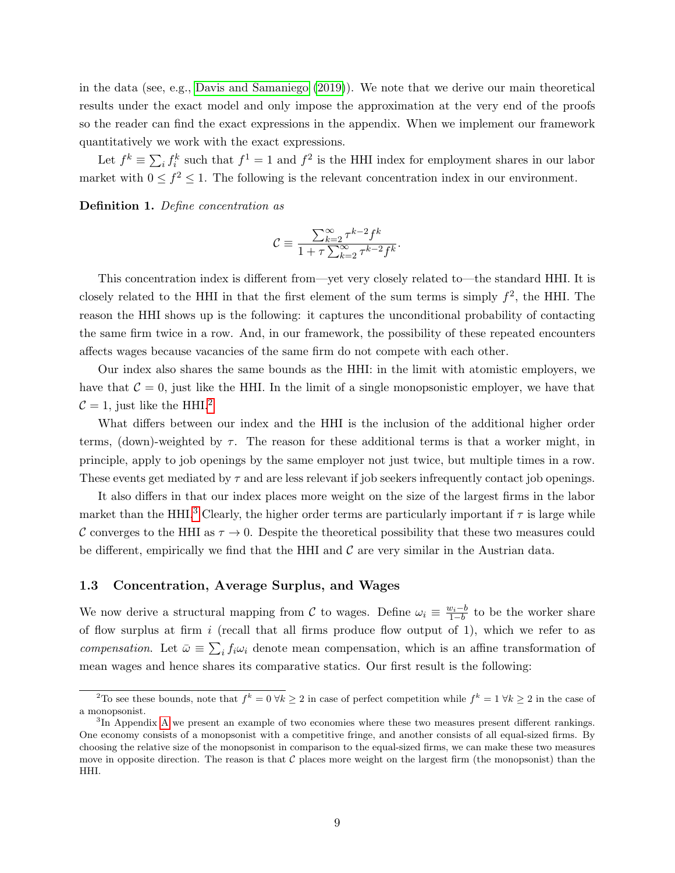in the data (see, e.g., [Davis and Samaniego](#page-30-9) [\(2019\)](#page-30-9)). We note that we derive our main theoretical results under the exact model and only impose the approximation at the very end of the proofs so the reader can find the exact expressions in the appendix. When we implement our framework quantitatively we work with the exact expressions.

Let  $f^k \equiv \sum_i f_i^k$  such that  $f^1 = 1$  and  $f^2$  is the HHI index for employment shares in our labor market with  $0 \leq f^2 \leq 1$ . The following is the relevant concentration index in our environment.

Definition 1. Define concentration as

$$
\mathcal{C} \equiv \frac{\sum_{k=2}^\infty \tau^{k-2} f^k}{1 + \tau \sum_{k=2}^\infty \tau^{k-2} f^k}.
$$

This concentration index is different from—yet very closely related to—the standard HHI. It is closely related to the HHI in that the first element of the sum terms is simply  $f^2$ , the HHI. The reason the HHI shows up is the following: it captures the unconditional probability of contacting the same firm twice in a row. And, in our framework, the possibility of these repeated encounters affects wages because vacancies of the same firm do not compete with each other.

Our index also shares the same bounds as the HHI: in the limit with atomistic employers, we have that  $C = 0$ , just like the HHI. In the limit of a single monopsonistic employer, we have that  $C = 1$ , just like the HHI.<sup>[2](#page-10-0)</sup>

What differs between our index and the HHI is the inclusion of the additional higher order terms, (down)-weighted by  $\tau$ . The reason for these additional terms is that a worker might, in principle, apply to job openings by the same employer not just twice, but multiple times in a row. These events get mediated by  $\tau$  and are less relevant if job seekers infrequently contact job openings.

It also differs in that our index places more weight on the size of the largest firms in the labor market than the HHI.<sup>[3](#page-10-1)</sup> Clearly, the higher order terms are particularly important if  $\tau$  is large while C converges to the HHI as  $\tau \to 0$ . Despite the theoretical possibility that these two measures could be different, empirically we find that the HHI and  $\mathcal C$  are very similar in the Austrian data.

#### 1.3 Concentration, Average Surplus, and Wages

We now derive a structural mapping from C to wages. Define  $\omega_i \equiv \frac{w_i-b}{1-b}$  to be the worker share of flow surplus at firm  $i$  (recall that all firms produce flow output of 1), which we refer to as compensation. Let  $\bar{\omega} \equiv \sum_i f_i \omega_i$  denote mean compensation, which is an affine transformation of mean wages and hence shares its comparative statics. Our first result is the following:

<span id="page-10-0"></span><sup>&</sup>lt;sup>2</sup>To see these bounds, note that  $f^k = 0 \forall k \geq 2$  in case of perfect competition while  $f^k = 1 \forall k \geq 2$  in the case of a monopsonist.

<span id="page-10-1"></span><sup>&</sup>lt;sup>3</sup>In [A](#page-47-0)ppendix A we present an example of two economies where these two measures present different rankings. One economy consists of a monopsonist with a competitive fringe, and another consists of all equal-sized firms. By choosing the relative size of the monopsonist in comparison to the equal-sized firms, we can make these two measures move in opposite direction. The reason is that  $\mathcal C$  places more weight on the largest firm (the monopsonist) than the HHI.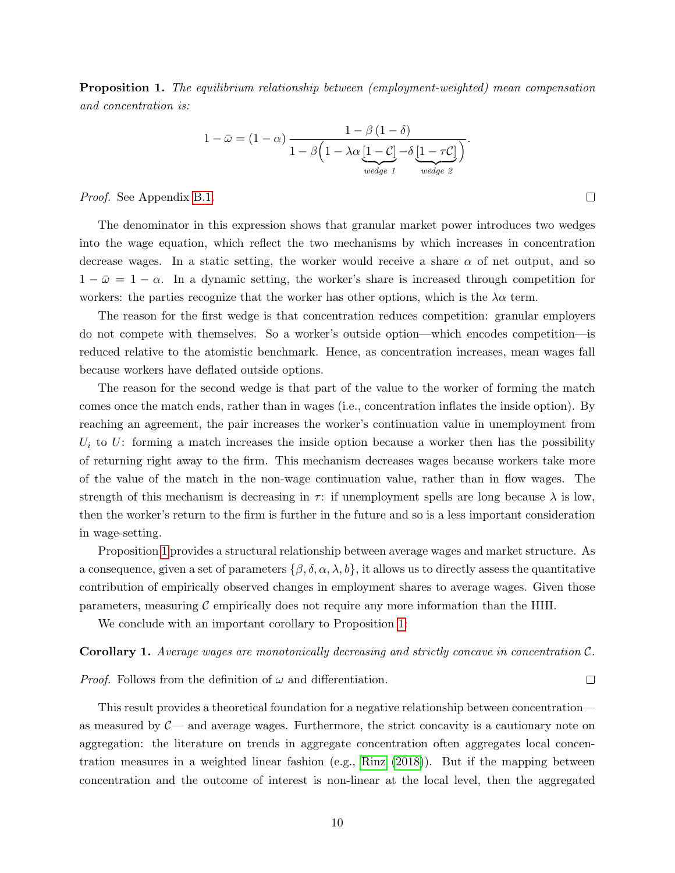<span id="page-11-0"></span>**Proposition 1.** The equilibrium relationship between (employment-weighted) mean compensation and concentration is:

$$
1 - \bar{\omega} = (1 - \alpha) \frac{1 - \beta (1 - \delta)}{1 - \beta \left(1 - \lambda \alpha \underbrace{[1 - C]}_{wedge \ t} - \delta \underbrace{[1 - \tau C]}_{wedge \ t} \right)}.
$$

 $\Box$ 

 $\Box$ 

Proof. See Appendix [B.1.](#page-48-0)

The denominator in this expression shows that granular market power introduces two wedges into the wage equation, which reflect the two mechanisms by which increases in concentration decrease wages. In a static setting, the worker would receive a share  $\alpha$  of net output, and so  $1 - \bar{\omega} = 1 - \alpha$ . In a dynamic setting, the worker's share is increased through competition for workers: the parties recognize that the worker has other options, which is the  $\lambda \alpha$  term.

The reason for the first wedge is that concentration reduces competition: granular employers do not compete with themselves. So a worker's outside option—which encodes competition—is reduced relative to the atomistic benchmark. Hence, as concentration increases, mean wages fall because workers have deflated outside options.

The reason for the second wedge is that part of the value to the worker of forming the match comes once the match ends, rather than in wages (i.e., concentration inflates the inside option). By reaching an agreement, the pair increases the worker's continuation value in unemployment from  $U_i$  to U: forming a match increases the inside option because a worker then has the possibility of returning right away to the firm. This mechanism decreases wages because workers take more of the value of the match in the non-wage continuation value, rather than in flow wages. The strength of this mechanism is decreasing in  $\tau$ : if unemployment spells are long because  $\lambda$  is low, then the worker's return to the firm is further in the future and so is a less important consideration in wage-setting.

Proposition [1](#page-11-0) provides a structural relationship between average wages and market structure. As a consequence, given a set of parameters  $\{\beta, \delta, \alpha, \lambda, b\}$ , it allows us to directly assess the quantitative contribution of empirically observed changes in employment shares to average wages. Given those parameters, measuring  $C$  empirically does not require any more information than the HHI.

We conclude with an important corollary to Proposition [1:](#page-11-0)

#### <span id="page-11-1"></span>Corollary 1. Average wages are monotonically decreasing and strictly concave in concentration C.

*Proof.* Follows from the definition of  $\omega$  and differentiation.

This result provides a theoretical foundation for a negative relationship between concentration as measured by  $C<sub>-</sub>$  and average wages. Furthermore, the strict concavity is a cautionary note on aggregation: the literature on trends in aggregate concentration often aggregates local concentration measures in a weighted linear fashion (e.g., [Rinz](#page-32-0) [\(2018\)](#page-32-0)). But if the mapping between concentration and the outcome of interest is non-linear at the local level, then the aggregated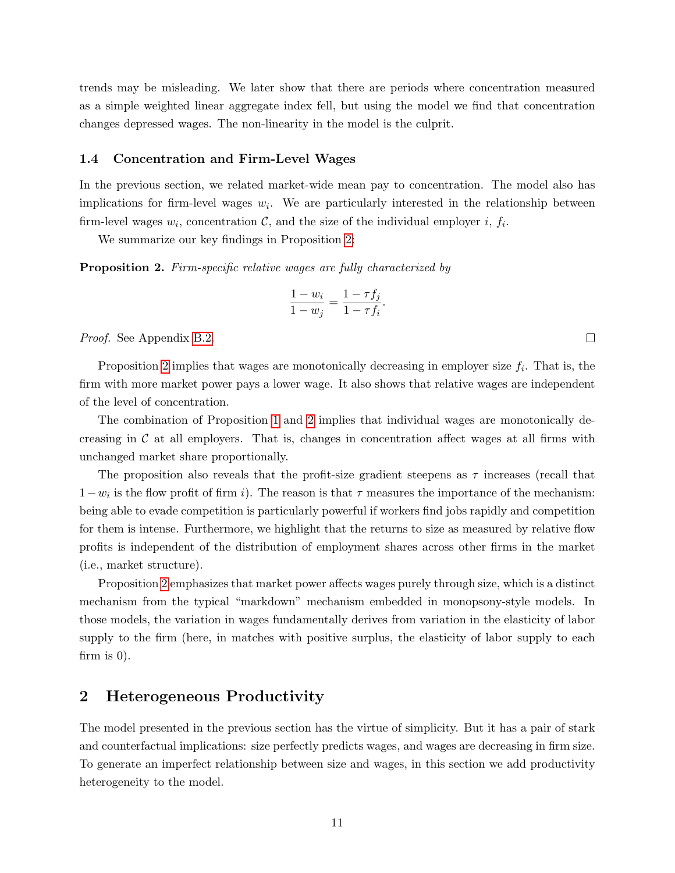trends may be misleading. We later show that there are periods where concentration measured as a simple weighted linear aggregate index fell, but using the model we find that concentration changes depressed wages. The non-linearity in the model is the culprit.

#### 1.4 Concentration and Firm-Level Wages

In the previous section, we related market-wide mean pay to concentration. The model also has implications for firm-level wages  $w_i$ . We are particularly interested in the relationship between firm-level wages  $w_i$ , concentration  $\mathcal{C}$ , and the size of the individual employer i,  $f_i$ .

We summarize our key findings in Proposition [2:](#page-12-1)

<span id="page-12-1"></span>Proposition 2. Firm-specific relative wages are fully characterized by

$$
\frac{1 - w_i}{1 - w_j} = \frac{1 - \tau f_j}{1 - \tau f_i}.
$$

Proof. See Appendix [B.2.](#page-51-0)

Proposition [2](#page-12-1) implies that wages are monotonically decreasing in employer size  $f_i$ . That is, the firm with more market power pays a lower wage. It also shows that relative wages are independent of the level of concentration.

The combination of Proposition [1](#page-11-0) and [2](#page-12-1) implies that individual wages are monotonically decreasing in  $\mathcal C$  at all employers. That is, changes in concentration affect wages at all firms with unchanged market share proportionally.

The proposition also reveals that the profit-size gradient steepens as  $\tau$  increases (recall that  $1-w_i$  is the flow profit of firm i). The reason is that  $\tau$  measures the importance of the mechanism: being able to evade competition is particularly powerful if workers find jobs rapidly and competition for them is intense. Furthermore, we highlight that the returns to size as measured by relative flow profits is independent of the distribution of employment shares across other firms in the market (i.e., market structure).

Proposition [2](#page-12-1) emphasizes that market power affects wages purely through size, which is a distinct mechanism from the typical "markdown" mechanism embedded in monopsony-style models. In those models, the variation in wages fundamentally derives from variation in the elasticity of labor supply to the firm (here, in matches with positive surplus, the elasticity of labor supply to each firm is 0).

## <span id="page-12-0"></span>2 Heterogeneous Productivity

The model presented in the previous section has the virtue of simplicity. But it has a pair of stark and counterfactual implications: size perfectly predicts wages, and wages are decreasing in firm size. To generate an imperfect relationship between size and wages, in this section we add productivity heterogeneity to the model.

 $\Box$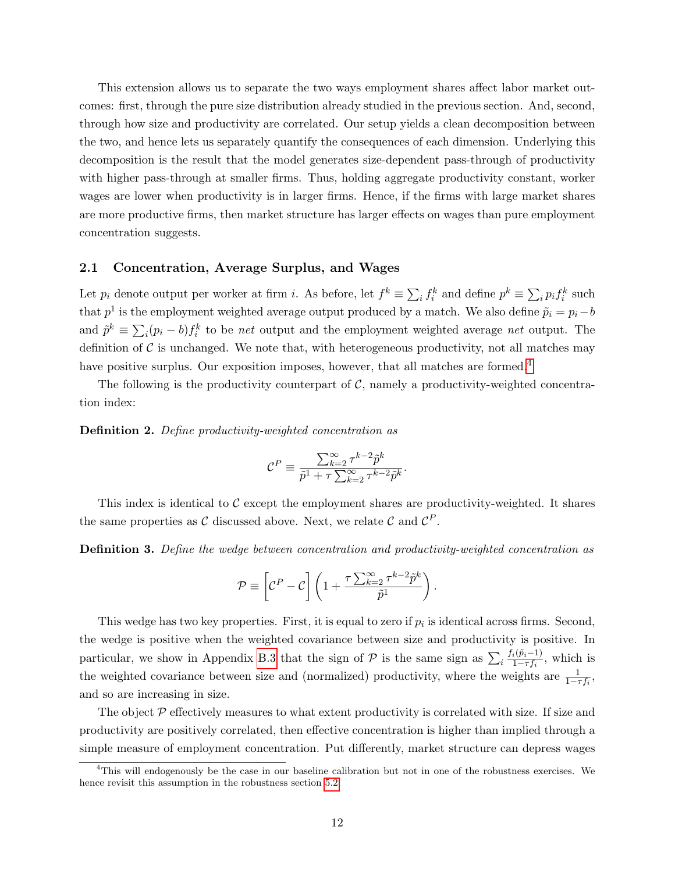This extension allows us to separate the two ways employment shares affect labor market outcomes: first, through the pure size distribution already studied in the previous section. And, second, through how size and productivity are correlated. Our setup yields a clean decomposition between the two, and hence lets us separately quantify the consequences of each dimension. Underlying this decomposition is the result that the model generates size-dependent pass-through of productivity with higher pass-through at smaller firms. Thus, holding aggregate productivity constant, worker wages are lower when productivity is in larger firms. Hence, if the firms with large market shares are more productive firms, then market structure has larger effects on wages than pure employment concentration suggests.

#### 2.1 Concentration, Average Surplus, and Wages

Let  $p_i$  denote output per worker at firm i. As before, let  $f^k \equiv \sum_i f_i^k$  and define  $p^k \equiv \sum_i p_i f_i^k$  such that  $p<sup>1</sup>$  is the employment weighted average output produced by a match. We also define  $\tilde{p}_i = p_i - b$ and  $\tilde{p}^k \equiv \sum_i (p_i - b) f_i^k$  to be net output and the employment weighted average net output. The definition of  $\mathcal C$  is unchanged. We note that, with heterogeneous productivity, not all matches may have positive surplus. Our exposition imposes, however, that all matches are formed.<sup>[4](#page-13-0)</sup>

The following is the productivity counterpart of  $\mathcal{C}$ , namely a productivity-weighted concentration index:

Definition 2. Define productivity-weighted concentration as

$$
\mathcal{C}^P \equiv \frac{\sum_{k=2}^\infty \tau^{k-2} \tilde{p}^k}{\tilde{p}^1 + \tau \sum_{k=2}^\infty \tau^{k-2} \tilde{p}^k}
$$

.

This index is identical to  $\mathcal C$  except the employment shares are productivity-weighted. It shares the same properties as C discussed above. Next, we relate C and  $\mathcal{C}^P$ .

Definition 3. Define the wedge between concentration and productivity-weighted concentration as

$$
\mathcal{P} \equiv \left[ \mathcal{C}^P - \mathcal{C} \right] \left( 1 + \frac{\tau \sum_{k=2}^{\infty} \tau^{k-2} \tilde{p}^k}{\tilde{p}^1} \right).
$$

This wedge has two key properties. First, it is equal to zero if  $p_i$  is identical across firms. Second, the wedge is positive when the weighted covariance between size and productivity is positive. In particular, we show in Appendix [B.3](#page-51-1) that the sign of  $\mathcal P$  is the same sign as  $\sum_i \frac{f_i(\tilde p_i-1)}{1-\tau f_i}$  $\frac{i(p_i-1)}{1-\tau f_i}$ , which is the weighted covariance between size and (normalized) productivity, where the weights are  $\frac{1}{1-\tau f_i}$ , and so are increasing in size.

The object  $P$  effectively measures to what extent productivity is correlated with size. If size and productivity are positively correlated, then effective concentration is higher than implied through a simple measure of employment concentration. Put differently, market structure can depress wages

<span id="page-13-0"></span><sup>4</sup>This will endogenously be the case in our baseline calibration but not in one of the robustness exercises. We hence revisit this assumption in the robustness section [5.2.](#page-24-0)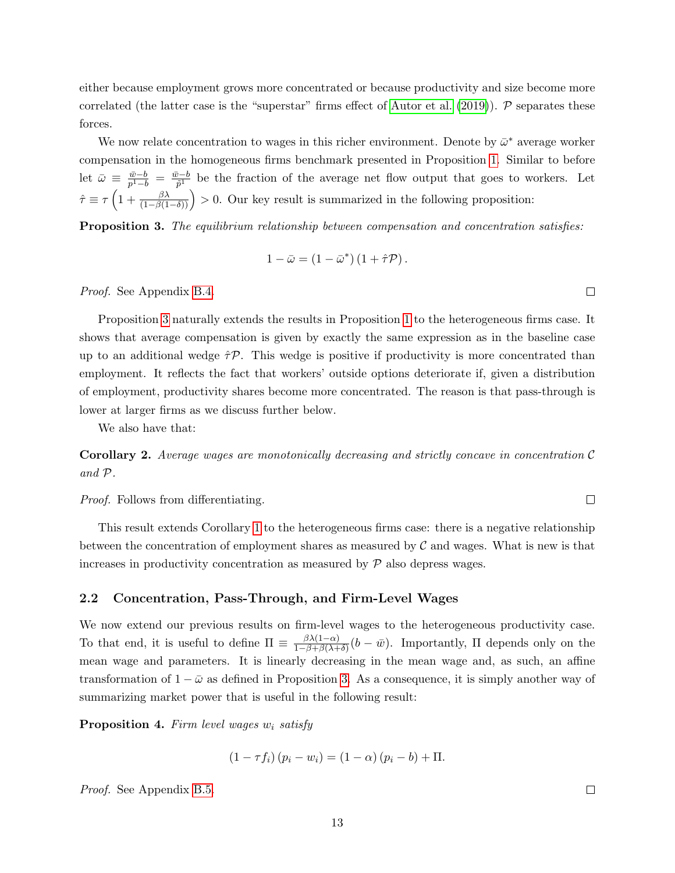either because employment grows more concentrated or because productivity and size become more correlated (the latter case is the "superstar" firms effect of [Autor et al.](#page-30-10)  $(2019)$ ). P separates these forces.

We now relate concentration to wages in this richer environment. Denote by  $\bar{\omega}^*$  average worker compensation in the homogeneous firms benchmark presented in Proposition [1.](#page-11-0) Similar to before let  $\bar{\omega} \equiv \frac{\bar{w}-b}{n^2-b}$  $\frac{\bar{w}-b}{p^1-b} = \frac{\bar{w}-b}{\tilde{p}^1}$  $\frac{\partial^2 b}{\partial \tilde{p}^1}$  be the fraction of the average net flow output that goes to workers. Let  $\hat{\tau} \equiv \tau \left( 1 + \frac{\beta \lambda}{(1 - \beta(1 - \delta))} \right) > 0.$  Our key result is summarized in the following proposition:

<span id="page-14-0"></span>**Proposition 3.** The equilibrium relationship between compensation and concentration satisfies:

$$
1 - \bar{\omega} = (1 - \bar{\omega}^*) (1 + \hat{\tau} \mathcal{P}).
$$

Proof. See Appendix [B.4.](#page-52-0)

Proposition [3](#page-14-0) naturally extends the results in Proposition [1](#page-11-0) to the heterogeneous firms case. It shows that average compensation is given by exactly the same expression as in the baseline case up to an additional wedge  $\hat{\tau}P$ . This wedge is positive if productivity is more concentrated than employment. It reflects the fact that workers' outside options deteriorate if, given a distribution of employment, productivity shares become more concentrated. The reason is that pass-through is lower at larger firms as we discuss further below.

We also have that:

**Corollary 2.** Average wages are monotonically decreasing and strictly concave in concentration  $\mathcal{C}$ and P.

Proof. Follows from differentiating.

This result extends Corollary [1](#page-11-1) to the heterogeneous firms case: there is a negative relationship between the concentration of employment shares as measured by  $\mathcal C$  and wages. What is new is that increases in productivity concentration as measured by  $P$  also depress wages.

#### 2.2 Concentration, Pass-Through, and Firm-Level Wages

We now extend our previous results on firm-level wages to the heterogeneous productivity case. To that end, it is useful to define  $\Pi \equiv \frac{\beta \lambda (1-\alpha)}{1-\beta+\beta(\lambda+1)}$  $\frac{\beta \lambda (1-\alpha)}{1-\beta+\beta(\lambda+\delta)}(b-\bar{w})$ . Importantly,  $\Pi$  depends only on the mean wage and parameters. It is linearly decreasing in the mean wage and, as such, an affine transformation of  $1 - \bar{\omega}$  as defined in Proposition [3.](#page-14-0) As a consequence, it is simply another way of summarizing market power that is useful in the following result:

<span id="page-14-1"></span>**Proposition 4.** Firm level wages  $w_i$  satisfy

 $(1 - \tau f_i)(p_i - w_i) = (1 - \alpha)(p_i - b) + \Pi.$ 

Proof. See Appendix [B.5.](#page-54-0)

 $\Box$ 

 $\Box$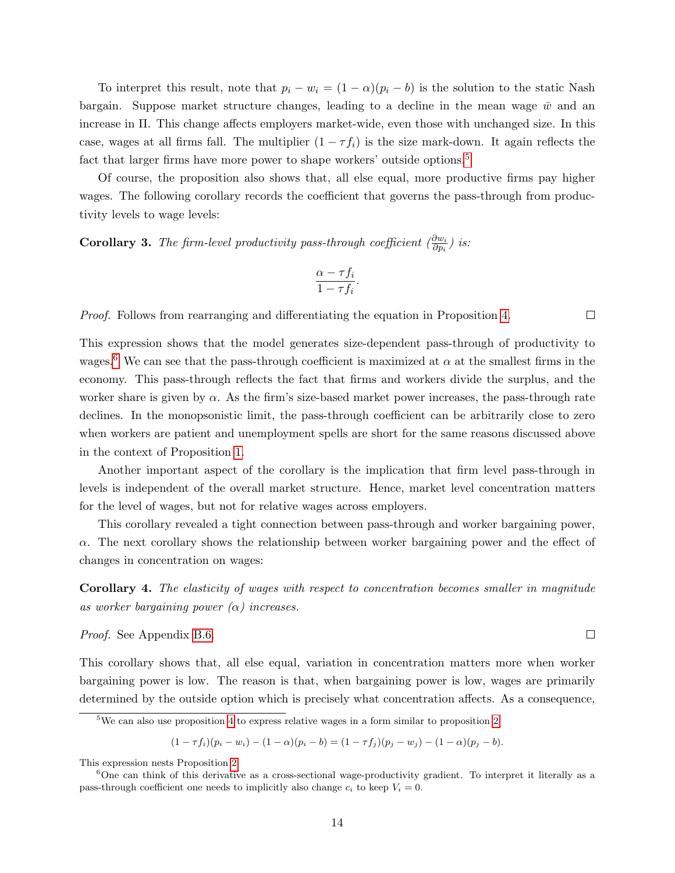To interpret this result, note that  $p_i - w_i = (1 - \alpha)(p_i - b)$  is the solution to the static Nash bargain. Suppose market structure changes, leading to a decline in the mean wage  $\bar{w}$  and an increase in Π. This change affects employers market-wide, even those with unchanged size. In this case, wages at all firms fall. The multiplier  $(1 - \tau f_i)$  is the size mark-down. It again reflects the fact that larger firms have more power to shape workers' outside options.<sup>[5](#page-15-0)</sup>

Of course, the proposition also shows that, all else equal, more productive firms pay higher wages. The following corollary records the coefficient that governs the pass-through from productivity levels to wage levels:

<span id="page-15-2"></span>**Corollary 3.** The firm-level productivity pass-through coefficient  $\left(\frac{\partial w_i}{\partial p_i}\right)$  is:

$$
\frac{\alpha - \tau f_i}{1 - \tau f_i}.
$$

Proof. Follows from rearranging and differentiating the equation in Proposition [4.](#page-14-1)

This expression shows that the model generates size-dependent pass-through of productivity to wages.<sup>[6](#page-15-1)</sup> We can see that the pass-through coefficient is maximized at  $\alpha$  at the smallest firms in the economy. This pass-through reflects the fact that firms and workers divide the surplus, and the worker share is given by  $\alpha$ . As the firm's size-based market power increases, the pass-through rate declines. In the monopsonistic limit, the pass-through coefficient can be arbitrarily close to zero when workers are patient and unemployment spells are short for the same reasons discussed above in the context of Proposition [1.](#page-11-0)

Another important aspect of the corollary is the implication that firm level pass-through in levels is independent of the overall market structure. Hence, market level concentration matters for the level of wages, but not for relative wages across employers.

This corollary revealed a tight connection between pass-through and worker bargaining power,  $\alpha$ . The next corollary shows the relationship between worker bargaining power and the effect of changes in concentration on wages:

<span id="page-15-3"></span>Corollary 4. The elasticity of wages with respect to concentration becomes smaller in magnitude as worker bargaining power  $(\alpha)$  increases.

Proof. See Appendix [B.6.](#page-55-0)

This corollary shows that, all else equal, variation in concentration matters more when worker bargaining power is low. The reason is that, when bargaining power is low, wages are primarily determined by the outside option which is precisely what concentration affects. As a consequence,

$$
(1-\tau f_i)(p_i-w_i) - (1-\alpha)(p_i-b) = (1-\tau f_j)(p_j-w_j) - (1-\alpha)(p_j-b).
$$

 $\Box$ 

 $\Box$ 

<span id="page-15-0"></span> $5$ We can also use proposition [4](#page-14-1) to express relative wages in a form similar to proposition [2,](#page-12-1)

This expression nests Proposition [2.](#page-12-1)

<span id="page-15-1"></span> $6$ One can think of this derivative as a cross-sectional wage-productivity gradient. To interpret it literally as a pass-through coefficient one needs to implicitly also change  $c_i$  to keep  $V_i = 0$ .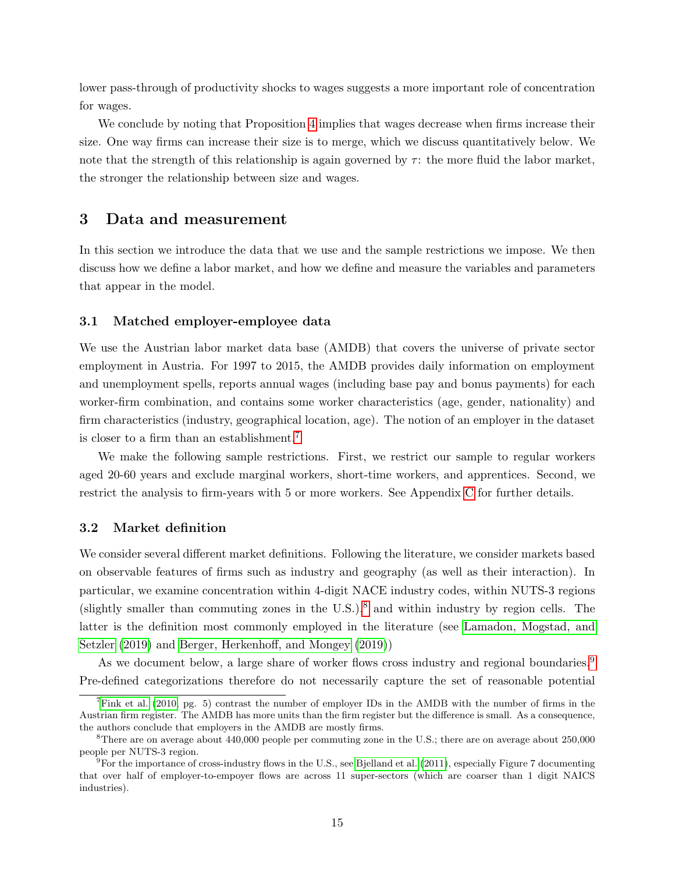lower pass-through of productivity shocks to wages suggests a more important role of concentration for wages.

We conclude by noting that Proposition [4](#page-14-1) implies that wages decrease when firms increase their size. One way firms can increase their size is to merge, which we discuss quantitatively below. We note that the strength of this relationship is again governed by  $\tau$ : the more fluid the labor market, the stronger the relationship between size and wages.

## <span id="page-16-0"></span>3 Data and measurement

In this section we introduce the data that we use and the sample restrictions we impose. We then discuss how we define a labor market, and how we define and measure the variables and parameters that appear in the model.

#### 3.1 Matched employer-employee data

We use the Austrian labor market data base (AMDB) that covers the universe of private sector employment in Austria. For 1997 to 2015, the AMDB provides daily information on employment and unemployment spells, reports annual wages (including base pay and bonus payments) for each worker-firm combination, and contains some worker characteristics (age, gender, nationality) and firm characteristics (industry, geographical location, age). The notion of an employer in the dataset is closer to a firm than an establishment.[7](#page-16-1)

We make the following sample restrictions. First, we restrict our sample to regular workers aged 20-60 years and exclude marginal workers, short-time workers, and apprentices. Second, we restrict the analysis to firm-years with 5 or more workers. See Appendix [C](#page-57-0) for further details.

### 3.2 Market definition

We consider several different market definitions. Following the literature, we consider markets based on observable features of firms such as industry and geography (as well as their interaction). In particular, we examine concentration within 4-digit NACE industry codes, within NUTS-3 regions (slightly smaller than commuting zones in the U.S.), $8$  and within industry by region cells. The latter is the definition most commonly employed in the literature (see [Lamadon, Mogstad, and](#page-31-3) [Setzler](#page-31-3) [\(2019\)](#page-31-3) and [Berger, Herkenhoff, and Mongey](#page-30-2) [\(2019\)](#page-30-2))

As we document below, a large share of worker flows cross industry and regional boundaries.<sup>[9](#page-16-3)</sup> Pre-defined categorizations therefore do not necessarily capture the set of reasonable potential

<span id="page-16-1"></span> $7$ [Fink et al.](#page-30-11) [\(2010,](#page-30-11) pg. 5) contrast the number of employer IDs in the AMDB with the number of firms in the Austrian firm register. The AMDB has more units than the firm register but the difference is small. As a consequence, the authors conclude that employers in the AMDB are mostly firms.

<span id="page-16-2"></span><sup>&</sup>lt;sup>8</sup>There are on average about 440,000 people per commuting zone in the U.S.; there are on average about 250,000 people per NUTS-3 region.

<span id="page-16-3"></span> $9F<sup>9</sup>$  For the importance of cross-industry flows in the U.S., see [Bjelland et al.](#page-30-12) [\(2011\)](#page-30-12), especially Figure 7 documenting that over half of employer-to-empoyer flows are across 11 super-sectors (which are coarser than 1 digit NAICS industries).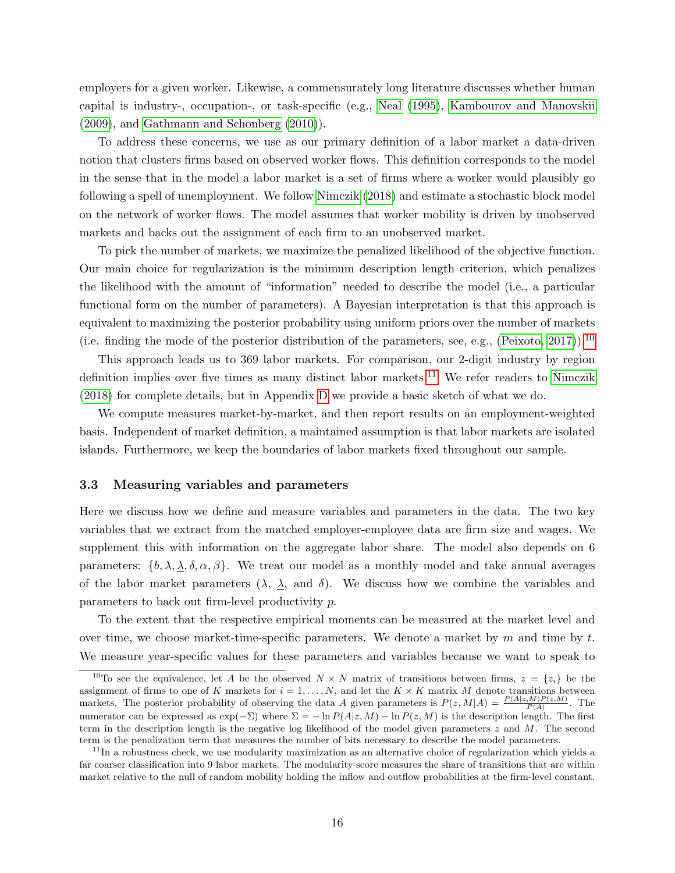employers for a given worker. Likewise, a commensurately long literature discusses whether human capital is industry-, occupation-, or task-specific (e.g., [Neal](#page-31-9) [\(1995\)](#page-31-9), [Kambourov and Manovskii](#page-31-10) [\(2009\)](#page-31-10), and [Gathmann and Schonberg](#page-31-11) [\(2010\)](#page-31-11)).

To address these concerns, we use as our primary definition of a labor market a data-driven notion that clusters firms based on observed worker flows. This definition corresponds to the model in the sense that in the model a labor market is a set of firms where a worker would plausibly go following a spell of unemployment. We follow [Nimczik](#page-31-0) [\(2018\)](#page-31-0) and estimate a stochastic block model on the network of worker flows. The model assumes that worker mobility is driven by unobserved markets and backs out the assignment of each firm to an unobserved market.

To pick the number of markets, we maximize the penalized likelihood of the objective function. Our main choice for regularization is the minimum description length criterion, which penalizes the likelihood with the amount of "information" needed to describe the model (i.e., a particular functional form on the number of parameters). A Bayesian interpretation is that this approach is equivalent to maximizing the posterior probability using uniform priors over the number of markets (i.e. finding the mode of the posterior distribution of the parameters, see, e.g., [\(Peixoto, 2017\)](#page-31-12)).<sup>[10](#page-17-0)</sup>

This approach leads us to 369 labor markets. For comparison, our 2-digit industry by region definition implies over five times as many distinct labor markets.<sup>[11](#page-17-1)</sup> We refer readers to [Nimczik](#page-31-0) [\(2018\)](#page-31-0) for complete details, but in Appendix [D](#page-58-0) we provide a basic sketch of what we do.

We compute measures market-by-market, and then report results on an employment-weighted basis. Independent of market definition, a maintained assumption is that labor markets are isolated islands. Furthermore, we keep the boundaries of labor markets fixed throughout our sample.

#### 3.3 Measuring variables and parameters

Here we discuss how we define and measure variables and parameters in the data. The two key variables that we extract from the matched employer-employee data are firm size and wages. We supplement this with information on the aggregate labor share. The model also depends on 6 parameters:  $\{b, \lambda, \lambda, \delta, \alpha, \beta\}$ . We treat our model as a monthly model and take annual averages of the labor market parameters  $(\lambda, \lambda, \lambda)$  and  $\delta$ . We discuss how we combine the variables and parameters to back out firm-level productivity p.

To the extent that the respective empirical moments can be measured at the market level and over time, we choose market-time-specific parameters. We denote a market by  $m$  and time by  $t$ . We measure year-specific values for these parameters and variables because we want to speak to

<span id="page-17-0"></span><sup>&</sup>lt;sup>10</sup>To see the equivalence, let A be the observed  $N \times N$  matrix of transitions between firms,  $z = \{z_i\}$  be the assignment of firms to one of K markets for  $i = 1, \ldots, N$ , and let the  $K \times K$  matrix M denote transitions between markets. The posterior probability of observing the data A given parameters is  $P(z, M|A) = \frac{P(A|z, M)P(z, M)}{P(A)}$ . The numerator can be expressed as  $\exp(-\Sigma)$  where  $\Sigma = -\ln P(A|z, M) - \ln P(z, M)$  is the description length. The first term in the description length is the negative log likelihood of the model given parameters  $z$  and  $M$ . The second term is the penalization term that measures the number of bits necessary to describe the model parameters.

<span id="page-17-1"></span> $11$ In a robustness check, we use modularity maximization as an alternative choice of regularization which yields a far coarser classification into 9 labor markets. The modularity score measures the share of transitions that are within market relative to the null of random mobility holding the inflow and outflow probabilities at the firm-level constant.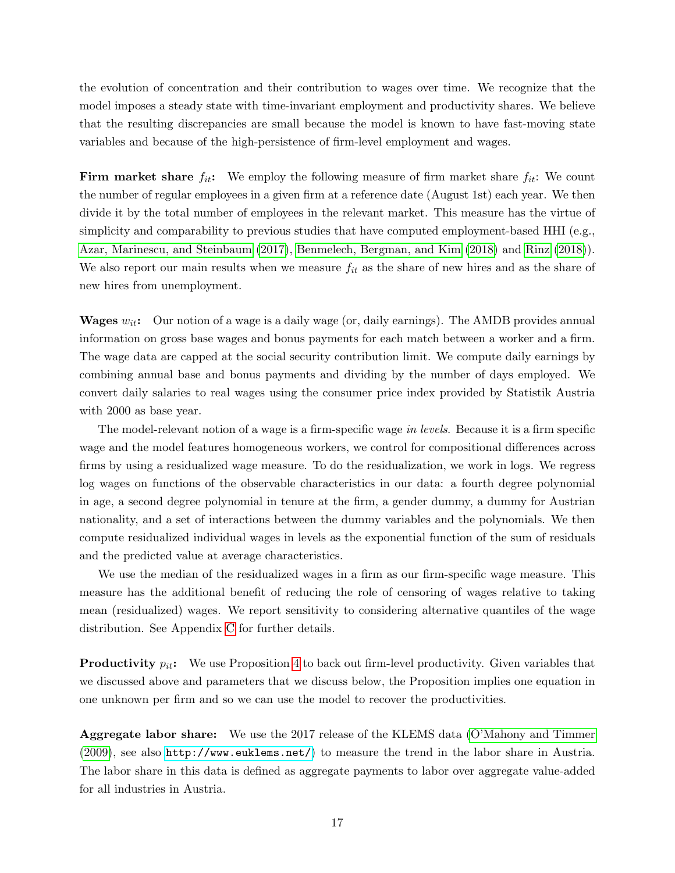the evolution of concentration and their contribution to wages over time. We recognize that the model imposes a steady state with time-invariant employment and productivity shares. We believe that the resulting discrepancies are small because the model is known to have fast-moving state variables and because of the high-persistence of firm-level employment and wages.

**Firm market share**  $f_{it}$ : We employ the following measure of firm market share  $f_{it}$ : We count the number of regular employees in a given firm at a reference date (August 1st) each year. We then divide it by the total number of employees in the relevant market. This measure has the virtue of simplicity and comparability to previous studies that have computed employment-based HHI (e.g., [Azar, Marinescu, and Steinbaum](#page-30-0) [\(2017\)](#page-30-0), [Benmelech, Bergman, and Kim](#page-30-13) [\(2018\)](#page-30-13) and [Rinz](#page-32-0) [\(2018\)](#page-32-0)). We also report our main results when we measure  $f_{it}$  as the share of new hires and as the share of new hires from unemployment.

**Wages**  $w_{it}$ : Our notion of a wage is a daily wage (or, daily earnings). The AMDB provides annual information on gross base wages and bonus payments for each match between a worker and a firm. The wage data are capped at the social security contribution limit. We compute daily earnings by combining annual base and bonus payments and dividing by the number of days employed. We convert daily salaries to real wages using the consumer price index provided by Statistik Austria with 2000 as base year.

The model-relevant notion of a wage is a firm-specific wage in levels. Because it is a firm specific wage and the model features homogeneous workers, we control for compositional differences across firms by using a residualized wage measure. To do the residualization, we work in logs. We regress log wages on functions of the observable characteristics in our data: a fourth degree polynomial in age, a second degree polynomial in tenure at the firm, a gender dummy, a dummy for Austrian nationality, and a set of interactions between the dummy variables and the polynomials. We then compute residualized individual wages in levels as the exponential function of the sum of residuals and the predicted value at average characteristics.

We use the median of the residualized wages in a firm as our firm-specific wage measure. This measure has the additional benefit of reducing the role of censoring of wages relative to taking mean (residualized) wages. We report sensitivity to considering alternative quantiles of the wage distribution. See Appendix [C](#page-57-0) for further details.

**Productivity**  $p_{it}$ : We use Proposition [4](#page-14-1) to back out firm-level productivity. Given variables that we discussed above and parameters that we discuss below, the Proposition implies one equation in one unknown per firm and so we can use the model to recover the productivities.

Aggregate labor share: We use the 2017 release of the KLEMS data [\(O'Mahony and Timmer](#page-31-13) [\(2009\)](#page-31-13), see also <http://www.euklems.net/>) to measure the trend in the labor share in Austria. The labor share in this data is defined as aggregate payments to labor over aggregate value-added for all industries in Austria.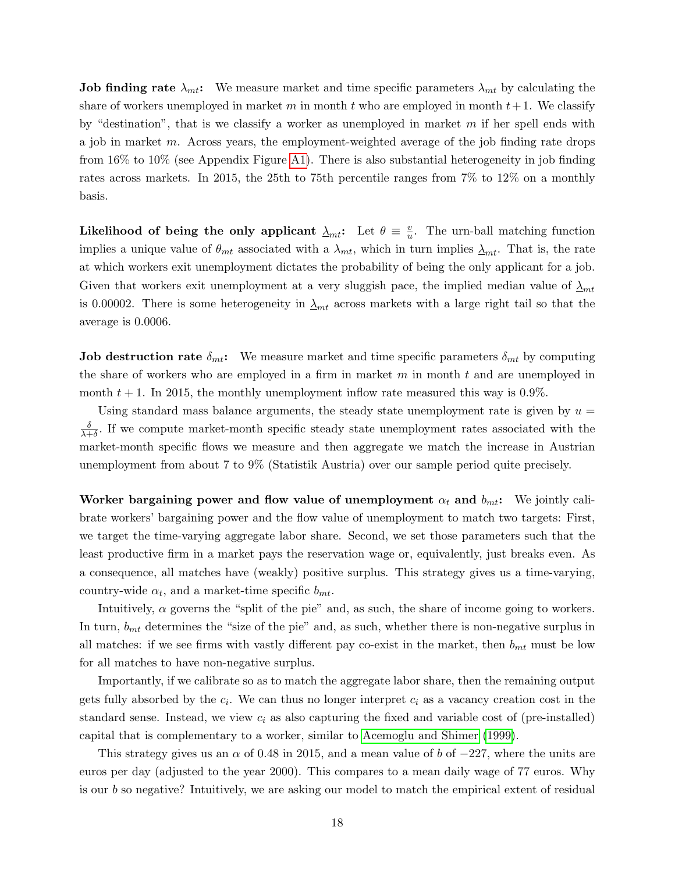**Job finding rate**  $\lambda_{mt}$ : We measure market and time specific parameters  $\lambda_{mt}$  by calculating the share of workers unemployed in market m in month t who are employed in month  $t+1$ . We classify by "destination", that is we classify a worker as unemployed in market  $m$  if her spell ends with a job in market m. Across years, the employment-weighted average of the job finding rate drops from 16% to 10% (see Appendix Figure [A1\)](#page-63-0). There is also substantial heterogeneity in job finding rates across markets. In 2015, the 25th to 75th percentile ranges from 7% to 12% on a monthly basis.

Likelihood of being the only applicant  $\Delta_{mt}$ : Let  $\theta \equiv \frac{v}{u}$  $\frac{v}{u}$ . The urn-ball matching function implies a unique value of  $\theta_{mt}$  associated with a  $\lambda_{mt}$ , which in turn implies  $\lambda_{mt}$ . That is, the rate at which workers exit unemployment dictates the probability of being the only applicant for a job. Given that workers exit unemployment at a very sluggish pace, the implied median value of  $\Delta_{mt}$ is 0.00002. There is some heterogeneity in  $\Delta_{mt}$  across markets with a large right tail so that the average is 0.0006.

**Job destruction rate**  $\delta_{mt}$ : We measure market and time specific parameters  $\delta_{mt}$  by computing the share of workers who are employed in a firm in market  $m$  in month  $t$  and are unemployed in month  $t + 1$ . In 2015, the monthly unemployment inflow rate measured this way is 0.9%.

Using standard mass balance arguments, the steady state unemployment rate is given by  $u =$ δ  $\frac{\delta}{\lambda+\delta}$ . If we compute market-month specific steady state unemployment rates associated with the market-month specific flows we measure and then aggregate we match the increase in Austrian unemployment from about 7 to 9% (Statistik Austria) over our sample period quite precisely.

Worker bargaining power and flow value of unemployment  $\alpha_t$  and  $b_{mt}$ : We jointly calibrate workers' bargaining power and the flow value of unemployment to match two targets: First, we target the time-varying aggregate labor share. Second, we set those parameters such that the least productive firm in a market pays the reservation wage or, equivalently, just breaks even. As a consequence, all matches have (weakly) positive surplus. This strategy gives us a time-varying, country-wide  $\alpha_t$ , and a market-time specific  $b_{mt}$ .

Intuitively,  $\alpha$  governs the "split of the pie" and, as such, the share of income going to workers. In turn,  $b_{mt}$  determines the "size of the pie" and, as such, whether there is non-negative surplus in all matches: if we see firms with vastly different pay co-exist in the market, then  $b_{mt}$  must be low for all matches to have non-negative surplus.

Importantly, if we calibrate so as to match the aggregate labor share, then the remaining output gets fully absorbed by the  $c_i$ . We can thus no longer interpret  $c_i$  as a vacancy creation cost in the standard sense. Instead, we view  $c_i$  as also capturing the fixed and variable cost of (pre-installed) capital that is complementary to a worker, similar to [Acemoglu and Shimer](#page-30-14) [\(1999\)](#page-30-14).

This strategy gives us an  $\alpha$  of 0.48 in 2015, and a mean value of b of  $-227$ , where the units are euros per day (adjusted to the year 2000). This compares to a mean daily wage of 77 euros. Why is our b so negative? Intuitively, we are asking our model to match the empirical extent of residual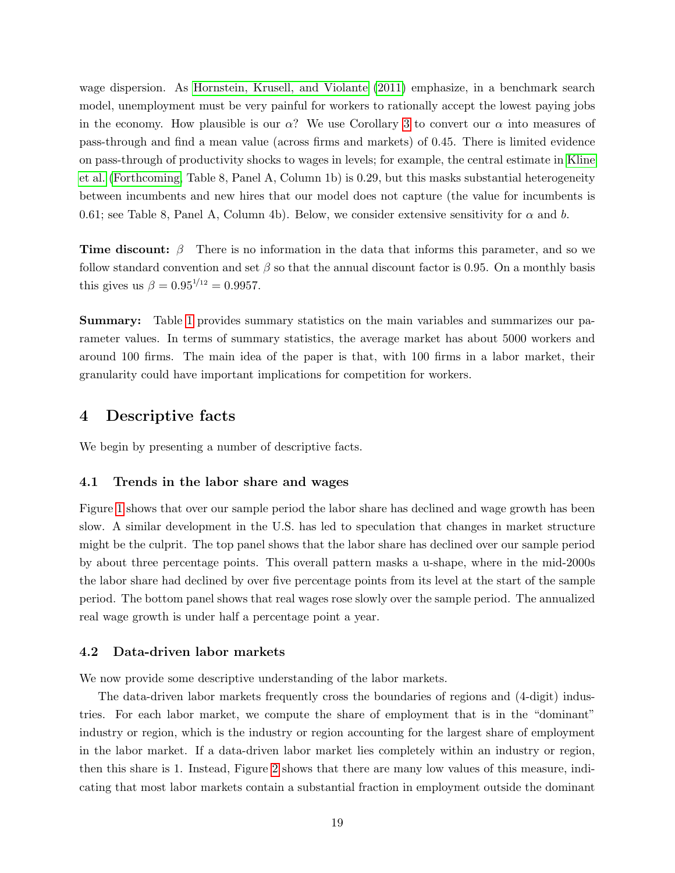wage dispersion. As [Hornstein, Krusell, and Violante](#page-31-14) [\(2011\)](#page-31-14) emphasize, in a benchmark search model, unemployment must be very painful for workers to rationally accept the lowest paying jobs in the economy. How plausible is our  $\alpha$ ? We use Corollary [3](#page-15-2) to convert our  $\alpha$  into measures of pass-through and find a mean value (across firms and markets) of 0.45. There is limited evidence on pass-through of productivity shocks to wages in levels; for example, the central estimate in [Kline](#page-31-15) [et al.](#page-31-15) [\(Forthcoming,](#page-31-15) Table 8, Panel A, Column 1b) is 0.29, but this masks substantial heterogeneity between incumbents and new hires that our model does not capture (the value for incumbents is 0.61; see Table 8, Panel A, Column 4b). Below, we consider extensive sensitivity for  $\alpha$  and b.

**Time discount:**  $\beta$  There is no information in the data that informs this parameter, and so we follow standard convention and set  $\beta$  so that the annual discount factor is 0.95. On a monthly basis this gives us  $\beta = 0.95^{1/12} = 0.9957$ .

Summary: Table [1](#page-33-0) provides summary statistics on the main variables and summarizes our parameter values. In terms of summary statistics, the average market has about 5000 workers and around 100 firms. The main idea of the paper is that, with 100 firms in a labor market, their granularity could have important implications for competition for workers.

## <span id="page-20-0"></span>4 Descriptive facts

We begin by presenting a number of descriptive facts.

#### 4.1 Trends in the labor share and wages

Figure [1](#page-40-0) shows that over our sample period the labor share has declined and wage growth has been slow. A similar development in the U.S. has led to speculation that changes in market structure might be the culprit. The top panel shows that the labor share has declined over our sample period by about three percentage points. This overall pattern masks a u-shape, where in the mid-2000s the labor share had declined by over five percentage points from its level at the start of the sample period. The bottom panel shows that real wages rose slowly over the sample period. The annualized real wage growth is under half a percentage point a year.

#### 4.2 Data-driven labor markets

We now provide some descriptive understanding of the labor markets.

The data-driven labor markets frequently cross the boundaries of regions and (4-digit) industries. For each labor market, we compute the share of employment that is in the "dominant" industry or region, which is the industry or region accounting for the largest share of employment in the labor market. If a data-driven labor market lies completely within an industry or region, then this share is 1. Instead, Figure [2](#page-41-0) shows that there are many low values of this measure, indicating that most labor markets contain a substantial fraction in employment outside the dominant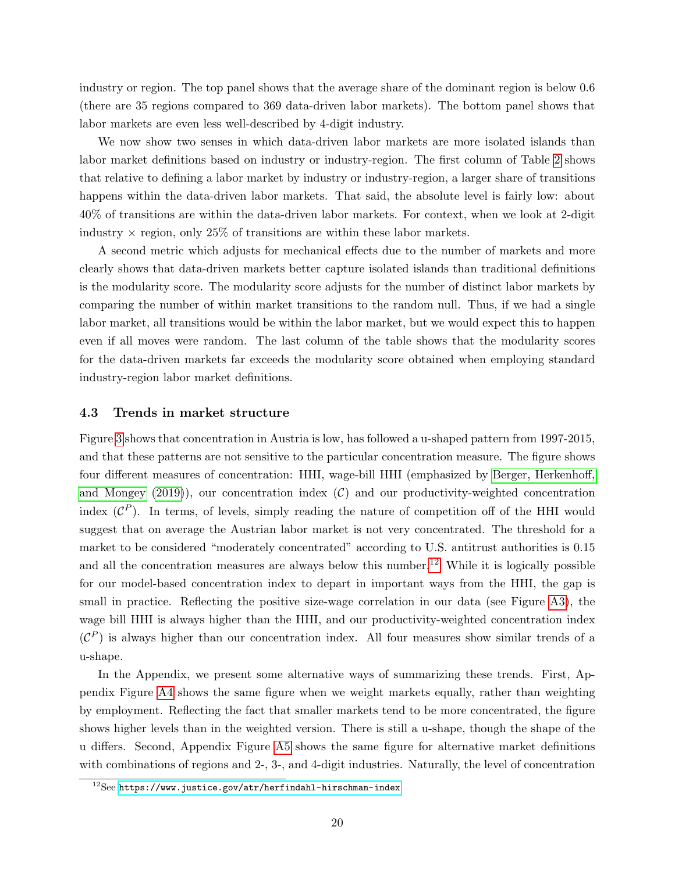industry or region. The top panel shows that the average share of the dominant region is below 0.6 (there are 35 regions compared to 369 data-driven labor markets). The bottom panel shows that labor markets are even less well-described by 4-digit industry.

We now show two senses in which data-driven labor markets are more isolated islands than labor market definitions based on industry or industry-region. The first column of Table [2](#page-34-0) shows that relative to defining a labor market by industry or industry-region, a larger share of transitions happens within the data-driven labor markets. That said, the absolute level is fairly low: about 40% of transitions are within the data-driven labor markets. For context, when we look at 2-digit industry  $\times$  region, only 25% of transitions are within these labor markets.

A second metric which adjusts for mechanical effects due to the number of markets and more clearly shows that data-driven markets better capture isolated islands than traditional definitions is the modularity score. The modularity score adjusts for the number of distinct labor markets by comparing the number of within market transitions to the random null. Thus, if we had a single labor market, all transitions would be within the labor market, but we would expect this to happen even if all moves were random. The last column of the table shows that the modularity scores for the data-driven markets far exceeds the modularity score obtained when employing standard industry-region labor market definitions.

#### 4.3 Trends in market structure

Figure [3](#page-42-0) shows that concentration in Austria is low, has followed a u-shaped pattern from 1997-2015, and that these patterns are not sensitive to the particular concentration measure. The figure shows four different measures of concentration: HHI, wage-bill HHI (emphasized by [Berger, Herkenhoff,](#page-30-2) [and Mongey](#page-30-2)  $(2019)$ , our concentration index  $(C)$  and our productivity-weighted concentration index  $({\cal C}^P)$ . In terms, of levels, simply reading the nature of competition off of the HHI would suggest that on average the Austrian labor market is not very concentrated. The threshold for a market to be considered "moderately concentrated" according to U.S. antitrust authorities is 0.15 and all the concentration measures are always below this number.<sup>[12](#page-21-0)</sup> While it is logically possible for our model-based concentration index to depart in important ways from the HHI, the gap is small in practice. Reflecting the positive size-wage correlation in our data (see Figure [A3\)](#page-64-0), the wage bill HHI is always higher than the HHI, and our productivity-weighted concentration index  $({\cal C}^P)$  is always higher than our concentration index. All four measures show similar trends of a u-shape.

In the Appendix, we present some alternative ways of summarizing these trends. First, Appendix Figure [A4](#page-65-0) shows the same figure when we weight markets equally, rather than weighting by employment. Reflecting the fact that smaller markets tend to be more concentrated, the figure shows higher levels than in the weighted version. There is still a u-shape, though the shape of the u differs. Second, Appendix Figure [A5](#page-66-0) shows the same figure for alternative market definitions with combinations of regions and 2-, 3-, and 4-digit industries. Naturally, the level of concentration

<span id="page-21-0"></span> $12$ See <https://www.justice.gov/atr/herfindahl-hirschman-index>.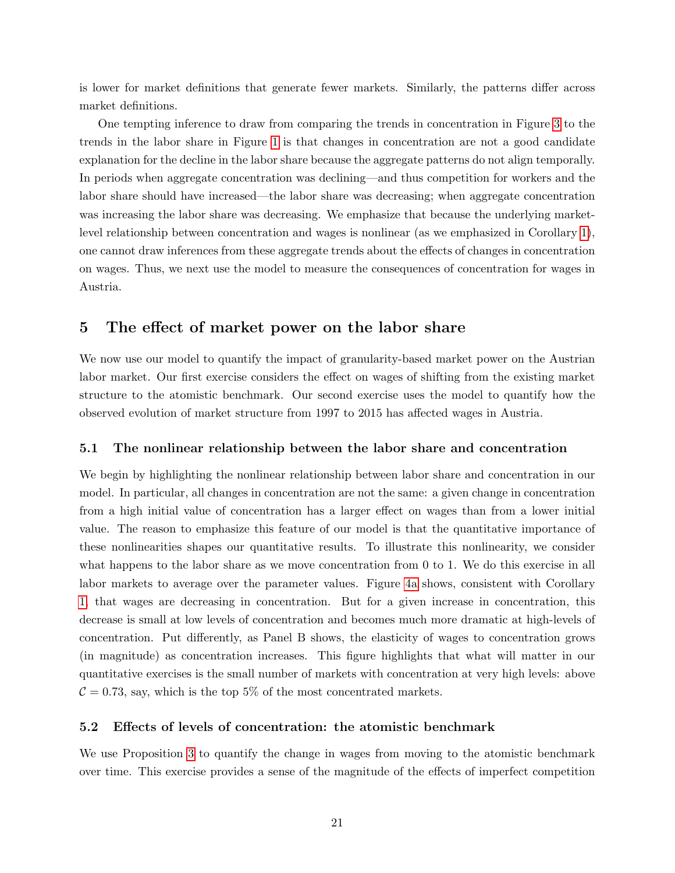is lower for market definitions that generate fewer markets. Similarly, the patterns differ across market definitions.

One tempting inference to draw from comparing the trends in concentration in Figure [3](#page-42-0) to the trends in the labor share in Figure [1](#page-40-0) is that changes in concentration are not a good candidate explanation for the decline in the labor share because the aggregate patterns do not align temporally. In periods when aggregate concentration was declining—and thus competition for workers and the labor share should have increased—the labor share was decreasing; when aggregate concentration was increasing the labor share was decreasing. We emphasize that because the underlying marketlevel relationship between concentration and wages is nonlinear (as we emphasized in Corollary [1\)](#page-11-1), one cannot draw inferences from these aggregate trends about the effects of changes in concentration on wages. Thus, we next use the model to measure the consequences of concentration for wages in Austria.

## <span id="page-22-0"></span>5 The effect of market power on the labor share

We now use our model to quantify the impact of granularity-based market power on the Austrian labor market. Our first exercise considers the effect on wages of shifting from the existing market structure to the atomistic benchmark. Our second exercise uses the model to quantify how the observed evolution of market structure from 1997 to 2015 has affected wages in Austria.

#### 5.1 The nonlinear relationship between the labor share and concentration

We begin by highlighting the nonlinear relationship between labor share and concentration in our model. In particular, all changes in concentration are not the same: a given change in concentration from a high initial value of concentration has a larger effect on wages than from a lower initial value. The reason to emphasize this feature of our model is that the quantitative importance of these nonlinearities shapes our quantitative results. To illustrate this nonlinearity, we consider what happens to the labor share as we move concentration from 0 to 1. We do this exercise in all labor markets to average over the parameter values. Figure [4a](#page-43-0) shows, consistent with Corollary [1,](#page-11-1) that wages are decreasing in concentration. But for a given increase in concentration, this decrease is small at low levels of concentration and becomes much more dramatic at high-levels of concentration. Put differently, as Panel B shows, the elasticity of wages to concentration grows (in magnitude) as concentration increases. This figure highlights that what will matter in our quantitative exercises is the small number of markets with concentration at very high levels: above  $C = 0.73$ , say, which is the top 5% of the most concentrated markets.

#### 5.2 Effects of levels of concentration: the atomistic benchmark

We use Proposition [3](#page-14-0) to quantify the change in wages from moving to the atomistic benchmark over time. This exercise provides a sense of the magnitude of the effects of imperfect competition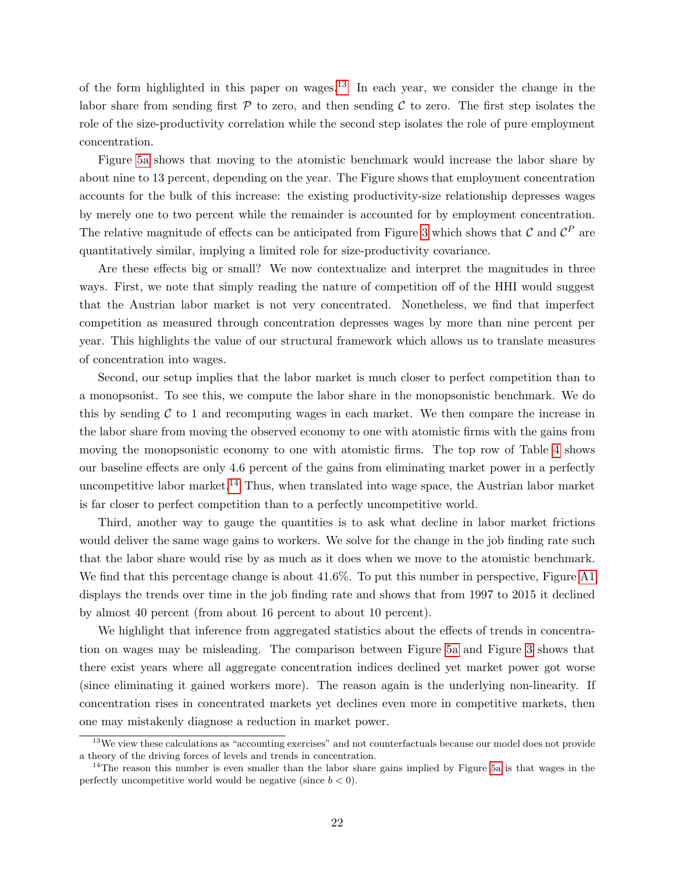of the form highlighted in this paper on wages.<sup>[13](#page-23-0)</sup> In each year, we consider the change in the labor share from sending first  $P$  to zero, and then sending  $C$  to zero. The first step isolates the role of the size-productivity correlation while the second step isolates the role of pure employment concentration.

Figure [5a](#page-44-0) shows that moving to the atomistic benchmark would increase the labor share by about nine to 13 percent, depending on the year. The Figure shows that employment concentration accounts for the bulk of this increase: the existing productivity-size relationship depresses wages by merely one to two percent while the remainder is accounted for by employment concentration. The relative magnitude of effects can be anticipated from Figure [3](#page-42-0) which shows that  $\mathcal C$  and  $\mathcal C^P$  are quantitatively similar, implying a limited role for size-productivity covariance.

Are these effects big or small? We now contextualize and interpret the magnitudes in three ways. First, we note that simply reading the nature of competition off of the HHI would suggest that the Austrian labor market is not very concentrated. Nonetheless, we find that imperfect competition as measured through concentration depresses wages by more than nine percent per year. This highlights the value of our structural framework which allows us to translate measures of concentration into wages.

Second, our setup implies that the labor market is much closer to perfect competition than to a monopsonist. To see this, we compute the labor share in the monopsonistic benchmark. We do this by sending  $C$  to 1 and recomputing wages in each market. We then compare the increase in the labor share from moving the observed economy to one with atomistic firms with the gains from moving the monopsonistic economy to one with atomistic firms. The top row of Table [4](#page-36-0) shows our baseline effects are only 4.6 percent of the gains from eliminating market power in a perfectly uncompetitive labor market.<sup>[14](#page-23-1)</sup> Thus, when translated into wage space, the Austrian labor market is far closer to perfect competition than to a perfectly uncompetitive world.

Third, another way to gauge the quantities is to ask what decline in labor market frictions would deliver the same wage gains to workers. We solve for the change in the job finding rate such that the labor share would rise by as much as it does when we move to the atomistic benchmark. We find that this percentage change is about  $41.6\%$ . To put this number in perspective, Figure [A1](#page-63-0) displays the trends over time in the job finding rate and shows that from 1997 to 2015 it declined by almost 40 percent (from about 16 percent to about 10 percent).

We highlight that inference from aggregated statistics about the effects of trends in concentration on wages may be misleading. The comparison between Figure [5a](#page-44-0) and Figure [3](#page-42-0) shows that there exist years where all aggregate concentration indices declined yet market power got worse (since eliminating it gained workers more). The reason again is the underlying non-linearity. If concentration rises in concentrated markets yet declines even more in competitive markets, then one may mistakenly diagnose a reduction in market power.

<span id="page-23-0"></span><sup>&</sup>lt;sup>13</sup>We view these calculations as "accounting exercises" and not counterfactuals because our model does not provide a theory of the driving forces of levels and trends in concentration.

<span id="page-23-1"></span><sup>&</sup>lt;sup>14</sup>The reason this number is even smaller than the labor share gains implied by Figure [5a](#page-44-0) is that wages in the perfectly uncompetitive world would be negative (since  $b < 0$ ).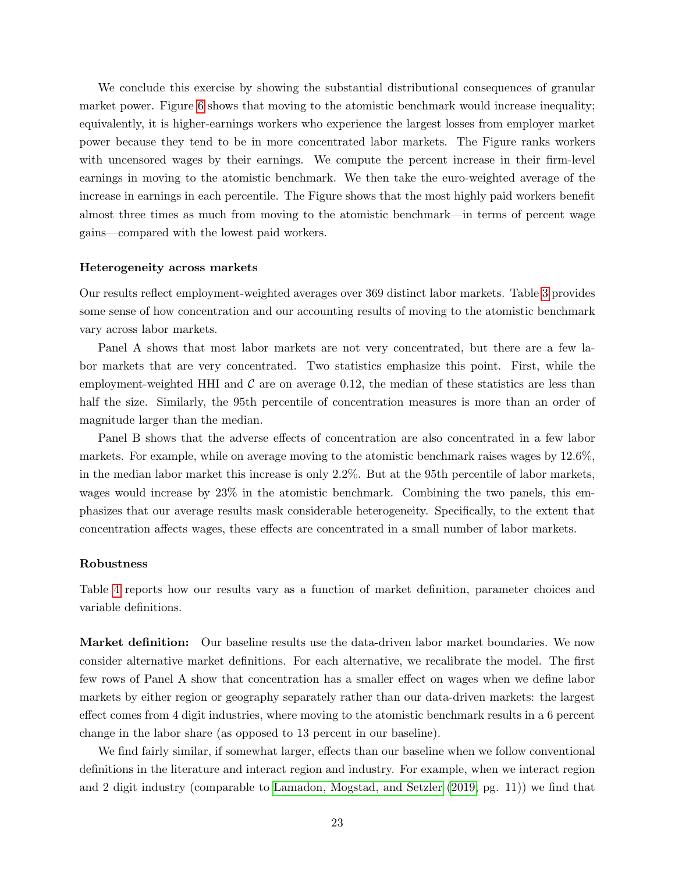We conclude this exercise by showing the substantial distributional consequences of granular market power. Figure [6](#page-45-0) shows that moving to the atomistic benchmark would increase inequality; equivalently, it is higher-earnings workers who experience the largest losses from employer market power because they tend to be in more concentrated labor markets. The Figure ranks workers with uncensored wages by their earnings. We compute the percent increase in their firm-level earnings in moving to the atomistic benchmark. We then take the euro-weighted average of the increase in earnings in each percentile. The Figure shows that the most highly paid workers benefit almost three times as much from moving to the atomistic benchmark—in terms of percent wage gains—compared with the lowest paid workers.

#### Heterogeneity across markets

Our results reflect employment-weighted averages over 369 distinct labor markets. Table [3](#page-35-0) provides some sense of how concentration and our accounting results of moving to the atomistic benchmark vary across labor markets.

Panel A shows that most labor markets are not very concentrated, but there are a few labor markets that are very concentrated. Two statistics emphasize this point. First, while the employment-weighted HHI and  $\mathcal C$  are on average 0.12, the median of these statistics are less than half the size. Similarly, the 95th percentile of concentration measures is more than an order of magnitude larger than the median.

Panel B shows that the adverse effects of concentration are also concentrated in a few labor markets. For example, while on average moving to the atomistic benchmark raises wages by 12.6%, in the median labor market this increase is only 2.2%. But at the 95th percentile of labor markets, wages would increase by 23% in the atomistic benchmark. Combining the two panels, this emphasizes that our average results mask considerable heterogeneity. Specifically, to the extent that concentration affects wages, these effects are concentrated in a small number of labor markets.

#### <span id="page-24-0"></span>Robustness

Table [4](#page-36-0) reports how our results vary as a function of market definition, parameter choices and variable definitions.

Market definition: Our baseline results use the data-driven labor market boundaries. We now consider alternative market definitions. For each alternative, we recalibrate the model. The first few rows of Panel A show that concentration has a smaller effect on wages when we define labor markets by either region or geography separately rather than our data-driven markets: the largest effect comes from 4 digit industries, where moving to the atomistic benchmark results in a 6 percent change in the labor share (as opposed to 13 percent in our baseline).

We find fairly similar, if somewhat larger, effects than our baseline when we follow conventional definitions in the literature and interact region and industry. For example, when we interact region and 2 digit industry (comparable to [Lamadon, Mogstad, and Setzler](#page-31-3) [\(2019,](#page-31-3) pg. 11)) we find that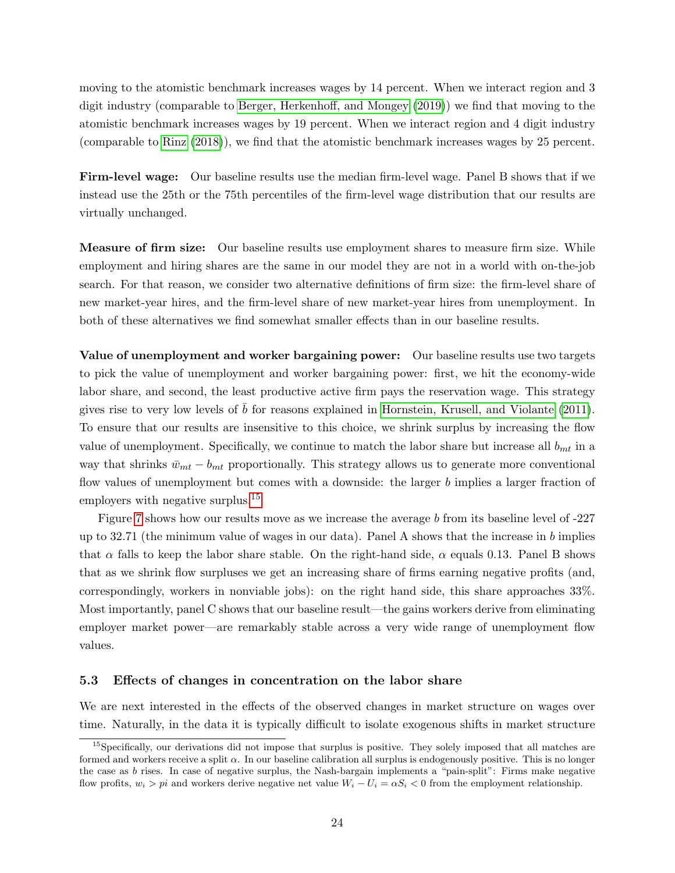moving to the atomistic benchmark increases wages by 14 percent. When we interact region and 3 digit industry (comparable to [Berger, Herkenhoff, and Mongey](#page-30-2) [\(2019\)](#page-30-2)) we find that moving to the atomistic benchmark increases wages by 19 percent. When we interact region and 4 digit industry (comparable to [Rinz](#page-32-0) [\(2018\)](#page-32-0)), we find that the atomistic benchmark increases wages by 25 percent.

Firm-level wage: Our baseline results use the median firm-level wage. Panel B shows that if we instead use the 25th or the 75th percentiles of the firm-level wage distribution that our results are virtually unchanged.

**Measure of firm size:** Our baseline results use employment shares to measure firm size. While employment and hiring shares are the same in our model they are not in a world with on-the-job search. For that reason, we consider two alternative definitions of firm size: the firm-level share of new market-year hires, and the firm-level share of new market-year hires from unemployment. In both of these alternatives we find somewhat smaller effects than in our baseline results.

Value of unemployment and worker bargaining power: Our baseline results use two targets to pick the value of unemployment and worker bargaining power: first, we hit the economy-wide labor share, and second, the least productive active firm pays the reservation wage. This strategy gives rise to very low levels of  $b$  for reasons explained in [Hornstein, Krusell, and Violante](#page-31-14) [\(2011\)](#page-31-14). To ensure that our results are insensitive to this choice, we shrink surplus by increasing the flow value of unemployment. Specifically, we continue to match the labor share but increase all  $b_{mt}$  in a way that shrinks  $\bar{w}_{mt} - b_{mt}$  proportionally. This strategy allows us to generate more conventional flow values of unemployment but comes with a downside: the larger b implies a larger fraction of employers with negative surplus.<sup>[15](#page-25-0)</sup>

Figure [7](#page-46-0) shows how our results move as we increase the average b from its baseline level of -227 up to 32.71 (the minimum value of wages in our data). Panel A shows that the increase in b implies that  $\alpha$  falls to keep the labor share stable. On the right-hand side,  $\alpha$  equals 0.13. Panel B shows that as we shrink flow surpluses we get an increasing share of firms earning negative profits (and, correspondingly, workers in nonviable jobs): on the right hand side, this share approaches 33%. Most importantly, panel C shows that our baseline result—the gains workers derive from eliminating employer market power—are remarkably stable across a very wide range of unemployment flow values.

#### 5.3 Effects of changes in concentration on the labor share

We are next interested in the effects of the observed changes in market structure on wages over time. Naturally, in the data it is typically difficult to isolate exogenous shifts in market structure

<span id="page-25-0"></span><sup>&</sup>lt;sup>15</sup>Specifically, our derivations did not impose that surplus is positive. They solely imposed that all matches are formed and workers receive a split  $\alpha$ . In our baseline calibration all surplus is endogenously positive. This is no longer the case as b rises. In case of negative surplus, the Nash-bargain implements a "pain-split": Firms make negative flow profits,  $w_i > pi$  and workers derive negative net value  $W_i - U_i = \alpha S_i < 0$  from the employment relationship.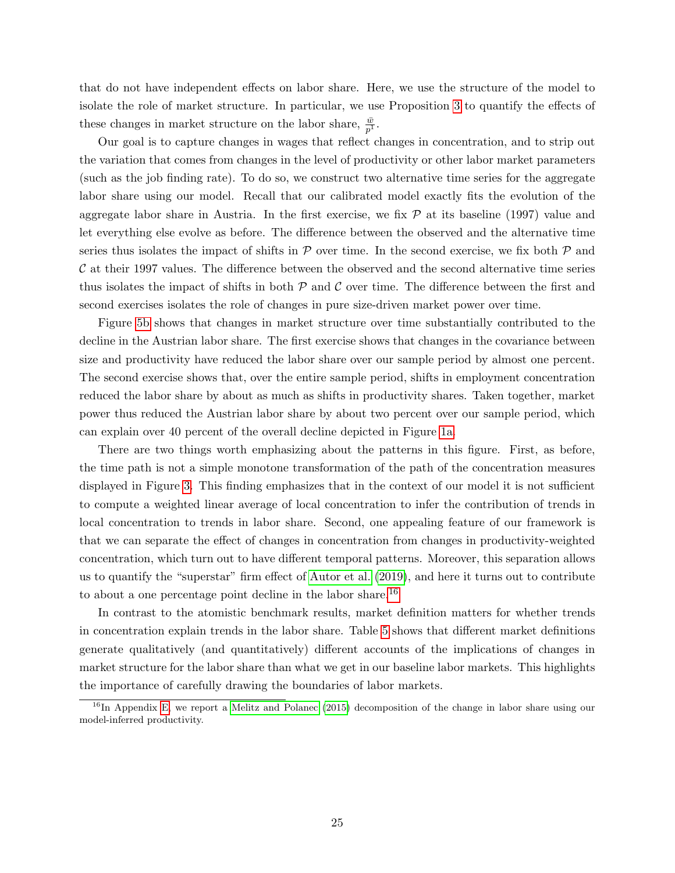that do not have independent effects on labor share. Here, we use the structure of the model to isolate the role of market structure. In particular, we use Proposition [3](#page-14-0) to quantify the effects of these changes in market structure on the labor share,  $\frac{\bar{w}}{p^1}$ .

Our goal is to capture changes in wages that reflect changes in concentration, and to strip out the variation that comes from changes in the level of productivity or other labor market parameters (such as the job finding rate). To do so, we construct two alternative time series for the aggregate labor share using our model. Recall that our calibrated model exactly fits the evolution of the aggregate labor share in Austria. In the first exercise, we fix  $P$  at its baseline (1997) value and let everything else evolve as before. The difference between the observed and the alternative time series thus isolates the impact of shifts in  $\mathcal P$  over time. In the second exercise, we fix both  $\mathcal P$  and  $\mathcal C$  at their 1997 values. The difference between the observed and the second alternative time series thus isolates the impact of shifts in both  $P$  and  $C$  over time. The difference between the first and second exercises isolates the role of changes in pure size-driven market power over time.

Figure [5b](#page-44-0) shows that changes in market structure over time substantially contributed to the decline in the Austrian labor share. The first exercise shows that changes in the covariance between size and productivity have reduced the labor share over our sample period by almost one percent. The second exercise shows that, over the entire sample period, shifts in employment concentration reduced the labor share by about as much as shifts in productivity shares. Taken together, market power thus reduced the Austrian labor share by about two percent over our sample period, which can explain over 40 percent of the overall decline depicted in Figure [1a.](#page-40-0)

There are two things worth emphasizing about the patterns in this figure. First, as before, the time path is not a simple monotone transformation of the path of the concentration measures displayed in Figure [3.](#page-42-0) This finding emphasizes that in the context of our model it is not sufficient to compute a weighted linear average of local concentration to infer the contribution of trends in local concentration to trends in labor share. Second, one appealing feature of our framework is that we can separate the effect of changes in concentration from changes in productivity-weighted concentration, which turn out to have different temporal patterns. Moreover, this separation allows us to quantify the "superstar" firm effect of [Autor et al.](#page-30-10) [\(2019\)](#page-30-10), and here it turns out to contribute to about a one percentage point decline in the labor share.[16](#page-26-0)

In contrast to the atomistic benchmark results, market definition matters for whether trends in concentration explain trends in the labor share. Table [5](#page-37-0) shows that different market definitions generate qualitatively (and quantitatively) different accounts of the implications of changes in market structure for the labor share than what we get in our baseline labor markets. This highlights the importance of carefully drawing the boundaries of labor markets.

<span id="page-26-0"></span> $^{16}$ In Appendix [E,](#page-59-0) we report a [Melitz and Polanec](#page-31-16) [\(2015\)](#page-31-16) decomposition of the change in labor share using our model-inferred productivity.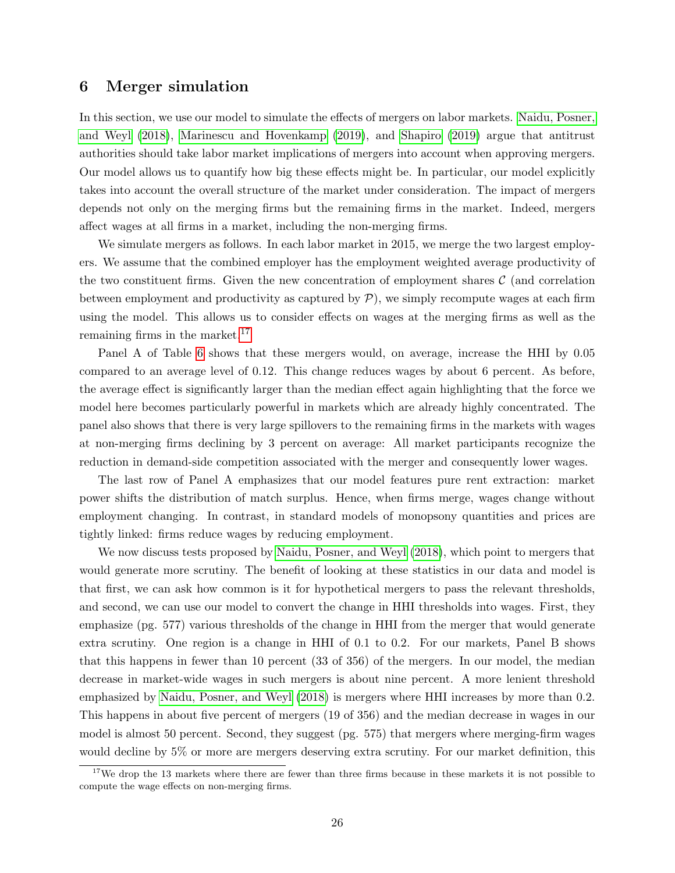## <span id="page-27-0"></span>6 Merger simulation

In this section, we use our model to simulate the effects of mergers on labor markets. [Naidu, Posner,](#page-31-1) [and Weyl](#page-31-1) [\(2018\)](#page-31-1), [Marinescu and Hovenkamp](#page-31-2) [\(2019\)](#page-31-2), and [Shapiro](#page-32-6) [\(2019\)](#page-32-6) argue that antitrust authorities should take labor market implications of mergers into account when approving mergers. Our model allows us to quantify how big these effects might be. In particular, our model explicitly takes into account the overall structure of the market under consideration. The impact of mergers depends not only on the merging firms but the remaining firms in the market. Indeed, mergers affect wages at all firms in a market, including the non-merging firms.

We simulate mergers as follows. In each labor market in 2015, we merge the two largest employers. We assume that the combined employer has the employment weighted average productivity of the two constituent firms. Given the new concentration of employment shares  $\mathcal C$  (and correlation between employment and productivity as captured by  $\mathcal{P}$ ), we simply recompute wages at each firm using the model. This allows us to consider effects on wages at the merging firms as well as the remaining firms in the market.<sup>[17](#page-27-1)</sup>

Panel A of Table [6](#page-38-0) shows that these mergers would, on average, increase the HHI by 0.05 compared to an average level of 0.12. This change reduces wages by about 6 percent. As before, the average effect is significantly larger than the median effect again highlighting that the force we model here becomes particularly powerful in markets which are already highly concentrated. The panel also shows that there is very large spillovers to the remaining firms in the markets with wages at non-merging firms declining by 3 percent on average: All market participants recognize the reduction in demand-side competition associated with the merger and consequently lower wages.

The last row of Panel A emphasizes that our model features pure rent extraction: market power shifts the distribution of match surplus. Hence, when firms merge, wages change without employment changing. In contrast, in standard models of monopsony quantities and prices are tightly linked: firms reduce wages by reducing employment.

We now discuss tests proposed by [Naidu, Posner, and Weyl](#page-31-1)  $(2018)$ , which point to mergers that would generate more scrutiny. The benefit of looking at these statistics in our data and model is that first, we can ask how common is it for hypothetical mergers to pass the relevant thresholds, and second, we can use our model to convert the change in HHI thresholds into wages. First, they emphasize (pg. 577) various thresholds of the change in HHI from the merger that would generate extra scrutiny. One region is a change in HHI of 0.1 to 0.2. For our markets, Panel B shows that this happens in fewer than 10 percent (33 of 356) of the mergers. In our model, the median decrease in market-wide wages in such mergers is about nine percent. A more lenient threshold emphasized by [Naidu, Posner, and Weyl](#page-31-1) [\(2018\)](#page-31-1) is mergers where HHI increases by more than 0.2. This happens in about five percent of mergers (19 of 356) and the median decrease in wages in our model is almost 50 percent. Second, they suggest (pg. 575) that mergers where merging-firm wages would decline by 5% or more are mergers deserving extra scrutiny. For our market definition, this

<span id="page-27-1"></span><sup>&</sup>lt;sup>17</sup>We drop the 13 markets where there are fewer than three firms because in these markets it is not possible to compute the wage effects on non-merging firms.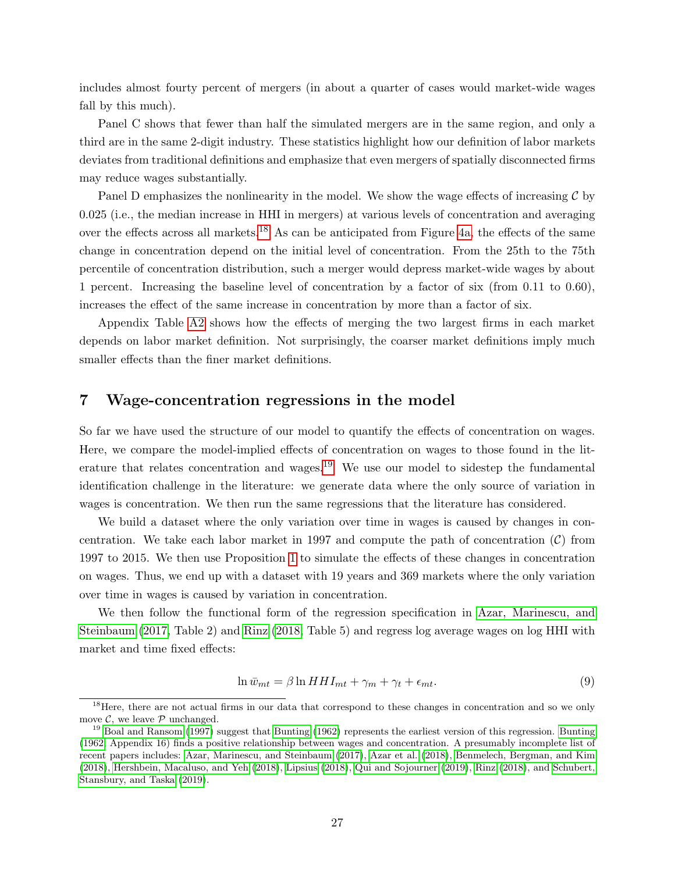includes almost fourty percent of mergers (in about a quarter of cases would market-wide wages fall by this much).

Panel C shows that fewer than half the simulated mergers are in the same region, and only a third are in the same 2-digit industry. These statistics highlight how our definition of labor markets deviates from traditional definitions and emphasize that even mergers of spatially disconnected firms may reduce wages substantially.

Panel D emphasizes the nonlinearity in the model. We show the wage effects of increasing  $\mathcal C$  by 0.025 (i.e., the median increase in HHI in mergers) at various levels of concentration and averaging over the effects across all markets.<sup>[18](#page-28-1)</sup> As can be anticipated from Figure [4a,](#page-43-0) the effects of the same change in concentration depend on the initial level of concentration. From the 25th to the 75th percentile of concentration distribution, such a merger would depress market-wide wages by about 1 percent. Increasing the baseline level of concentration by a factor of six (from 0.11 to 0.60), increases the effect of the same increase in concentration by more than a factor of six.

Appendix Table [A2](#page-61-0) shows how the effects of merging the two largest firms in each market depends on labor market definition. Not surprisingly, the coarser market definitions imply much smaller effects than the finer market definitions.

## <span id="page-28-0"></span>7 Wage-concentration regressions in the model

So far we have used the structure of our model to quantify the effects of concentration on wages. Here, we compare the model-implied effects of concentration on wages to those found in the lit-erature that relates concentration and wages.<sup>[19](#page-28-2)</sup> We use our model to sidestep the fundamental identification challenge in the literature: we generate data where the only source of variation in wages is concentration. We then run the same regressions that the literature has considered.

We build a dataset where the only variation over time in wages is caused by changes in concentration. We take each labor market in 1997 and compute the path of concentration  $(C)$  from 1997 to 2015. We then use Proposition [1](#page-11-0) to simulate the effects of these changes in concentration on wages. Thus, we end up with a dataset with 19 years and 369 markets where the only variation over time in wages is caused by variation in concentration.

We then follow the functional form of the regression specification in [Azar, Marinescu, and](#page-30-0) [Steinbaum](#page-30-0) [\(2017,](#page-30-0) Table 2) and [Rinz](#page-32-0) [\(2018,](#page-32-0) Table 5) and regress log average wages on log HHI with market and time fixed effects:

$$
\ln \bar{w}_{mt} = \beta \ln H H I_{mt} + \gamma_m + \gamma_t + \epsilon_{mt}.
$$
\n(9)

<span id="page-28-1"></span><sup>&</sup>lt;sup>18</sup>Here, there are not actual firms in our data that correspond to these changes in concentration and so we only move  $\mathcal{C}$ , we leave  $\mathcal{P}$  unchanged.

<span id="page-28-2"></span> $19$  [Boal and Ransom](#page-30-15) [\(1997\)](#page-30-15) suggest that [Bunting](#page-30-16) [\(1962\)](#page-30-16) represents the earliest version of this regression. Bunting [\(1962,](#page-30-16) Appendix 16) finds a positive relationship between wages and concentration. A presumably incomplete list of recent papers includes: [Azar, Marinescu, and Steinbaum](#page-30-0) [\(2017\)](#page-30-0), [Azar et al.](#page-30-17) [\(2018\)](#page-30-17), [Benmelech, Bergman, and Kim](#page-30-13) [\(2018\)](#page-30-13), [Hershbein, Macaluso, and Yeh](#page-31-17) [\(2018\)](#page-31-17), [Lipsius](#page-31-18) [\(2018\)](#page-31-18), [Qui and Sojourner](#page-32-7) [\(2019\)](#page-32-7), [Rinz](#page-32-0) [\(2018\)](#page-32-0), and [Schubert,](#page-32-8) [Stansbury, and Taska](#page-32-8) [\(2019\)](#page-32-8).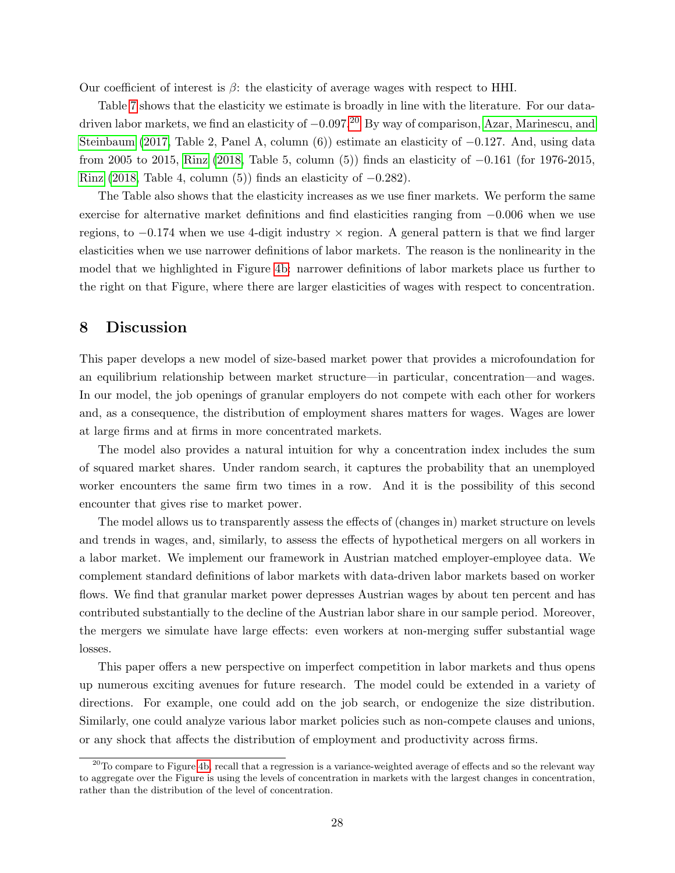Our coefficient of interest is  $\beta$ : the elasticity of average wages with respect to HHI.

Table [7](#page-39-0) shows that the elasticity we estimate is broadly in line with the literature. For our datadriven labor markets, we find an elasticity of  $-0.097<sup>20</sup>$  $-0.097<sup>20</sup>$  $-0.097<sup>20</sup>$  By way of comparison, [Azar, Marinescu, and](#page-30-0) [Steinbaum](#page-30-0) [\(2017,](#page-30-0) Table 2, Panel A, column (6)) estimate an elasticity of −0.127. And, using data from 2005 to 2015, [Rinz](#page-32-0) [\(2018,](#page-32-0) Table 5, column (5)) finds an elasticity of −0.161 (for 1976-2015, [Rinz](#page-32-0) [\(2018,](#page-32-0) Table 4, column (5)) finds an elasticity of  $-0.282$ .

The Table also shows that the elasticity increases as we use finer markets. We perform the same exercise for alternative market definitions and find elasticities ranging from −0.006 when we use regions, to −0.174 when we use 4-digit industry × region. A general pattern is that we find larger elasticities when we use narrower definitions of labor markets. The reason is the nonlinearity in the model that we highlighted in Figure [4b:](#page-43-0) narrower definitions of labor markets place us further to the right on that Figure, where there are larger elasticities of wages with respect to concentration.

## <span id="page-29-0"></span>8 Discussion

This paper develops a new model of size-based market power that provides a microfoundation for an equilibrium relationship between market structure—in particular, concentration—and wages. In our model, the job openings of granular employers do not compete with each other for workers and, as a consequence, the distribution of employment shares matters for wages. Wages are lower at large firms and at firms in more concentrated markets.

The model also provides a natural intuition for why a concentration index includes the sum of squared market shares. Under random search, it captures the probability that an unemployed worker encounters the same firm two times in a row. And it is the possibility of this second encounter that gives rise to market power.

The model allows us to transparently assess the effects of (changes in) market structure on levels and trends in wages, and, similarly, to assess the effects of hypothetical mergers on all workers in a labor market. We implement our framework in Austrian matched employer-employee data. We complement standard definitions of labor markets with data-driven labor markets based on worker flows. We find that granular market power depresses Austrian wages by about ten percent and has contributed substantially to the decline of the Austrian labor share in our sample period. Moreover, the mergers we simulate have large effects: even workers at non-merging suffer substantial wage losses.

This paper offers a new perspective on imperfect competition in labor markets and thus opens up numerous exciting avenues for future research. The model could be extended in a variety of directions. For example, one could add on the job search, or endogenize the size distribution. Similarly, one could analyze various labor market policies such as non-compete clauses and unions, or any shock that affects the distribution of employment and productivity across firms.

<span id="page-29-1"></span> $^{20}$ To compare to Figure [4b,](#page-43-0) recall that a regression is a variance-weighted average of effects and so the relevant way to aggregate over the Figure is using the levels of concentration in markets with the largest changes in concentration, rather than the distribution of the level of concentration.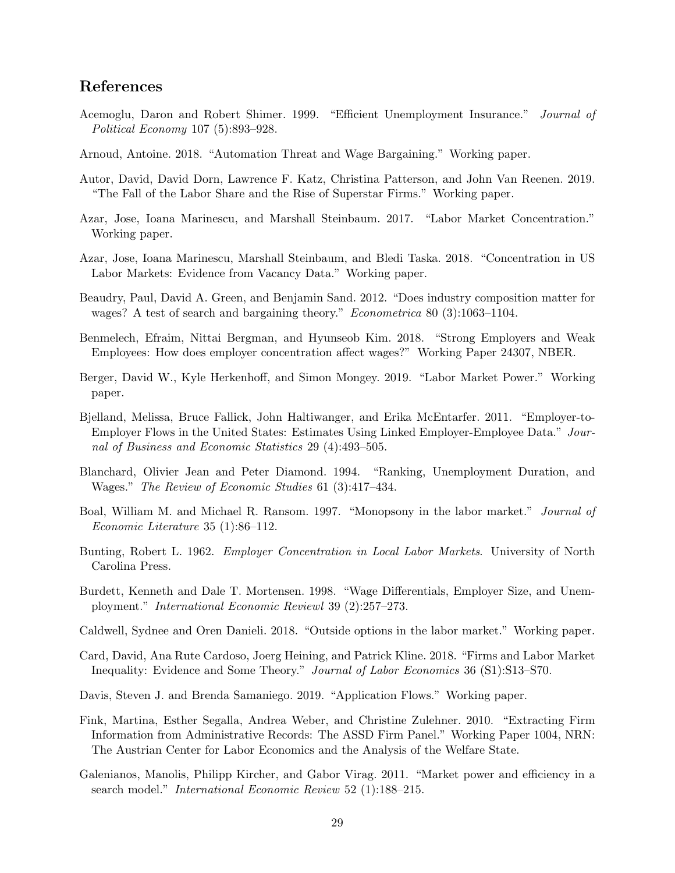## References

- <span id="page-30-14"></span>Acemoglu, Daron and Robert Shimer. 1999. "Efficient Unemployment Insurance." Journal of Political Economy 107 (5):893–928.
- <span id="page-30-6"></span>Arnoud, Antoine. 2018. "Automation Threat and Wage Bargaining." Working paper.
- <span id="page-30-10"></span>Autor, David, David Dorn, Lawrence F. Katz, Christina Patterson, and John Van Reenen. 2019. "The Fall of the Labor Share and the Rise of Superstar Firms." Working paper.
- <span id="page-30-0"></span>Azar, Jose, Ioana Marinescu, and Marshall Steinbaum. 2017. "Labor Market Concentration." Working paper.
- <span id="page-30-17"></span>Azar, Jose, Ioana Marinescu, Marshall Steinbaum, and Bledi Taska. 2018. "Concentration in US Labor Markets: Evidence from Vacancy Data." Working paper.
- <span id="page-30-4"></span>Beaudry, Paul, David A. Green, and Benjamin Sand. 2012. "Does industry composition matter for wages? A test of search and bargaining theory." Econometrica 80 (3):1063–1104.
- <span id="page-30-13"></span>Benmelech, Efraim, Nittai Bergman, and Hyunseob Kim. 2018. "Strong Employers and Weak Employees: How does employer concentration affect wages?" Working Paper 24307, NBER.
- <span id="page-30-2"></span>Berger, David W., Kyle Herkenhoff, and Simon Mongey. 2019. "Labor Market Power." Working paper.
- <span id="page-30-12"></span>Bjelland, Melissa, Bruce Fallick, John Haltiwanger, and Erika McEntarfer. 2011. "Employer-to-Employer Flows in the United States: Estimates Using Linked Employer-Employee Data." Journal of Business and Economic Statistics 29 (4):493–505.
- <span id="page-30-8"></span>Blanchard, Olivier Jean and Peter Diamond. 1994. "Ranking, Unemployment Duration, and Wages." The Review of Economic Studies 61 (3):417–434.
- <span id="page-30-15"></span>Boal, William M. and Michael R. Ransom. 1997. "Monopsony in the labor market." *Journal of* Economic Literature 35 (1):86–112.
- <span id="page-30-16"></span>Bunting, Robert L. 1962. *Employer Concentration in Local Labor Markets*. University of North Carolina Press.
- <span id="page-30-3"></span>Burdett, Kenneth and Dale T. Mortensen. 1998. "Wage Differentials, Employer Size, and Unemployment." International Economic Reviewl 39 (2):257–273.
- <span id="page-30-5"></span>Caldwell, Sydnee and Oren Danieli. 2018. "Outside options in the labor market." Working paper.
- <span id="page-30-1"></span>Card, David, Ana Rute Cardoso, Joerg Heining, and Patrick Kline. 2018. "Firms and Labor Market Inequality: Evidence and Some Theory." Journal of Labor Economics 36 (S1):S13–S70.
- <span id="page-30-9"></span>Davis, Steven J. and Brenda Samaniego. 2019. "Application Flows." Working paper.
- <span id="page-30-11"></span>Fink, Martina, Esther Segalla, Andrea Weber, and Christine Zulehner. 2010. "Extracting Firm Information from Administrative Records: The ASSD Firm Panel." Working Paper 1004, NRN: The Austrian Center for Labor Economics and the Analysis of the Welfare State.
- <span id="page-30-7"></span>Galenianos, Manolis, Philipp Kircher, and Gabor Virag. 2011. "Market power and efficiency in a search model." International Economic Review 52 (1):188–215.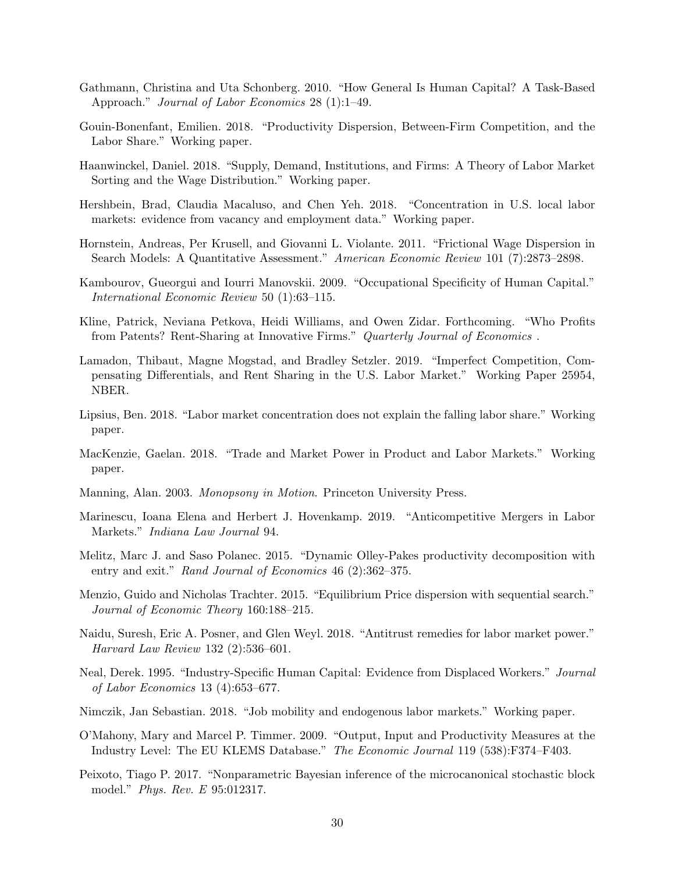- <span id="page-31-11"></span>Gathmann, Christina and Uta Schonberg. 2010. "How General Is Human Capital? A Task-Based Approach." Journal of Labor Economics 28 (1):1–49.
- <span id="page-31-7"></span>Gouin-Bonenfant, Emilien. 2018. "Productivity Dispersion, Between-Firm Competition, and the Labor Share." Working paper.
- <span id="page-31-5"></span>Haanwinckel, Daniel. 2018. "Supply, Demand, Institutions, and Firms: A Theory of Labor Market Sorting and the Wage Distribution." Working paper.
- <span id="page-31-17"></span>Hershbein, Brad, Claudia Macaluso, and Chen Yeh. 2018. "Concentration in U.S. local labor markets: evidence from vacancy and employment data." Working paper.
- <span id="page-31-14"></span>Hornstein, Andreas, Per Krusell, and Giovanni L. Violante. 2011. "Frictional Wage Dispersion in Search Models: A Quantitative Assessment." American Economic Review 101 (7):2873–2898.
- <span id="page-31-10"></span>Kambourov, Gueorgui and Iourri Manovskii. 2009. "Occupational Specificity of Human Capital." International Economic Review 50 (1):63–115.
- <span id="page-31-15"></span>Kline, Patrick, Neviana Petkova, Heidi Williams, and Owen Zidar. Forthcoming. "Who Profits from Patents? Rent-Sharing at Innovative Firms." Quarterly Journal of Economics .
- <span id="page-31-3"></span>Lamadon, Thibaut, Magne Mogstad, and Bradley Setzler. 2019. "Imperfect Competition, Compensating Differentials, and Rent Sharing in the U.S. Labor Market." Working Paper 25954, NBER.
- <span id="page-31-18"></span>Lipsius, Ben. 2018. "Labor market concentration does not explain the falling labor share." Working paper.
- <span id="page-31-4"></span>MacKenzie, Gaelan. 2018. "Trade and Market Power in Product and Labor Markets." Working paper.
- <span id="page-31-6"></span>Manning, Alan. 2003. Monopsony in Motion. Princeton University Press.
- <span id="page-31-2"></span>Marinescu, Ioana Elena and Herbert J. Hovenkamp. 2019. "Anticompetitive Mergers in Labor Markets." Indiana Law Journal 94.
- <span id="page-31-16"></span>Melitz, Marc J. and Saso Polanec. 2015. "Dynamic Olley-Pakes productivity decomposition with entry and exit." Rand Journal of Economics 46 (2):362–375.
- <span id="page-31-8"></span>Menzio, Guido and Nicholas Trachter. 2015. "Equilibrium Price dispersion with sequential search." Journal of Economic Theory 160:188–215.
- <span id="page-31-1"></span>Naidu, Suresh, Eric A. Posner, and Glen Weyl. 2018. "Antitrust remedies for labor market power." Harvard Law Review 132 (2):536–601.
- <span id="page-31-9"></span>Neal, Derek. 1995. "Industry-Specific Human Capital: Evidence from Displaced Workers." Journal of Labor Economics 13 (4):653–677.
- <span id="page-31-0"></span>Nimczik, Jan Sebastian. 2018. "Job mobility and endogenous labor markets." Working paper.
- <span id="page-31-13"></span>O'Mahony, Mary and Marcel P. Timmer. 2009. "Output, Input and Productivity Measures at the Industry Level: The EU KLEMS Database." The Economic Journal 119 (538):F374–F403.
- <span id="page-31-12"></span>Peixoto, Tiago P. 2017. "Nonparametric Bayesian inference of the microcanonical stochastic block model." Phys. Rev. E 95:012317.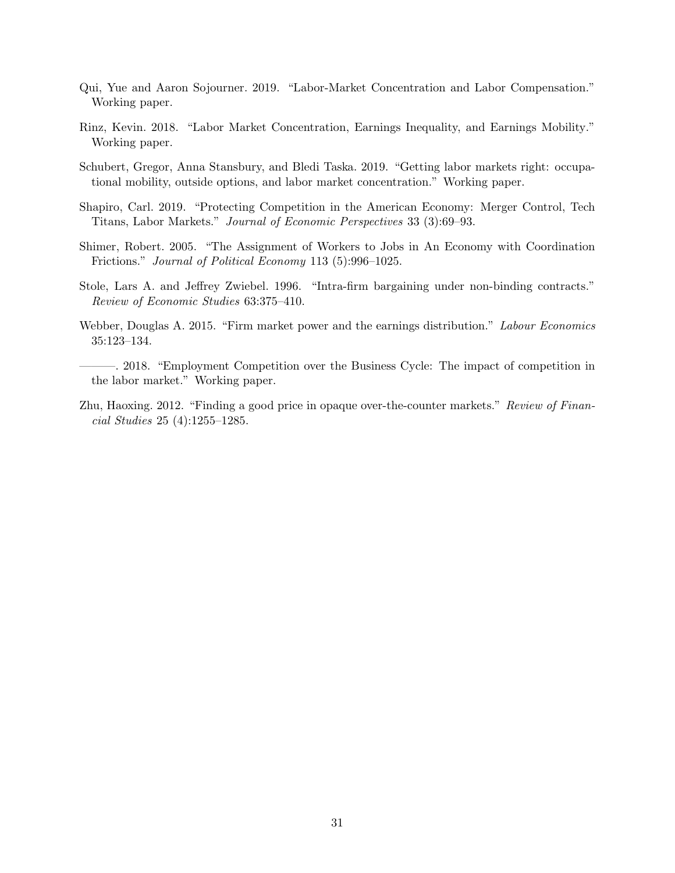- <span id="page-32-7"></span>Qui, Yue and Aaron Sojourner. 2019. "Labor-Market Concentration and Labor Compensation." Working paper.
- <span id="page-32-0"></span>Rinz, Kevin. 2018. "Labor Market Concentration, Earnings Inequality, and Earnings Mobility." Working paper.
- <span id="page-32-8"></span>Schubert, Gregor, Anna Stansbury, and Bledi Taska. 2019. "Getting labor markets right: occupational mobility, outside options, and labor market concentration." Working paper.
- <span id="page-32-6"></span>Shapiro, Carl. 2019. "Protecting Competition in the American Economy: Merger Control, Tech Titans, Labor Markets." Journal of Economic Perspectives 33 (3):69–93.
- <span id="page-32-5"></span>Shimer, Robert. 2005. "The Assignment of Workers to Jobs in An Economy with Coordination Frictions." Journal of Political Economy 113 (5):996–1025.
- <span id="page-32-1"></span>Stole, Lars A. and Jeffrey Zwiebel. 1996. "Intra-firm bargaining under non-binding contracts." Review of Economic Studies 63:375–410.
- <span id="page-32-2"></span>Webber, Douglas A. 2015. "Firm market power and the earnings distribution." Labour Economics 35:123–134.
- <span id="page-32-3"></span>———. 2018. "Employment Competition over the Business Cycle: The impact of competition in the labor market." Working paper.
- <span id="page-32-4"></span>Zhu, Haoxing. 2012. "Finding a good price in opaque over-the-counter markets." Review of Financial Studies 25 (4):1255–1285.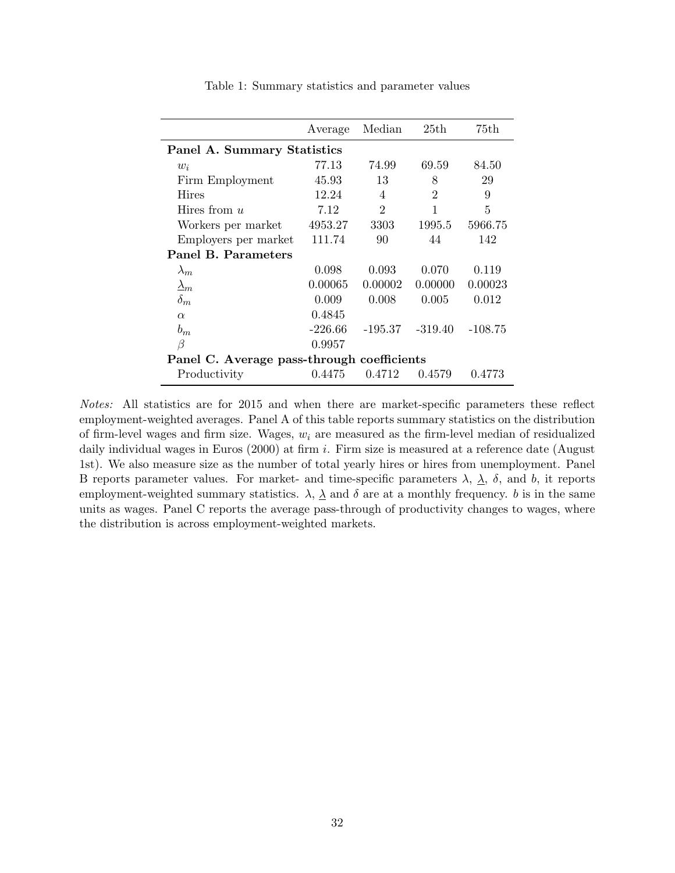<span id="page-33-0"></span>

|                                            | Average   | Median         | 25th           | 75th      |
|--------------------------------------------|-----------|----------------|----------------|-----------|
| Panel A. Summary Statistics                |           |                |                |           |
| $w_i$                                      | 77.13     | 74.99          | 69.59          | 84.50     |
| Firm Employment                            | 45.93     | 13             | 8              | 29        |
| Hires                                      | 12.24     | 4              | $\overline{2}$ | 9         |
| Hires from $u$                             | 7.12      | $\mathfrak{D}$ | 1              | 5         |
| Workers per market                         | 4953.27   | 3303           | 1995.5         | 5966.75   |
| Employers per market                       | 111.74    | 90             | 44             | 142       |
| Panel B. Parameters                        |           |                |                |           |
| $\lambda_m$                                | 0.098     | 0.093          | 0.070          | 0.119     |
| $\Delta_m$                                 | 0.00065   | 0.00002        | 0.00000        | 0.00023   |
| $\delta_m$                                 | 0.009     | 0.008          | 0.005          | 0.012     |
| $\alpha$                                   | 0.4845    |                |                |           |
| $b_m$                                      | $-226.66$ | -195.37        | $-319.40$      | $-108.75$ |
| β                                          | 0.9957    |                |                |           |
| Panel C. Average pass-through coefficients |           |                |                |           |
| Productivity                               | 0.4475    | 0.4712         | 0.4579         | 0.4773    |

Table 1: Summary statistics and parameter values

Notes: All statistics are for 2015 and when there are market-specific parameters these reflect employment-weighted averages. Panel A of this table reports summary statistics on the distribution of firm-level wages and firm size. Wages,  $w_i$  are measured as the firm-level median of residualized daily individual wages in Euros  $(2000)$  at firm i. Firm size is measured at a reference date (August 1st). We also measure size as the number of total yearly hires or hires from unemployment. Panel B reports parameter values. For market- and time-specific parameters  $\lambda$ ,  $\lambda$ ,  $\delta$ , and b, it reports employment-weighted summary statistics.  $\lambda$ ,  $\underline{\lambda}$  and  $\delta$  are at a monthly frequency. b is in the same units as wages. Panel C reports the average pass-through of productivity changes to wages, where the distribution is across employment-weighted markets.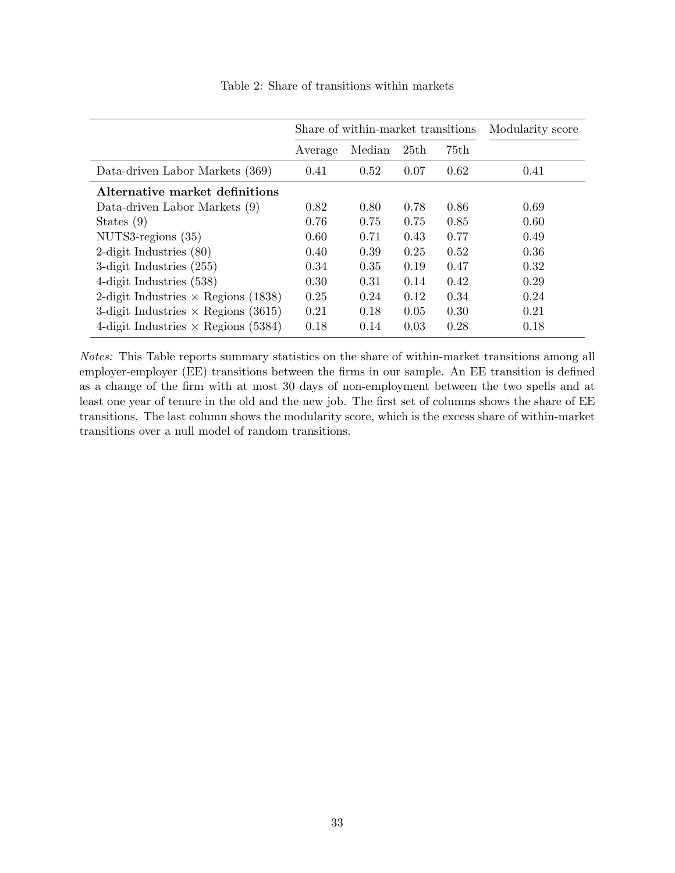<span id="page-34-0"></span>

|                                            |         | Share of within-market transitions |      | Modularity score |      |
|--------------------------------------------|---------|------------------------------------|------|------------------|------|
|                                            | Average | Median                             | 25th | 75th             |      |
| Data-driven Labor Markets (369)            | 0.41    | 0.52                               | 0.07 | 0.62             | 0.41 |
| Alternative market definitions             |         |                                    |      |                  |      |
| Data-driven Labor Markets (9)              | 0.82    | 0.80                               | 0.78 | 0.86             | 0.69 |
| States $(9)$                               | 0.76    | 0.75                               | 0.75 | 0.85             | 0.60 |
| $NUTS3-regions (35)$                       | 0.60    | 0.71                               | 0.43 | 0.77             | 0.49 |
| 2-digit Industries $(80)$                  | 0.40    | 0.39                               | 0.25 | 0.52             | 0.36 |
| 3-digit Industries $(255)$                 | 0.34    | 0.35                               | 0.19 | 0.47             | 0.32 |
| 4-digit Industries (538)                   | 0.30    | 0.31                               | 0.14 | 0.42             | 0.29 |
| 2-digit Industries $\times$ Regions (1838) | 0.25    | 0.24                               | 0.12 | 0.34             | 0.24 |
| 3-digit Industries $\times$ Regions (3615) | 0.21    | 0.18                               | 0.05 | 0.30             | 0.21 |
| 4-digit Industries $\times$ Regions (5384) | 0.18    | 0.14                               | 0.03 | 0.28             | 0.18 |

Table 2: Share of transitions within markets

Notes: This Table reports summary statistics on the share of within-market transitions among all employer-employer (EE) transitions between the firms in our sample. An EE transition is defined as a change of the firm with at most 30 days of non-employment between the two spells and at least one year of tenure in the old and the new job. The first set of columns shows the share of EE transitions. The last column shows the modularity score, which is the excess share of within-market transitions over a null model of random transitions.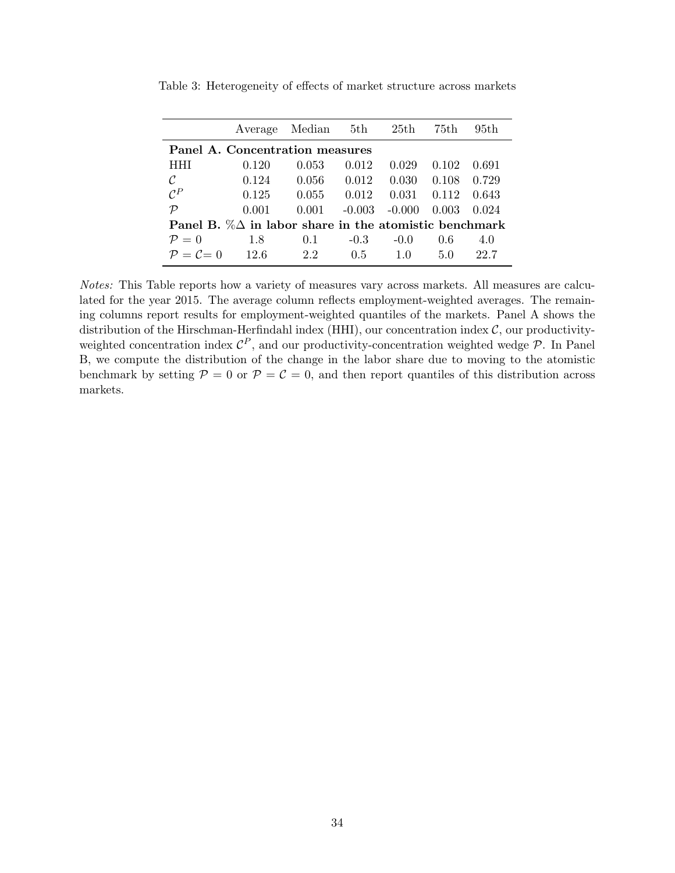|                                                                |       | Average Median 5th |          | 25th     | 75th  | 95th  |  |
|----------------------------------------------------------------|-------|--------------------|----------|----------|-------|-------|--|
| Panel A. Concentration measures                                |       |                    |          |          |       |       |  |
| <b>HHI</b>                                                     | 0.120 | 0.053              | 0.012    | 0.029    | 0.102 | 0.691 |  |
| $\mathcal C$                                                   | 0.124 | 0.056              | 0.012    | 0.030    | 0.108 | 0.729 |  |
| $\mathcal{C}^P$                                                | 0.125 | 0.055              | 0.012    | 0.031    | 0.112 | 0.643 |  |
| $\mathcal{P}$                                                  | 0.001 | 0.001              | $-0.003$ | $-0.000$ | 0.003 | 0.024 |  |
| Panel B. $\% \Delta$ in labor share in the atomistic benchmark |       |                    |          |          |       |       |  |
| $\mathcal{P}=0$                                                | 1.8   | 0.1                | $-0.3$   | $-0.0$   | 0.6   | 4.0   |  |
| $\mathcal{P} = \mathcal{C} = 0$                                | 12.6  | 2.2                | 0.5      | 1.0      | 5.0   | 22.7  |  |

<span id="page-35-0"></span>Table 3: Heterogeneity of effects of market structure across markets

Notes: This Table reports how a variety of measures vary across markets. All measures are calculated for the year 2015. The average column reflects employment-weighted averages. The remaining columns report results for employment-weighted quantiles of the markets. Panel A shows the distribution of the Hirschman-Herfindahl index (HHI), our concentration index  $C$ , our productivityweighted concentration index  $\mathcal{C}^P$ , and our productivity-concentration weighted wedge  $\mathcal{P}$ . In Panel B, we compute the distribution of the change in the labor share due to moving to the atomistic benchmark by setting  $P = 0$  or  $P = C = 0$ , and then report quantiles of this distribution across markets.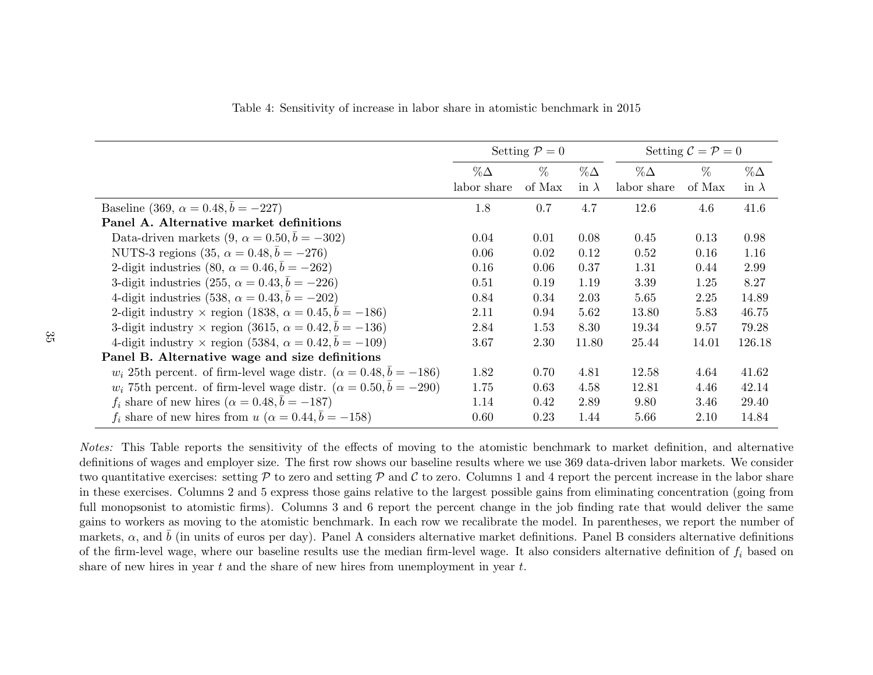|                                                                                 |             | Setting $P=0$ |              |             | Setting $\mathcal{C} = \mathcal{P} = 0$ |              |
|---------------------------------------------------------------------------------|-------------|---------------|--------------|-------------|-----------------------------------------|--------------|
|                                                                                 | $\%\Delta$  | $\%$          | $\% \Delta$  | $\%\Delta$  | $\%$                                    | $\%\Delta$   |
|                                                                                 | labor share | of Max        | in $\lambda$ | labor share | of Max                                  | in $\lambda$ |
| Baseline (369, $\alpha = 0.48, b = -227$ )                                      | 1.8         | 0.7           | 4.7          | 12.6        | 4.6                                     | 41.6         |
| Panel A. Alternative market definitions                                         |             |               |              |             |                                         |              |
| Data-driven markets $(9, \alpha = 0.50, \bar{b} = -302)$                        | 0.04        | 0.01          | 0.08         | 0.45        | 0.13                                    | 0.98         |
| NUTS-3 regions (35, $\alpha = 0.48, \bar{b} = -276$ )                           | 0.06        | 0.02          | 0.12         | 0.52        | 0.16                                    | 1.16         |
| 2-digit industries (80, $\alpha = 0.46, \bar{b} = -262$ )                       | 0.16        | 0.06          | 0.37         | 1.31        | 0.44                                    | 2.99         |
| 3-digit industries (255, $\alpha = 0.43, \overline{b} = -226$ )                 | 0.51        | 0.19          | 1.19         | 3.39        | 1.25                                    | 8.27         |
| 4-digit industries (538, $\alpha = 0.43, b = -202$ )                            | 0.84        | 0.34          | 2.03         | 5.65        | 2.25                                    | 14.89        |
| 2-digit industry $\times$ region (1838, $\alpha = 0.45, b = -186$ )             | 2.11        | 0.94          | 5.62         | 13.80       | 5.83                                    | 46.75        |
| 3-digit industry $\times$ region (3615, $\alpha = 0.42, b = -136$ )             | 2.84        | 1.53          | 8.30         | 19.34       | 9.57                                    | 79.28        |
| 4-digit industry $\times$ region (5384, $\alpha = 0.42, b = -109$ )             | 3.67        | 2.30          | 11.80        | 25.44       | 14.01                                   | 126.18       |
| Panel B. Alternative wage and size definitions                                  |             |               |              |             |                                         |              |
| $w_i$ 25th percent. of firm-level wage distr. $(\alpha = 0.48, \bar{b} = -186)$ | 1.82        | 0.70          | 4.81         | 12.58       | 4.64                                    | 41.62        |
| $w_i$ 75th percent. of firm-level wage distr. $(\alpha = 0.50, \bar{b} = -290)$ | 1.75        | 0.63          | 4.58         | 12.81       | 4.46                                    | 42.14        |
| $f_i$ share of new hires $(\alpha = 0.48, b = -187)$                            | 1.14        | 0.42          | 2.89         | 9.80        | 3.46                                    | 29.40        |
| $f_i$ share of new hires from $u$ ( $\alpha = 0.44, \bar{b} = -158$ )           | 0.60        | 0.23          | 1.44         | 5.66        | 2.10                                    | 14.84        |

Table 4: Sensitivity of increase in labor share in atomistic benchmark in 2015

<span id="page-36-0"></span>Notes: This Table reports the sensitivity of the effects of moving to the atomistic benchmark to market definition, and alternative definitions of wages and employer size. The first row shows our baseline results where we use 369 data-driven labor markets. We considertwo quantitative exercises: setting  $P$  to zero and setting  $P$  and  $C$  to zero. Columns 1 and 4 report the percent increase in the labor share in these exercises. Columns <sup>2</sup> and <sup>5</sup> express those gains relative to the largest possible gains from eliminating concentration (going from full monopsonist to atomistic firms). Columns <sup>3</sup> and <sup>6</sup> report the percent change in the job finding rate that would deliver the same gains to workers as moving to the atomistic benchmark. In each row we recalibrate the model. In parentheses, we report the number ofmarkets,  $\alpha$ , and  $\bar{b}$  (in units of euros per day). Panel A considers alternative market definitions. Panel B considers alternative definitions of the firm-level wage, where our baseline results use the median firm-level wage. It also considers alternative definition of  $f_i$  based on share of new hires in year  $t$  and the share of new hires from unemployment in year  $t$ .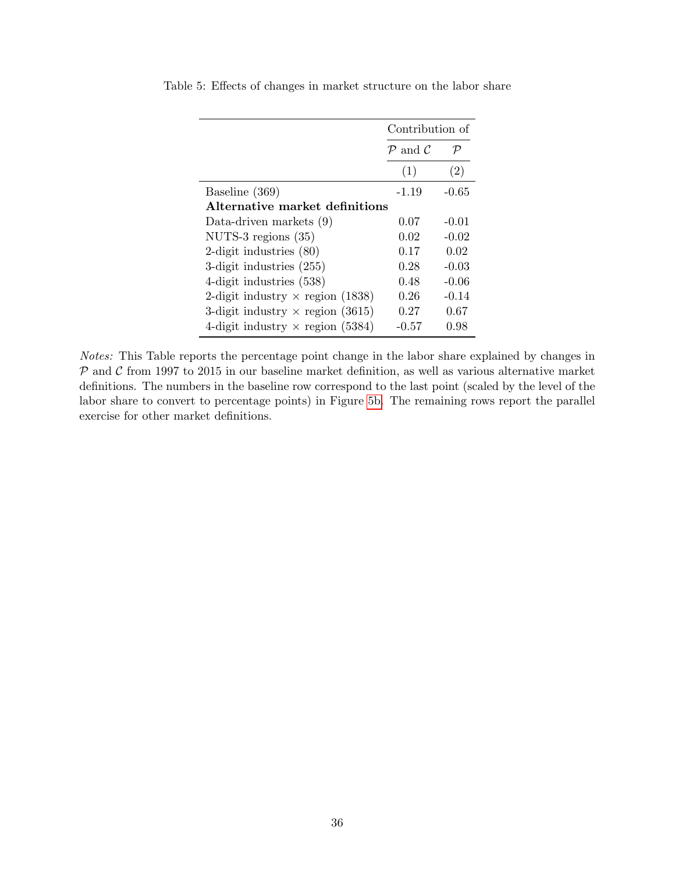|                                         | Contribution of                 |                   |  |  |  |  |
|-----------------------------------------|---------------------------------|-------------------|--|--|--|--|
|                                         | $\mathcal{P}$ and $\mathcal{C}$ | $\mathcal P$      |  |  |  |  |
|                                         | (1)                             | $\left( 2\right)$ |  |  |  |  |
| Baseline (369)                          | $-1.19$                         | $-0.65$           |  |  |  |  |
| Alternative market definitions          |                                 |                   |  |  |  |  |
| Data-driven markets $(9)$               | 0.07                            | $-0.01$           |  |  |  |  |
| NUTS-3 regions $(35)$                   | 0.02                            | $-0.02$           |  |  |  |  |
| 2-digit industries $(80)$               | 0.17                            | 0.02              |  |  |  |  |
| 3-digit industries $(255)$              | 0.28                            | $-0.03$           |  |  |  |  |
| 4-digit industries (538)                | 0.48                            | -0.06             |  |  |  |  |
| 2-digit industry $\times$ region (1838) | 0.26                            | $-0.14$           |  |  |  |  |
| 3-digit industry $\times$ region (3615) | 0.27                            | 0.67              |  |  |  |  |
| 4-digit industry $\times$ region (5384) | $-0.57$                         | 0.98              |  |  |  |  |

<span id="page-37-0"></span>Table 5: Effects of changes in market structure on the labor share

Notes: This Table reports the percentage point change in the labor share explained by changes in  $P$  and  $C$  from 1997 to 2015 in our baseline market definition, as well as various alternative market definitions. The numbers in the baseline row correspond to the last point (scaled by the level of the labor share to convert to percentage points) in Figure [5b.](#page-44-0) The remaining rows report the parallel exercise for other market definitions.

 $\overline{a}$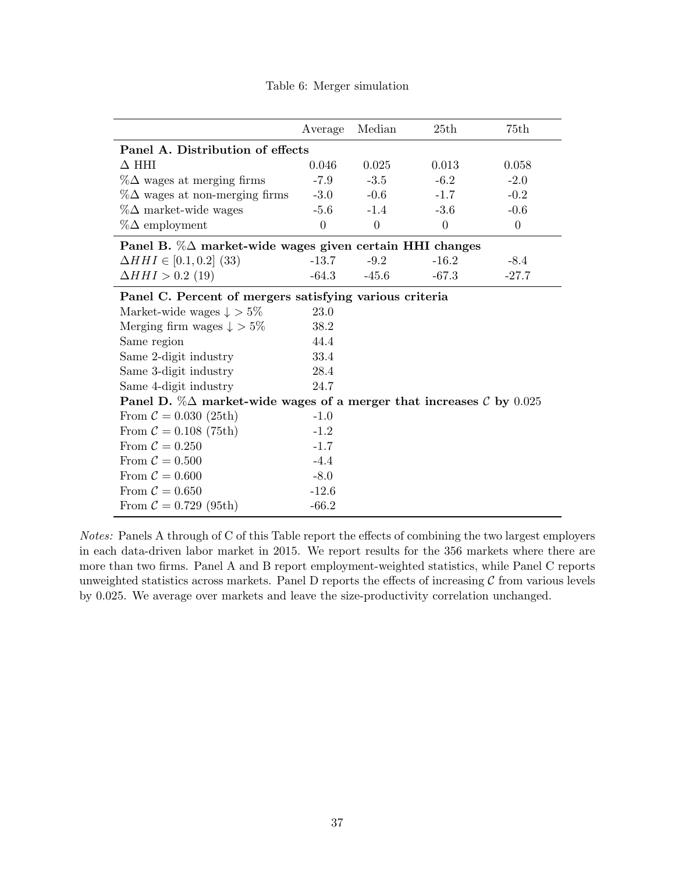<span id="page-38-0"></span>

|                                                                                         | Average        | Median         | 25th     | 75th     |  |  |  |
|-----------------------------------------------------------------------------------------|----------------|----------------|----------|----------|--|--|--|
| Panel A. Distribution of effects                                                        |                |                |          |          |  |  |  |
| $\Delta$ HHI                                                                            | 0.046          | 0.025          | 0.013    | 0.058    |  |  |  |
| $\%\Delta$ wages at merging firms                                                       | $-7.9$         | $-3.5$         | $-6.2$   | $-2.0$   |  |  |  |
| $\%\Delta$ wages at non-merging firms                                                   | $-3.0$         | $-0.6$         | $-1.7$   | $-0.2$   |  |  |  |
| $\%\Delta$ market-wide wages                                                            | $-5.6$         | $-1.4$         | $-3.6$   | $-0.6$   |  |  |  |
| $\%\Delta$ employment                                                                   | $\overline{0}$ | $\overline{0}$ | $\theta$ | $\theta$ |  |  |  |
| Panel B. $\% \Delta$ market-wide wages given certain HHI changes                        |                |                |          |          |  |  |  |
| $\Delta HHI \in [0.1, 0.2]$ (33)                                                        | $-13.7$        | $-9.2$         | $-16.2$  | $-8.4$   |  |  |  |
| $\Delta H H I > 0.2$ (19)                                                               | $-64.3$        | $-45.6$        | $-67.3$  | $-27.7$  |  |  |  |
| Panel C. Percent of mergers satisfying various criteria                                 |                |                |          |          |  |  |  |
| Market-wide wages $\downarrow$ > 5%                                                     | 23.0           |                |          |          |  |  |  |
| Merging firm wages $\downarrow$ > 5%                                                    | 38.2           |                |          |          |  |  |  |
| Same region                                                                             | 44.4           |                |          |          |  |  |  |
| Same 2-digit industry                                                                   | 33.4           |                |          |          |  |  |  |
| Same 3-digit industry                                                                   | 28.4           |                |          |          |  |  |  |
| Same 4-digit industry                                                                   | 24.7           |                |          |          |  |  |  |
| Panel D. $\%\Delta$ market-wide wages of a merger that increases $\mathcal{C}$ by 0.025 |                |                |          |          |  |  |  |
| From $C = 0.030$ (25th)                                                                 | $-1.0$         |                |          |          |  |  |  |
| From $C = 0.108$ (75th)                                                                 | $-1.2$         |                |          |          |  |  |  |
| From $C = 0.250$                                                                        | $-1.7$         |                |          |          |  |  |  |
| From $C = 0.500$                                                                        | $-4.4$         |                |          |          |  |  |  |
| From $C = 0.600$                                                                        | $-8.0$         |                |          |          |  |  |  |
| From $C = 0.650$                                                                        | $-12.6$        |                |          |          |  |  |  |
| From $C = 0.729$ (95th)                                                                 | $-66.2$        |                |          |          |  |  |  |

Table 6: Merger simulation

Notes: Panels A through of C of this Table report the effects of combining the two largest employers in each data-driven labor market in 2015. We report results for the 356 markets where there are more than two firms. Panel A and B report employment-weighted statistics, while Panel C reports unweighted statistics across markets. Panel  $D$  reports the effects of increasing  $C$  from various levels by 0.025. We average over markets and leave the size-productivity correlation unchanged.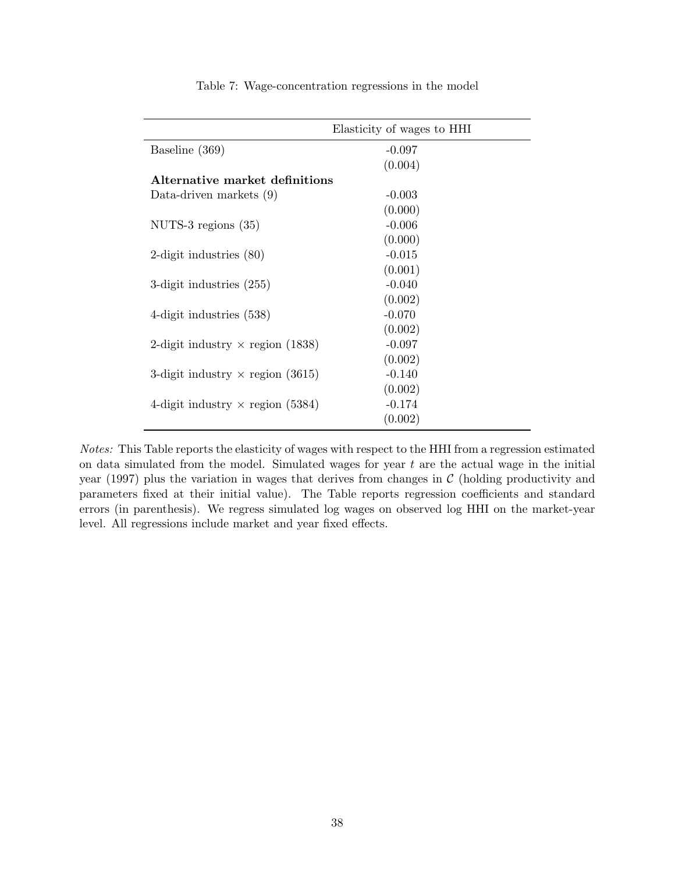<span id="page-39-0"></span>

|                                         | Elasticity of wages to HHI |
|-----------------------------------------|----------------------------|
| Baseline (369)                          | $-0.097$                   |
|                                         | (0.004)                    |
| Alternative market definitions          |                            |
| Data-driven markets $(9)$               | $-0.003$                   |
|                                         | (0.000)                    |
| NUTS-3 regions $(35)$                   | $-0.006$                   |
|                                         | (0.000)                    |
| 2-digit industries $(80)$               | $-0.015$                   |
|                                         | (0.001)                    |
| 3-digit industries $(255)$              | $-0.040$                   |
|                                         | (0.002)                    |
| 4-digit industries $(538)$              | $-0.070$                   |
|                                         | (0.002)                    |
| 2-digit industry $\times$ region (1838) | $-0.097$                   |
|                                         | (0.002)                    |
| 3-digit industry $\times$ region (3615) | $-0.140$                   |
|                                         | (0.002)                    |
| 4-digit industry $\times$ region (5384) | $-0.174$                   |
|                                         | (0.002)                    |

Table 7: Wage-concentration regressions in the model

Notes: This Table reports the elasticity of wages with respect to the HHI from a regression estimated on data simulated from the model. Simulated wages for year  $t$  are the actual wage in the initial year (1997) plus the variation in wages that derives from changes in  $\mathcal C$  (holding productivity and parameters fixed at their initial value). The Table reports regression coefficients and standard errors (in parenthesis). We regress simulated log wages on observed log HHI on the market-year level. All regressions include market and year fixed effects.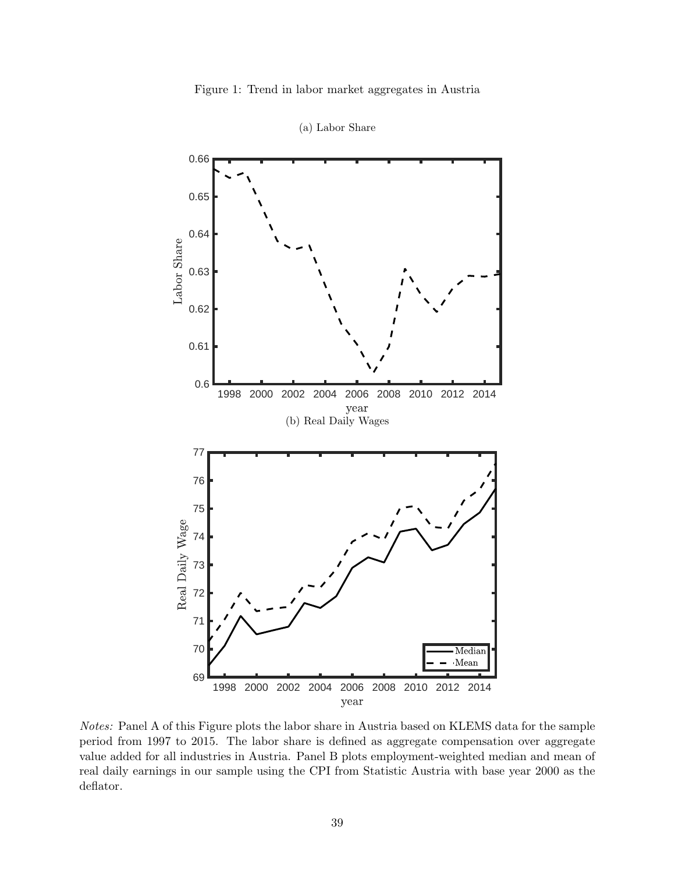Figure 1: Trend in labor market aggregates in Austria

<span id="page-40-0"></span>

(a) Labor Share

Notes: Panel A of this Figure plots the labor share in Austria based on KLEMS data for the sample period from 1997 to 2015. The labor share is defined as aggregate compensation over aggregate value added for all industries in Austria. Panel B plots employment-weighted median and mean of real daily earnings in our sample using the CPI from Statistic Austria with base year 2000 as the deflator.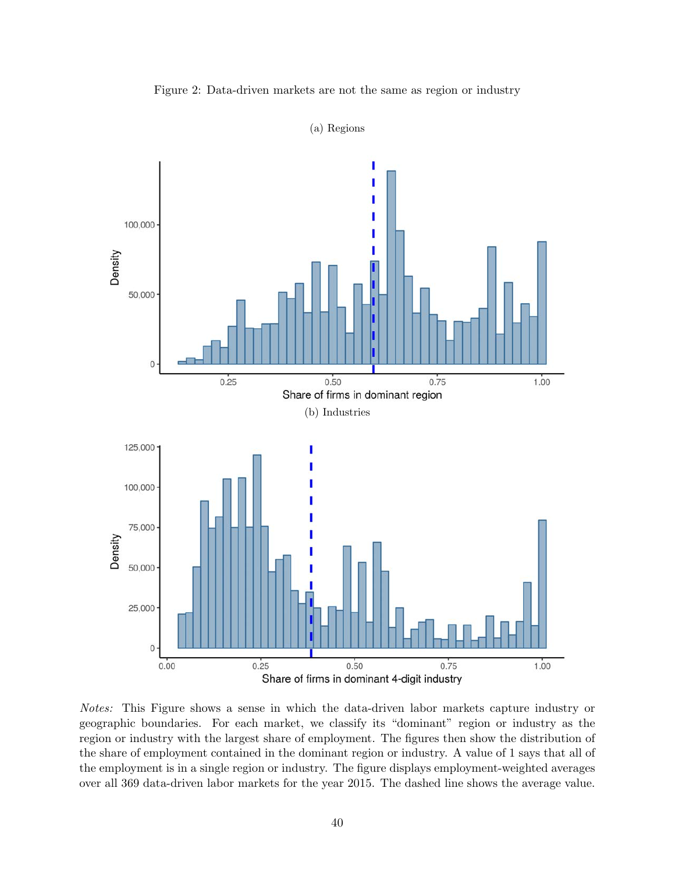<span id="page-41-0"></span>

Figure 2: Data-driven markets are not the same as region or industry

Notes: This Figure shows a sense in which the data-driven labor markets capture industry or geographic boundaries. For each market, we classify its "dominant" region or industry as the region or industry with the largest share of employment. The figures then show the distribution of the share of employment contained in the dominant region or industry. A value of 1 says that all of the employment is in a single region or industry. The figure displays employment-weighted averages over all 369 data-driven labor markets for the year 2015. The dashed line shows the average value.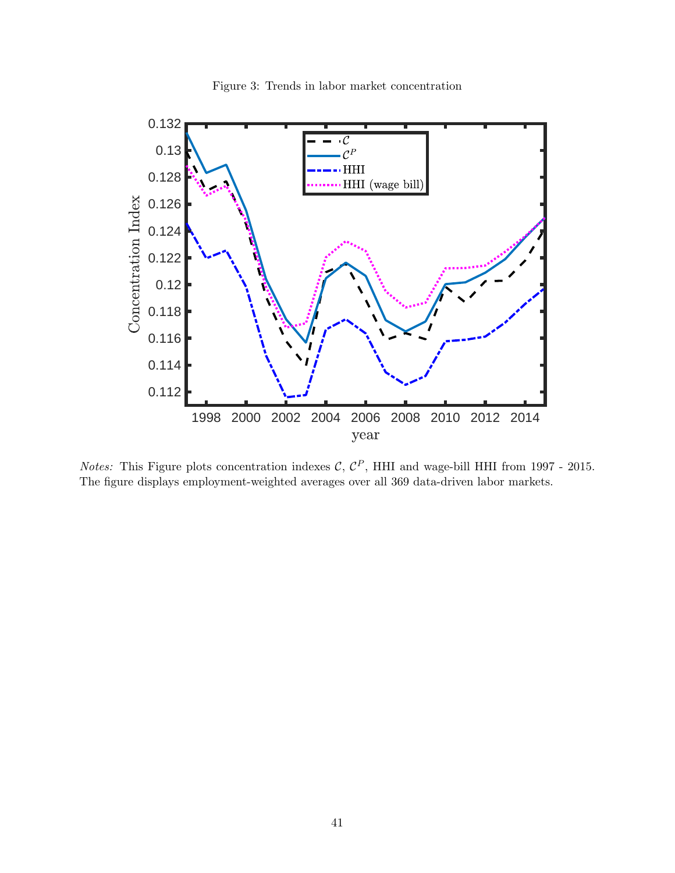

<span id="page-42-0"></span>

*Notes:* This Figure plots concentration indexes C,  $C^P$ , HHI and wage-bill HHI from 1997 - 2015. The figure displays employment-weighted averages over all 369 data-driven labor markets.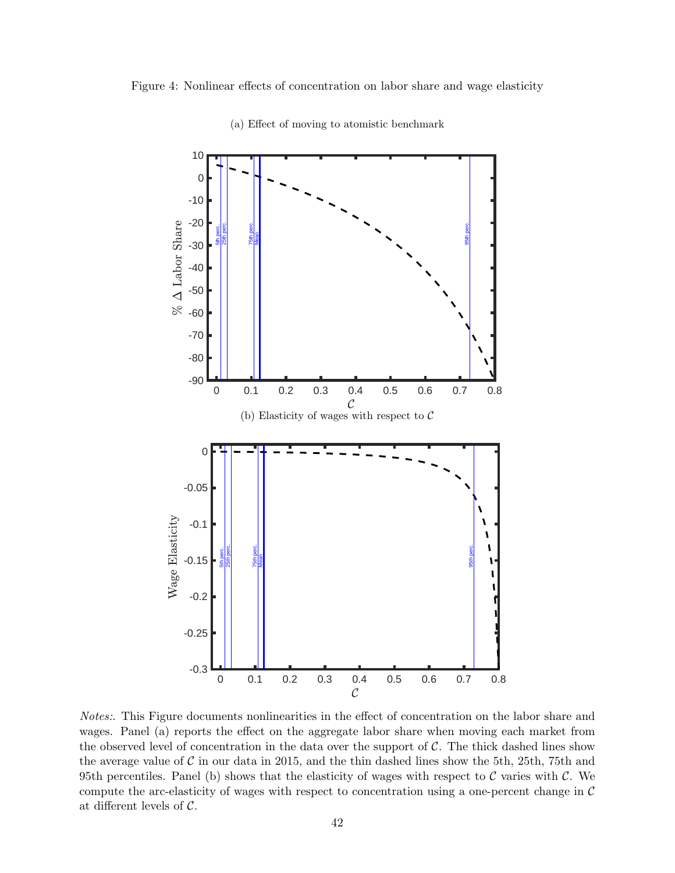<span id="page-43-0"></span>Figure 4: Nonlinear effects of concentration on labor share and wage elasticity



(a) Effect of moving to atomistic benchmark

Notes:. This Figure documents nonlinearities in the effect of concentration on the labor share and wages. Panel (a) reports the effect on the aggregate labor share when moving each market from the observed level of concentration in the data over the support of  $\mathcal{C}$ . The thick dashed lines show the average value of  $\mathcal C$  in our data in 2015, and the thin dashed lines show the 5th, 25th, 75th and 95th percentiles. Panel (b) shows that the elasticity of wages with respect to  $\mathcal C$  varies with  $\mathcal C$ . We compute the arc-elasticity of wages with respect to concentration using a one-percent change in  $\mathcal C$ at different levels of C.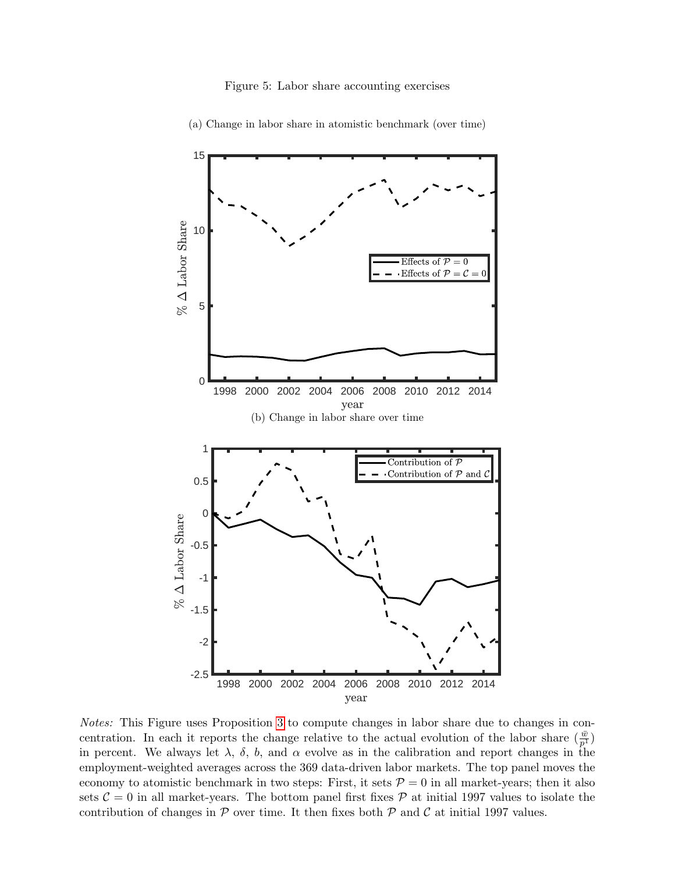<span id="page-44-0"></span>

(a) Change in labor share in atomistic benchmark (over time)

Notes: This Figure uses Proposition [3](#page-14-0) to compute changes in labor share due to changes in concentration. In each it reports the change relative to the actual evolution of the labor share  $(\frac{\bar{w}}{p^1})$ in percent. We always let  $\lambda$ ,  $\delta$ ,  $b$ , and  $\alpha$  evolve as in the calibration and report changes in the employment-weighted averages across the 369 data-driven labor markets. The top panel moves the economy to atomistic benchmark in two steps: First, it sets  $P = 0$  in all market-years; then it also sets  $C = 0$  in all market-years. The bottom panel first fixes  $P$  at initial 1997 values to isolate the contribution of changes in  $P$  over time. It then fixes both  $P$  and  $C$  at initial 1997 values.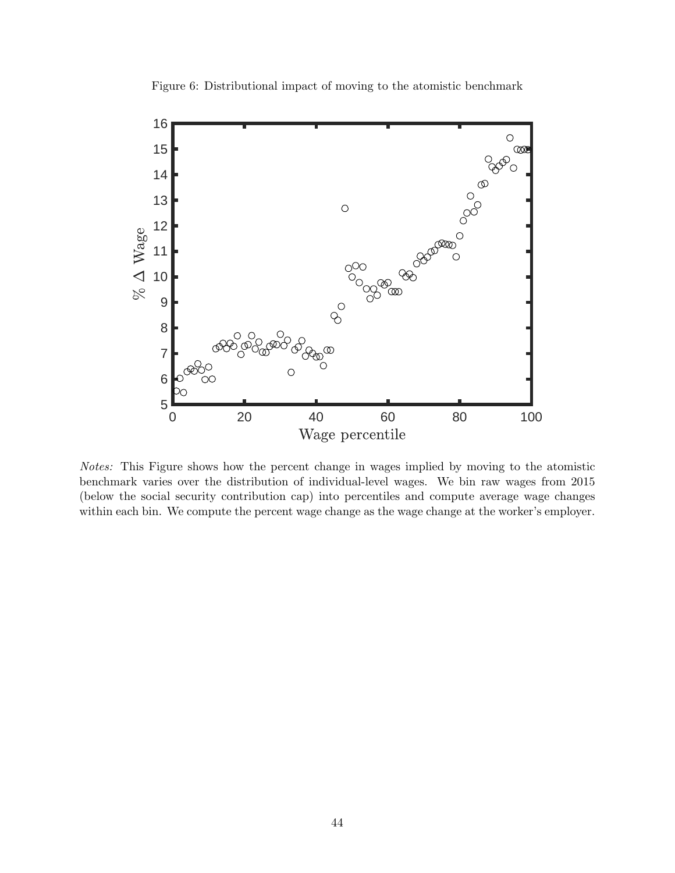<span id="page-45-0"></span>

Figure 6: Distributional impact of moving to the atomistic benchmark

Notes: This Figure shows how the percent change in wages implied by moving to the atomistic benchmark varies over the distribution of individual-level wages. We bin raw wages from 2015 (below the social security contribution cap) into percentiles and compute average wage changes within each bin. We compute the percent wage change as the wage change at the worker's employer.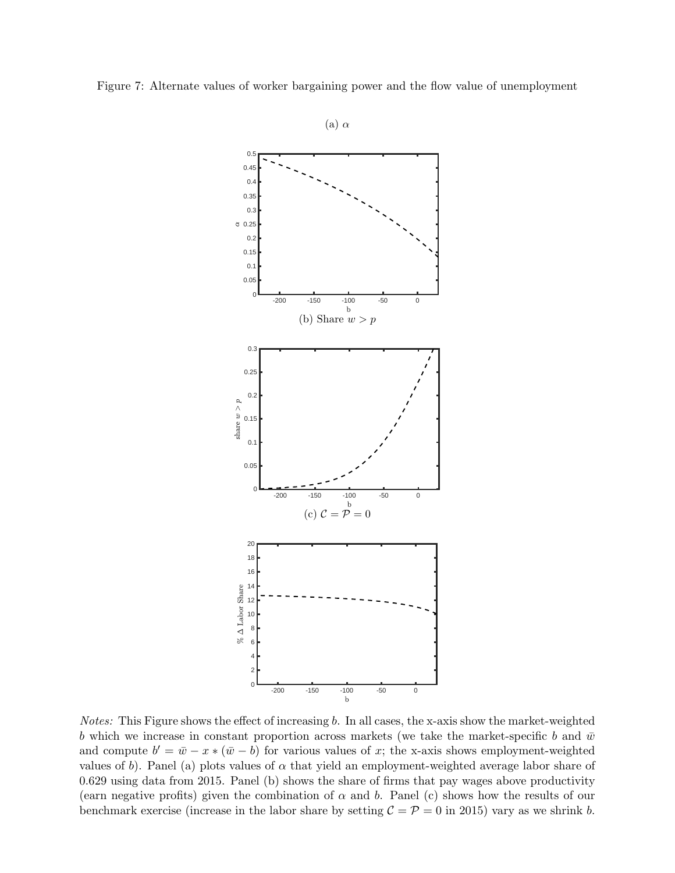<span id="page-46-0"></span>



Notes: This Figure shows the effect of increasing b. In all cases, the x-axis show the market-weighted b which we increase in constant proportion across markets (we take the market-specific b and  $\bar{w}$ and compute  $b' = \bar{w} - x * (\bar{w} - b)$  for various values of x; the x-axis shows employment-weighted values of b). Panel (a) plots values of  $\alpha$  that yield an employment-weighted average labor share of 0.629 using data from 2015. Panel (b) shows the share of firms that pay wages above productivity (earn negative profits) given the combination of  $\alpha$  and b. Panel (c) shows how the results of our benchmark exercise (increase in the labor share by setting  $C = P = 0$  in 2015) vary as we shrink b.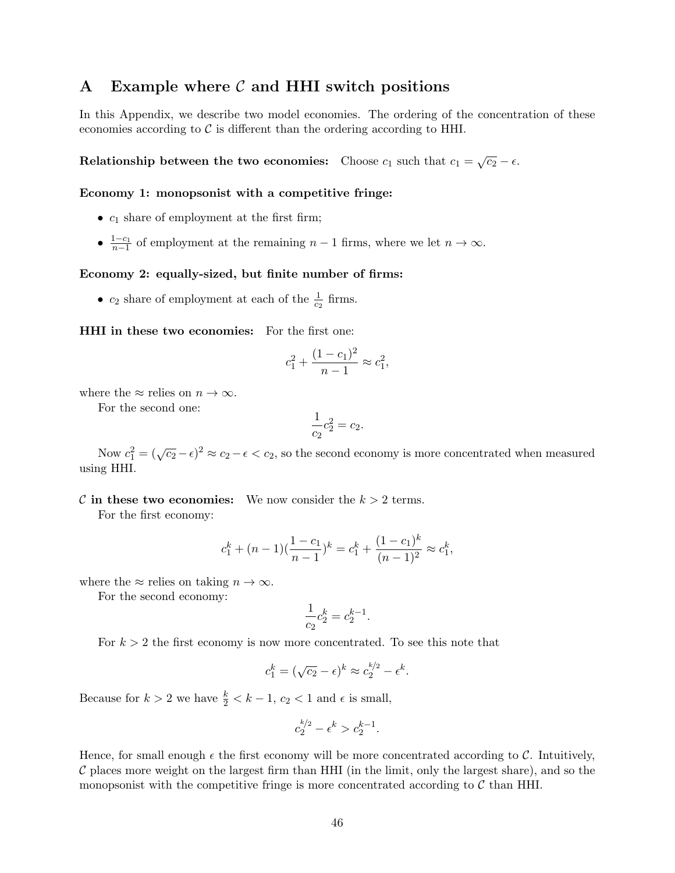## <span id="page-47-0"></span>A Example where  $\mathcal C$  and HHI switch positions

In this Appendix, we describe two model economies. The ordering of the concentration of these economies according to  $\mathcal C$  is different than the ordering according to HHI.

Relationship between the two economies: Choose  $c_1$  such that  $c_1 = \sqrt{c_2} - \epsilon$ .

#### Economy 1: monopsonist with a competitive fringe:

- $c_1$  share of employment at the first firm;
- $\frac{1-c_1}{n-1}$  of employment at the remaining  $n-1$  firms, where we let  $n \to \infty$ .

#### Economy 2: equally-sized, but finite number of firms:

•  $c_2$  share of employment at each of the  $\frac{1}{c_2}$  firms.

HHI in these two economies: For the first one:

$$
c_1^2 + \frac{(1 - c_1)^2}{n - 1} \approx c_1^2,
$$

where the  $\approx$  relies on  $n \to \infty$ .

For the second one:

$$
\frac{1}{c_2}c_2^2 = c_2.
$$

Now  $c_1^2 = (\sqrt{c_2} - \epsilon)^2 \approx c_2 - \epsilon < c_2$ , so the second economy is more concentrated when measured using HHI.

#### C in these two economies: We now consider the  $k > 2$  terms.

For the first economy:

$$
c_1^k + (n-1)\left(\frac{1-c_1}{n-1}\right)^k = c_1^k + \frac{(1-c_1)^k}{(n-1)^2} \approx c_1^k,
$$

where the  $\approx$  relies on taking  $n \to \infty$ .

For the second economy:

$$
\frac{1}{c_2}c_2^k = c_2^{k-1}.
$$

For  $k > 2$  the first economy is now more concentrated. To see this note that

$$
c_1^k = (\sqrt{c_2} - \epsilon)^k \approx c_2^{k/2} - \epsilon^k.
$$

Because for  $k > 2$  we have  $\frac{k}{2} < k - 1$ ,  $c_2 < 1$  and  $\epsilon$  is small,

$$
c_2^{k/2} - \epsilon^k > c_2^{k-1}.
$$

Hence, for small enough  $\epsilon$  the first economy will be more concentrated according to C. Intuitively,  $\mathcal C$  places more weight on the largest firm than HHI (in the limit, only the largest share), and so the monopsonist with the competitive fringe is more concentrated according to  $\mathcal C$  than HHI.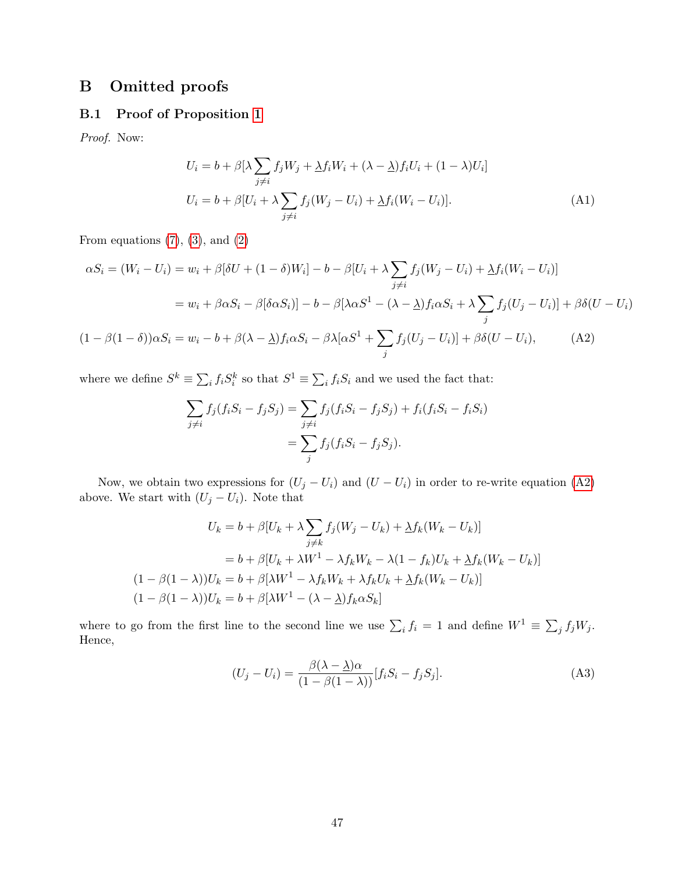## B Omitted proofs

### <span id="page-48-0"></span>B.1 Proof of Proposition [1](#page-11-0)

Proof. Now:

$$
U_i = b + \beta \left[ \lambda \sum_{j \neq i} f_j W_j + \lambda f_i W_i + (\lambda - \lambda) f_i U_i + (1 - \lambda) U_i \right]
$$
  

$$
U_i = b + \beta [U_i + \lambda \sum_{j \neq i} f_j (W_j - U_i) + \lambda f_i (W_i - U_i)].
$$
 (A1)

From equations  $(7)$ ,  $(3)$ , and  $(2)$ 

$$
\alpha S_i = (W_i - U_i) = w_i + \beta[\delta U + (1 - \delta)W_i] - b - \beta[U_i + \lambda \sum_{j \neq i} f_j(W_j - U_i) + \Delta f_i(W_i - U_i)]
$$
  

$$
= w_i + \beta \alpha S_i - \beta[\delta \alpha S_i]| - b - \beta[\lambda \alpha S^1 - (\lambda - \lambda) f_i \alpha S_i + \lambda \sum_j f_j(U_j - U_i)] + \beta \delta(U - U_i)
$$
  

$$
(1 - \beta(1 - \delta))\alpha S_i = w_i - b + \beta(\lambda - \lambda) f_i \alpha S_i - \beta \lambda [\alpha S^1 + \sum_j f_j(U_j - U_i)] + \beta \delta(U - U_i), \qquad (A2)
$$

$$
\frac{1}{j}
$$

where we define  $S^k \equiv \sum_i f_i S_i^k$  so that  $S^1 \equiv \sum_i f_i S_i$  and we used the fact that:

<span id="page-48-1"></span>
$$
\sum_{j \neq i} f_j(f_i S_i - f_j S_j) = \sum_{j \neq i} f_j(f_i S_i - f_j S_j) + f_i(f_i S_i - f_i S_i)
$$
  
= 
$$
\sum_j f_j(f_i S_i - f_j S_j).
$$

Now, we obtain two expressions for  $(U_j - U_i)$  and  $(U - U_i)$  in order to re-write equation [\(A2\)](#page-48-1) above. We start with  $(U_j - U_i)$ . Note that

$$
U_k = b + \beta [U_k + \lambda \sum_{j \neq k} f_j(W_j - U_k) + \Delta f_k(W_k - U_k)]
$$
  
=  $b + \beta [U_k + \lambda W^1 - \lambda f_k W_k - \lambda (1 - f_k) U_k + \Delta f_k (W_k - U_k)]$   
 $(1 - \beta (1 - \lambda)) U_k = b + \beta [\lambda W^1 - \lambda f_k W_k + \lambda f_k U_k + \Delta f_k (W_k - U_k)]$   
 $(1 - \beta (1 - \lambda)) U_k = b + \beta [\lambda W^1 - (\lambda - \lambda) f_k \alpha S_k]$ 

where to go from the first line to the second line we use  $\sum_i f_i = 1$  and define  $W^1 \equiv \sum_j f_j W_j$ . Hence,

<span id="page-48-2"></span>
$$
(U_j - U_i) = \frac{\beta(\lambda - \underline{\lambda})\alpha}{(1 - \beta(1 - \lambda))}[f_i S_i - f_j S_j].
$$
\n(A3)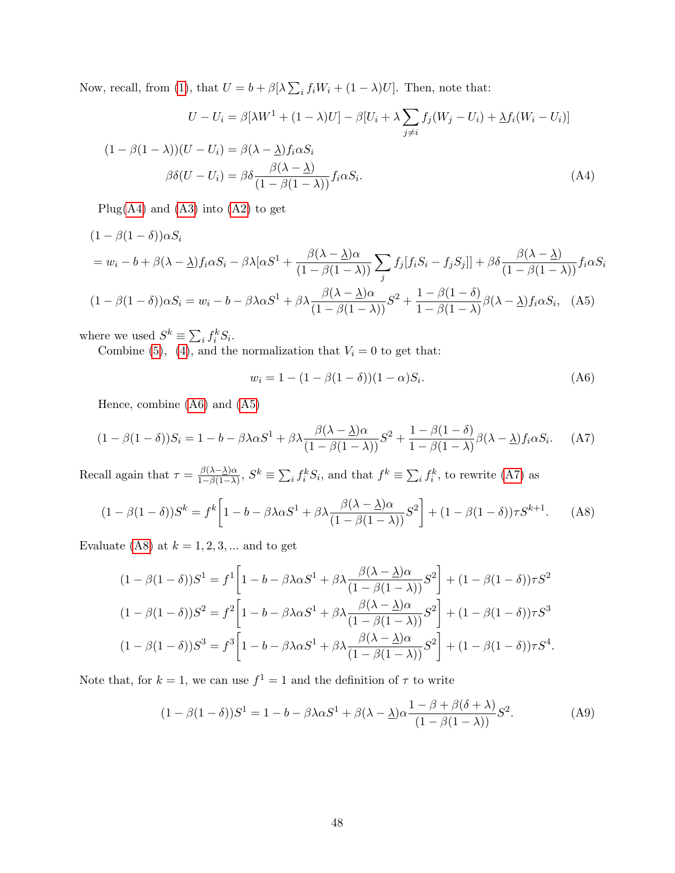Now, recall, from [\(1\)](#page-6-0), that  $U = b + \beta[\lambda \sum_i f_i W_i + (1 - \lambda)U]$ . Then, note that:

$$
U - U_i = \beta[\lambda W^1 + (1 - \lambda)U] - \beta[U_i + \lambda \sum_{j \neq i} f_j(W_j - U_i) + \lambda f_i(W_i - U_i)]
$$
  

$$
(1 - \beta(1 - \lambda))(U - U_i) = \beta(\lambda - \lambda)f_i\alpha S_i
$$
  

$$
\beta\delta(U - U_i) = \beta\delta \frac{\beta(\lambda - \lambda)}{(1 - \beta(1 - \lambda))}f_i\alpha S_i.
$$
 (A4)

Plug[\(A4\)](#page-49-0) and [\(A3\)](#page-48-2) into [\(A2\)](#page-48-1) to get

$$
(1 - \beta(1 - \delta))\alpha S_i
$$
  
=  $w_i - b + \beta(\lambda - \lambda)f_i\alpha S_i - \beta\lambda[\alpha S^1 + \frac{\beta(\lambda - \lambda)\alpha}{(1 - \beta(1 - \lambda))}\sum_j f_j[f_i S_i - f_j S_j]] + \beta\delta\frac{\beta(\lambda - \lambda)}{(1 - \beta(1 - \lambda))}f_i\alpha S_i$   

$$
(1 - \beta(1 - \delta))\alpha S_i = w_i - b - \beta\lambda\alpha S^1 + \beta\lambda\frac{\beta(\lambda - \lambda)\alpha}{(1 - \beta(1 - \lambda))}S^2 + \frac{1 - \beta(1 - \delta)}{1 - \beta(1 - \lambda)}\beta(\lambda - \lambda)f_i\alpha S_i, \quad (A5)
$$

where we used  $S^k \equiv \sum_i f_i^k S_i$ .

Combine [\(5\)](#page-8-0), [\(4\)](#page-8-2), and the normalization that  $V_i = 0$  to get that:

<span id="page-49-4"></span><span id="page-49-3"></span><span id="page-49-2"></span><span id="page-49-1"></span><span id="page-49-0"></span>
$$
w_i = 1 - (1 - \beta(1 - \delta))(1 - \alpha)S_i.
$$
 (A6)

Hence, combine [\(A6\)](#page-49-1) and [\(A5\)](#page-49-2)

$$
(1 - \beta(1 - \delta))S_i = 1 - b - \beta\lambda\alpha S^1 + \beta\lambda \frac{\beta(\lambda - \lambda)\alpha}{(1 - \beta(1 - \lambda))}S^2 + \frac{1 - \beta(1 - \delta)}{1 - \beta(1 - \lambda)}\beta(\lambda - \lambda)f_i\alpha S_i.
$$
 (A7)

Recall again that  $\tau = \frac{\beta(\lambda - \lambda)\alpha}{1 - \beta(1 - \lambda)}$  $\frac{\beta(\lambda-\Delta)\alpha}{1-\beta(1-\lambda)}, S^k \equiv \sum_i f_i^k S_i$ , and that  $f^k \equiv \sum_i f_i^k$ , to rewrite [\(A7\)](#page-49-3) as

$$
(1 - \beta(1 - \delta))S^k = f^k \left[ 1 - b - \beta\lambda\alpha S^1 + \beta\lambda \frac{\beta(\lambda - \underline{\lambda})\alpha}{(1 - \beta(1 - \lambda))} S^2 \right] + (1 - \beta(1 - \delta))\tau S^{k+1}.\tag{A8}
$$

Evaluate [\(A8\)](#page-49-4) at  $k = 1, 2, 3, \dots$  and to get

$$
(1 - \beta(1 - \delta))S^1 = f^1 \left[ 1 - b - \beta \lambda \alpha S^1 + \beta \lambda \frac{\beta(\lambda - \underline{\lambda})\alpha}{(1 - \beta(1 - \lambda))} S^2 \right] + (1 - \beta(1 - \delta))\tau S^2
$$
  

$$
(1 - \beta(1 - \delta))S^2 = f^2 \left[ 1 - b - \beta \lambda \alpha S^1 + \beta \lambda \frac{\beta(\lambda - \underline{\lambda})\alpha}{(1 - \beta(1 - \lambda))} S^2 \right] + (1 - \beta(1 - \delta))\tau S^3
$$
  

$$
(1 - \beta(1 - \delta))S^3 = f^3 \left[ 1 - b - \beta \lambda \alpha S^1 + \beta \lambda \frac{\beta(\lambda - \underline{\lambda})\alpha}{(1 - \beta(1 - \lambda))} S^2 \right] + (1 - \beta(1 - \delta))\tau S^4.
$$

Note that, for  $k = 1$ , we can use  $f^1 = 1$  and the definition of  $\tau$  to write

<span id="page-49-5"></span>
$$
(1 - \beta(1 - \delta))S^1 = 1 - b - \beta\lambda\alpha S^1 + \beta(\lambda - \underline{\lambda})\alpha \frac{1 - \beta + \beta(\delta + \lambda)}{(1 - \beta(1 - \lambda))}S^2.
$$
 (A9)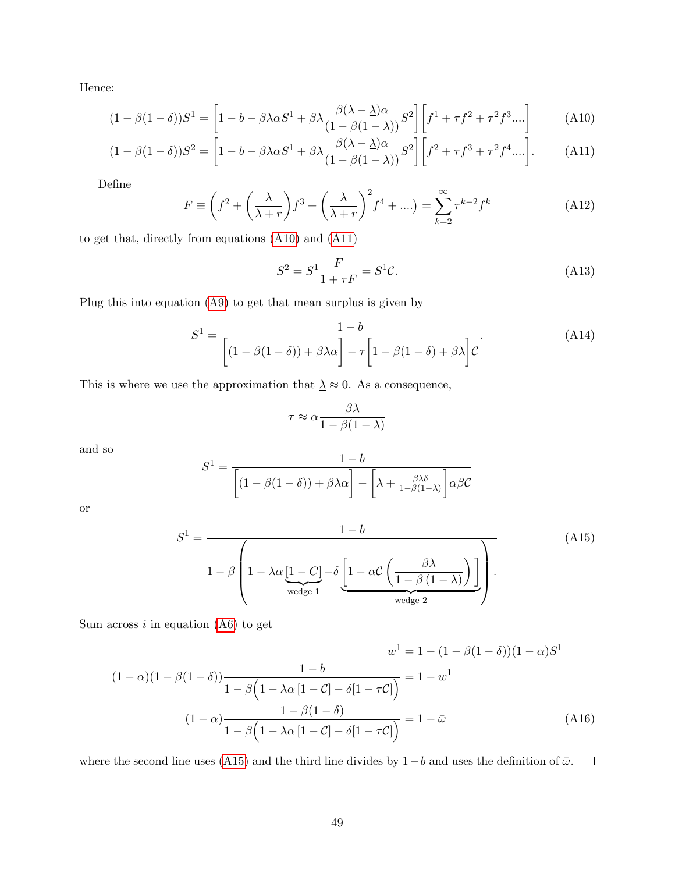Hence:

$$
(1 - \beta(1 - \delta))S^1 = \left[1 - b - \beta\lambda\alpha S^1 + \beta\lambda \frac{\beta(\lambda - \lambda)\alpha}{(1 - \beta(1 - \lambda))}S^2\right] \left[f^1 + \tau f^2 + \tau^2 f^3 \dots\right]
$$
(A10)

$$
(1 - \beta(1 - \delta))S^2 = \left[1 - b - \beta\lambda\alpha S^1 + \beta\lambda \frac{\beta(\lambda - \underline{\lambda})\alpha}{(1 - \beta(1 - \lambda))}S^2\right] \left[f^2 + \tau f^3 + \tau^2 f^4 \dots\right].
$$
 (A11)

Define

$$
F \equiv \left(f^2 + \left(\frac{\lambda}{\lambda + r}\right)f^3 + \left(\frac{\lambda}{\lambda + r}\right)^2 f^4 + \ldots\right) = \sum_{k=2}^{\infty} \tau^{k-2} f^k
$$
 (A12)

to get that, directly from equations [\(A10\)](#page-50-0) and [\(A11\)](#page-50-1)

<span id="page-50-1"></span><span id="page-50-0"></span>
$$
S^2 = S^1 \frac{F}{1 + \tau F} = S^1 \mathcal{C}.\tag{A13}
$$

Plug this into equation [\(A9\)](#page-49-5) to get that mean surplus is given by

<span id="page-50-3"></span>
$$
S^{1} = \frac{1 - b}{\left[ (1 - \beta(1 - \delta)) + \beta\lambda\alpha \right] - \tau \left[ 1 - \beta(1 - \delta) + \beta\lambda \right]C}.
$$
 (A14)

This is where we use the approximation that  ${\underline{\smash \lambda}} \approx 0.$  As a consequence,

<span id="page-50-4"></span><span id="page-50-2"></span>
$$
\tau \approx \alpha \frac{\beta \lambda}{1-\beta(1-\lambda)}
$$

and so

$$
S^{1} = \frac{1 - b}{\left[ (1 - \beta(1 - \delta)) + \beta\lambda\alpha \right] - \left[ \lambda + \frac{\beta\lambda\delta}{1 - \beta(1 - \lambda)} \right] \alpha\beta\mathcal{C}}
$$

or

$$
S^{1} = \frac{1 - b}{1 - \beta \left( 1 - \lambda \alpha \underbrace{[1 - C]}_{\text{wedge 1}} - \delta \underbrace{[1 - \alpha \mathcal{C} \left( \frac{\beta \lambda}{1 - \beta (1 - \lambda)} \right)]}_{\text{wedge 2}} \right)}.
$$
(A15)

Sum across  $i$  in equation [\(A6\)](#page-49-1) to get

$$
(1 - \alpha)(1 - \beta(1 - \delta)) \frac{1 - b}{1 - \beta(1 - \lambda\alpha[1 - C] - \delta[1 - \tau C])} = 1 - w^1
$$
  

$$
(1 - \alpha)\frac{1 - \beta(1 - \delta)}{1 - \beta(1 - \lambda\alpha[1 - C] - \delta[1 - \tau C])} = 1 - \bar{\omega}
$$
  

$$
(1 - \alpha)\frac{1 - \beta(1 - \delta)}{1 - \beta(1 - \lambda\alpha[1 - C] - \delta[1 - \tau C])} = 1 - \bar{\omega}
$$
 (A16)

where the second line uses [\(A15\)](#page-50-2) and the third line divides by  $1-b$  and uses the definition of  $\bar{\omega}$ .  $\Box$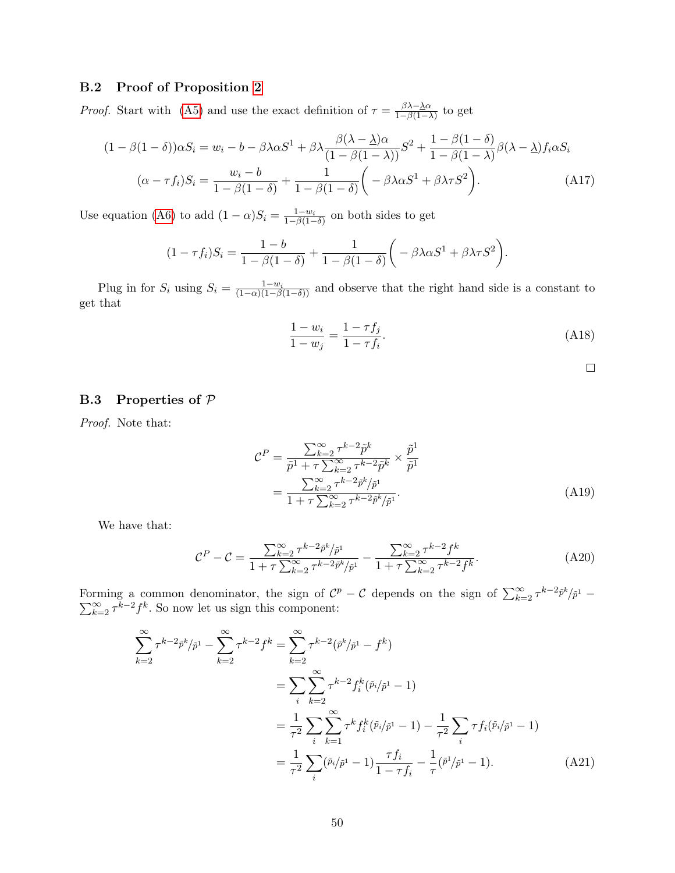### <span id="page-51-0"></span>B.2 Proof of Proposition [2](#page-12-1)

*Proof.* Start with [\(A5\)](#page-49-2) and use the exact definition of  $\tau = \frac{\beta \lambda - \underline{\lambda} \alpha}{1 - \beta (1 - \lambda)}$  $\frac{\beta \lambda - \underline{\lambda} \alpha}{1 - \beta (1 - \lambda)}$  to get

$$
(1 - \beta(1 - \delta))\alpha S_i = w_i - b - \beta\lambda\alpha S^1 + \beta\lambda \frac{\beta(\lambda - \lambda)\alpha}{(1 - \beta(1 - \lambda))} S^2 + \frac{1 - \beta(1 - \delta)}{1 - \beta(1 - \lambda)} \beta(\lambda - \lambda) f_i \alpha S_i
$$

$$
(\alpha - \tau f_i) S_i = \frac{w_i - b}{1 - \beta(1 - \delta)} + \frac{1}{1 - \beta(1 - \delta)} \left( -\beta\lambda\alpha S^1 + \beta\lambda\tau S^2 \right). \tag{A17}
$$

Use equation [\(A6\)](#page-49-1) to add  $(1 - \alpha)S_i = \frac{1 - w_i}{1 - \beta(1 - \delta)}$  on both sides to get

$$
(1 - \tau f_i)S_i = \frac{1 - b}{1 - \beta(1 - \delta)} + \frac{1}{1 - \beta(1 - \delta)} \left( -\beta \lambda \alpha S^1 + \beta \lambda \tau S^2 \right).
$$

Plug in for  $S_i$  using  $S_i = \frac{1-w_i}{(1-\alpha)(1-\beta(1-\delta))}$  and observe that the right hand side is a constant to get that

$$
\frac{1 - w_i}{1 - w_j} = \frac{1 - \tau f_j}{1 - \tau f_i}.
$$
\n(A18)

<span id="page-51-2"></span>

### <span id="page-51-1"></span>B.3 Properties of P

Proof. Note that:

$$
\mathcal{C}^{P} = \frac{\sum_{k=2}^{\infty} \tau^{k-2} \tilde{p}^{k}}{\tilde{p}^{1} + \tau \sum_{k=2}^{\infty} \tau^{k-2} \tilde{p}^{k}} \times \frac{\tilde{p}^{1}}{\tilde{p}^{1}}
$$

$$
= \frac{\sum_{k=2}^{\infty} \tau^{k-2} \tilde{p}^{k}/\tilde{p}^{1}}{1 + \tau \sum_{k=2}^{\infty} \tau^{k-2} \tilde{p}^{k}/\tilde{p}^{1}}.
$$
(A19)

We have that:

$$
\mathcal{C}^{P} - \mathcal{C} = \frac{\sum_{k=2}^{\infty} \tau^{k-2} \tilde{p}^{k} / \tilde{p}^{1}}{1 + \tau \sum_{k=2}^{\infty} \tau^{k-2} \tilde{p}^{k} / \tilde{p}^{1}} - \frac{\sum_{k=2}^{\infty} \tau^{k-2} f^{k}}{1 + \tau \sum_{k=2}^{\infty} \tau^{k-2} f^{k}}.
$$
 (A20)

Forming a common denominator, the sign of  $\mathcal{C}^p - \mathcal{C}$  depends on the sign of  $\sum_{k=2}^{\infty} \tau^{k-2} \tilde{p}^k / \tilde{p}$  $\sum$ rming a common denominator, the sign of  $C^p - C$  depends on the sign of  $\sum_{k=2}^{\infty} \tau^{k-2} \tilde{p}^k / \tilde{p}^1 -$ <br> $\sum_{k=2}^{\infty} \tau^{k-2} f^k$ . So now let us sign this component:

$$
\sum_{k=2}^{\infty} \tau^{k-2} \tilde{p}^{k} / \tilde{p}^{1} - \sum_{k=2}^{\infty} \tau^{k-2} f^{k} = \sum_{k=2}^{\infty} \tau^{k-2} (\tilde{p}^{k} / \tilde{p}^{1} - f^{k})
$$
  
\n
$$
= \sum_{i} \sum_{k=2}^{\infty} \tau^{k-2} f_{i}^{k} (\tilde{p}_{i} / \tilde{p}^{1} - 1)
$$
  
\n
$$
= \frac{1}{\tau^{2}} \sum_{i} \sum_{k=1}^{\infty} \tau^{k} f_{i}^{k} (\tilde{p}_{i} / \tilde{p}^{1} - 1) - \frac{1}{\tau^{2}} \sum_{i} \tau f_{i} (\tilde{p}_{i} / \tilde{p}^{1} - 1)
$$
  
\n
$$
= \frac{1}{\tau^{2}} \sum_{i} (\tilde{p}_{i} / \tilde{p}^{1} - 1) \frac{\tau f_{i}}{1 - \tau f_{i}} - \frac{1}{\tau} (\tilde{p}^{1} / \tilde{p}^{1} - 1).
$$
 (A21)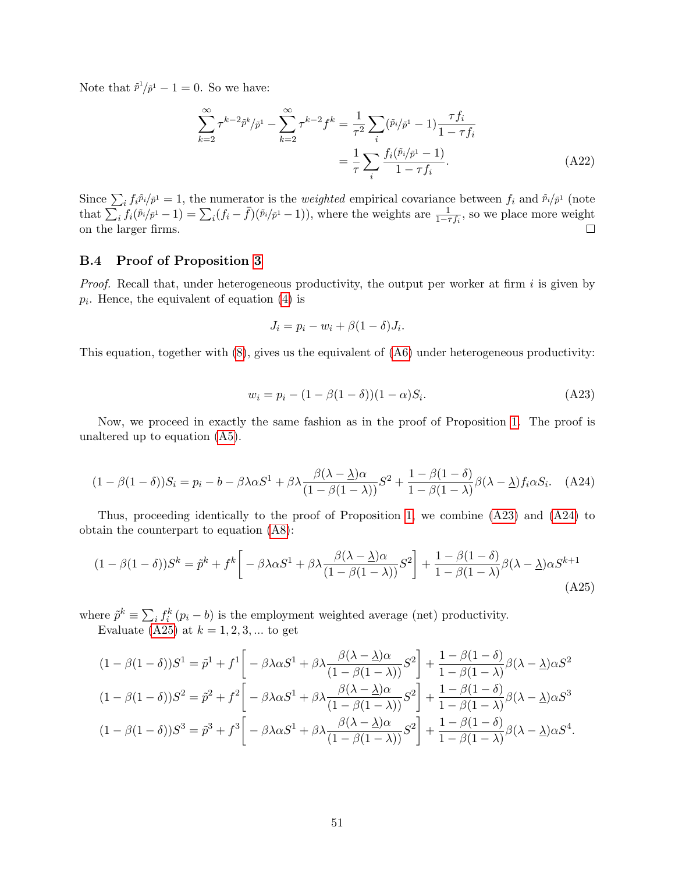Note that  $\tilde{p}^1/\tilde{p}^1 - 1 = 0$ . So we have:

$$
\sum_{k=2}^{\infty} \tau^{k-2} \tilde{p}^k / \tilde{p}^1 - \sum_{k=2}^{\infty} \tau^{k-2} f^k = \frac{1}{\tau^2} \sum_i (\tilde{p}_i / \tilde{p}^1 - 1) \frac{\tau f_i}{1 - \tau f_i}
$$

$$
= \frac{1}{\tau} \sum_i \frac{f_i(\tilde{p}_i / \tilde{p}^1 - 1)}{1 - \tau f_i}.
$$
(A22)

Since  $\sum_i f_i \tilde{p}_i / \tilde{p}^1 = 1$ , the numerator is the *weighted* empirical covariance between  $f_i$  and  $\tilde{p}_i / \tilde{p}^1$  (note that  $\sum_i f_i(\tilde{p}_i/\tilde{p}^1 - 1) = \sum_i (f_i - \bar{f})(\tilde{p}_i/\tilde{p}^1 - 1)$ , where the weights are  $\frac{1}{1 - \tau f_i}$ , so we place more weight on the larger firms.  $\Box$ 

## <span id="page-52-0"></span>B.4 Proof of Proposition [3](#page-14-0)

*Proof.* Recall that, under heterogeneous productivity, the output per worker at firm  $i$  is given by  $p_i$ . Hence, the equivalent of equation  $(4)$  is

<span id="page-52-1"></span>
$$
J_i = p_i - w_i + \beta (1 - \delta) J_i.
$$

This equation, together with [\(8\)](#page-9-0), gives us the equivalent of [\(A6\)](#page-49-1) under heterogeneous productivity:

<span id="page-52-3"></span><span id="page-52-2"></span>
$$
w_i = p_i - (1 - \beta(1 - \delta))(1 - \alpha)S_i.
$$
 (A23)

Now, we proceed in exactly the same fashion as in the proof of Proposition [1.](#page-11-0) The proof is unaltered up to equation [\(A5\)](#page-49-2).

$$
(1 - \beta(1 - \delta))S_i = p_i - b - \beta\lambda\alpha S^1 + \beta\lambda \frac{\beta(\lambda - \underline{\lambda})\alpha}{(1 - \beta(1 - \lambda))}S^2 + \frac{1 - \beta(1 - \delta)}{1 - \beta(1 - \lambda)}\beta(\lambda - \underline{\lambda})f_i\alpha S_i.
$$
 (A24)

Thus, proceeding identically to the proof of Proposition [1,](#page-11-0) we combine [\(A23\)](#page-52-1) and [\(A24\)](#page-52-2) to obtain the counterpart to equation [\(A8\)](#page-49-4):

$$
(1 - \beta(1 - \delta))S^k = \tilde{p}^k + f^k \left[ -\beta\lambda\alpha S^1 + \beta\lambda \frac{\beta(\lambda - \underline{\lambda})\alpha}{(1 - \beta(1 - \lambda))}S^2 \right] + \frac{1 - \beta(1 - \delta)}{1 - \beta(1 - \lambda)}\beta(\lambda - \underline{\lambda})\alpha S^{k+1}
$$
\n(A25)

where  $\tilde{p}^k \equiv \sum_i f_i^k (p_i - b)$  is the employment weighted average (net) productivity. Evaluate [\(A25\)](#page-52-3) at  $k = 1, 2, 3, ...$  to get

$$
(1 - \beta(1 - \delta))S^{1} = \tilde{p}^{1} + f^{1}\left[-\beta\lambda\alpha S^{1} + \beta\lambda\frac{\beta(\lambda - \underline{\lambda})\alpha}{(1 - \beta(1 - \lambda))}S^{2}\right] + \frac{1 - \beta(1 - \delta)}{1 - \beta(1 - \lambda)}\beta(\lambda - \underline{\lambda})\alpha S^{2}
$$

$$
(1 - \beta(1 - \delta))S^{2} = \tilde{p}^{2} + f^{2}\left[-\beta\lambda\alpha S^{1} + \beta\lambda\frac{\beta(\lambda - \underline{\lambda})\alpha}{(1 - \beta(1 - \lambda))}S^{2}\right] + \frac{1 - \beta(1 - \delta)}{1 - \beta(1 - \lambda)}\beta(\lambda - \underline{\lambda})\alpha S^{3}
$$

$$
(1 - \beta(1 - \delta))S^{3} = \tilde{p}^{3} + f^{3}\left[-\beta\lambda\alpha S^{1} + \beta\lambda\frac{\beta(\lambda - \underline{\lambda})\alpha}{(1 - \beta(1 - \lambda))}S^{2}\right] + \frac{1 - \beta(1 - \delta)}{1 - \beta(1 - \lambda)}\beta(\lambda - \underline{\lambda})\alpha S^{4}.
$$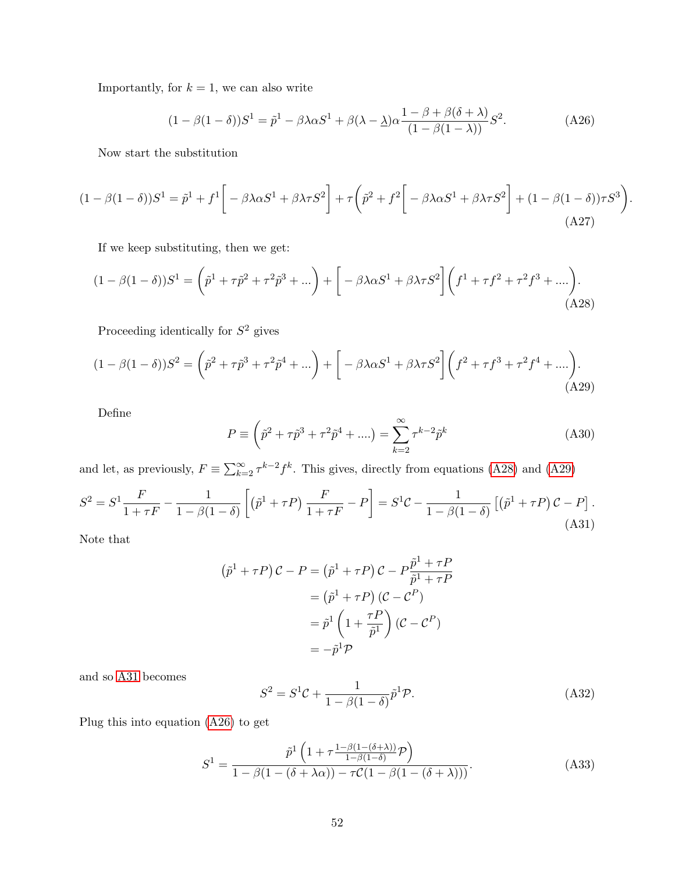Importantly, for  $k = 1$ , we can also write

<span id="page-53-3"></span>
$$
(1 - \beta(1 - \delta))S^1 = \tilde{p}^1 - \beta\lambda\alpha S^1 + \beta(\lambda - \underline{\lambda})\alpha \frac{1 - \beta + \beta(\delta + \lambda)}{(1 - \beta(1 - \lambda))}S^2.
$$
 (A26)

<span id="page-53-1"></span><span id="page-53-0"></span>.

Now start the substitution

$$
(1 - \beta(1 - \delta))S^1 = \tilde{p}^1 + f^1 \left[ -\beta\lambda\alpha S^1 + \beta\lambda\tau S^2 \right] + \tau \left( \tilde{p}^2 + f^2 \left[ -\beta\lambda\alpha S^1 + \beta\lambda\tau S^2 \right] + (1 - \beta(1 - \delta))\tau S^3 \right)
$$
\n(A27)

If we keep substituting, then we get:

$$
(1 - \beta(1 - \delta))S^{1} = (\tilde{p}^{1} + \tau \tilde{p}^{2} + \tau^{2} \tilde{p}^{3} + \dots) + \left[ -\beta \lambda \alpha S^{1} + \beta \lambda \tau S^{2} \right] (f^{1} + \tau f^{2} + \tau^{2} f^{3} + \dots).
$$
\n(A28)

Proceeding identically for  $S^2$  gives

$$
(1 - \beta(1 - \delta))S^2 = \left(\tilde{p}^2 + \tau \tilde{p}^3 + \tau^2 \tilde{p}^4 + \ldots\right) + \left[ -\beta\lambda\alpha S^1 + \beta\lambda\tau S^2 \right] \left(f^2 + \tau f^3 + \tau^2 f^4 + \ldots\right). \tag{A29}
$$

Define

$$
P \equiv \left(\tilde{p}^2 + \tau \tilde{p}^3 + \tau^2 \tilde{p}^4 + \ldots\right) = \sum_{k=2}^{\infty} \tau^{k-2} \tilde{p}^k
$$
 (A30)

and let, as previously,  $F \equiv \sum_{k=2}^{\infty} \tau^{k-2} f^k$ . This gives, directly from equations [\(A28\)](#page-53-0) and [\(A29\)](#page-53-1)

<span id="page-53-2"></span>
$$
S^{2} = S^{1} \frac{F}{1+\tau F} - \frac{1}{1-\beta(1-\delta)} \left[ (\tilde{p}^{1} + \tau P) \frac{F}{1+\tau F} - P \right] = S^{1}C - \frac{1}{1-\beta(1-\delta)} \left[ (\tilde{p}^{1} + \tau P) C - P \right].
$$
\n(A31)

Note that

$$
(\tilde{p}^1 + \tau P) C - P = (\tilde{p}^1 + \tau P) C - P \frac{\tilde{p}^1 + \tau P}{\tilde{p}^1 + \tau P}
$$

$$
= (\tilde{p}^1 + \tau P) (C - C^P)
$$

$$
= \tilde{p}^1 \left( 1 + \frac{\tau P}{\tilde{p}^1} \right) (C - C^P)
$$

$$
= -\tilde{p}^1 \mathcal{P}
$$

and so [A31](#page-53-2) becomes

$$
S^2 = S^1 \mathcal{C} + \frac{1}{1 - \beta (1 - \delta)} \tilde{p}^1 \mathcal{P}.
$$
 (A32)

Plug this into equation [\(A26\)](#page-53-3) to get

$$
S^{1} = \frac{\tilde{p}^{1}\left(1 + \tau \frac{1-\beta(1-(\delta+\lambda))}{1-\beta(1-\delta)}\mathcal{P}\right)}{1-\beta(1-(\delta+\lambda\alpha)) - \tau\mathcal{C}(1-\beta(1-(\delta+\lambda)))}.
$$
\n(A33)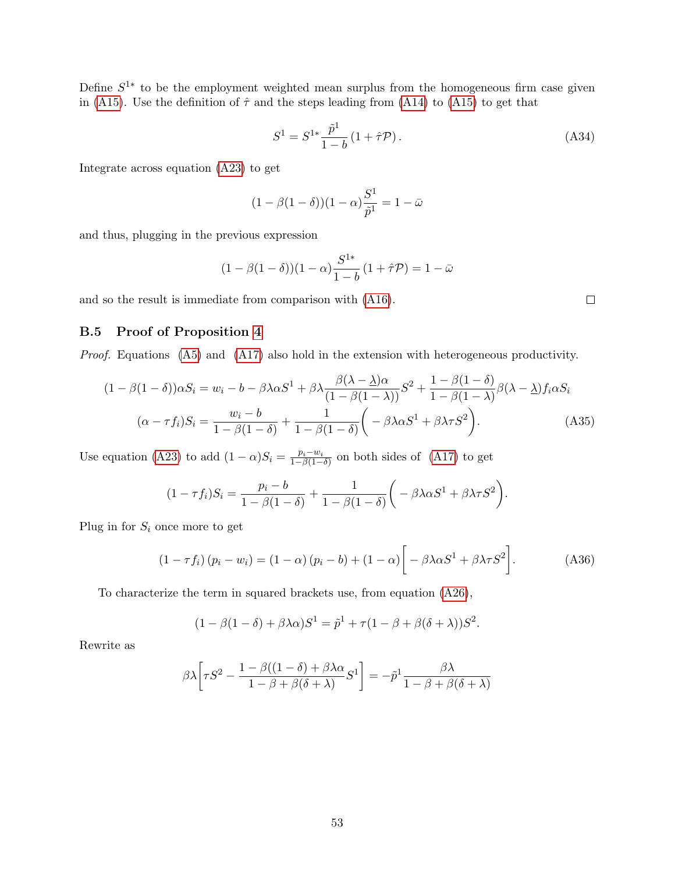Define  $S^{1*}$  to be the employment weighted mean surplus from the homogeneous firm case given in [\(A15\)](#page-50-2). Use the definition of  $\hat{\tau}$  and the steps leading from [\(A14\)](#page-50-3) to (A15) to get that

$$
S^{1} = S^{1*} \frac{\tilde{p}^{1}}{1 - b} (1 + \hat{\tau} \mathcal{P}). \tag{A34}
$$

Integrate across equation [\(A23\)](#page-52-1) to get

$$
(1 - \beta(1 - \delta))(1 - \alpha)\frac{S^1}{\tilde{p}^1} = 1 - \bar{\omega}
$$

and thus, plugging in the previous expression

$$
(1 - \beta(1 - \delta))(1 - \alpha) \frac{S^{1*}}{1 - b} (1 + \hat{\tau} \mathcal{P}) = 1 - \bar{\omega}
$$

and so the result is immediate from comparison with [\(A16\)](#page-50-4).

### <span id="page-54-0"></span>B.5 Proof of Proposition [4](#page-14-1)

Proof. Equations [\(A5\)](#page-49-2) and [\(A17\)](#page-51-2) also hold in the extension with heterogeneous productivity.

$$
(1 - \beta(1 - \delta))\alpha S_i = w_i - b - \beta \lambda \alpha S^1 + \beta \lambda \frac{\beta(\lambda - \lambda)\alpha}{(1 - \beta(1 - \lambda))} S^2 + \frac{1 - \beta(1 - \delta)}{1 - \beta(1 - \lambda)} \beta(\lambda - \lambda) f_i \alpha S_i
$$

$$
(\alpha - \tau f_i) S_i = \frac{w_i - b}{1 - \beta(1 - \delta)} + \frac{1}{1 - \beta(1 - \delta)} \left( -\beta \lambda \alpha S^1 + \beta \lambda \tau S^2 \right). \tag{A35}
$$

Use equation [\(A23\)](#page-52-1) to add  $(1 - \alpha)S_i = \frac{p_i - w_i}{1 - \beta(1 - \alpha)}$  $\frac{p_i - w_i}{1 - \beta(1 - \delta)}$  on both sides of [\(A17\)](#page-51-2) to get

$$
(1 - \tau f_i)S_i = \frac{p_i - b}{1 - \beta(1 - \delta)} + \frac{1}{1 - \beta(1 - \delta)} \left( -\beta \lambda \alpha S^1 + \beta \lambda \tau S^2 \right).
$$

Plug in for  $S_i$  once more to get

<span id="page-54-1"></span>
$$
(1 - \tau f_i) (p_i - w_i) = (1 - \alpha) (p_i - b) + (1 - \alpha) \left[ -\beta \lambda \alpha S^1 + \beta \lambda \tau S^2 \right].
$$
 (A36)

To characterize the term in squared brackets use, from equation [\(A26\)](#page-53-3),

$$
(1 - \beta(1 - \delta) + \beta\lambda\alpha)S^{1} = \tilde{p}^{1} + \tau(1 - \beta + \beta(\delta + \lambda))S^{2}.
$$

Rewrite as

$$
\beta \lambda \left[ \tau S^2 - \frac{1 - \beta((1 - \delta) + \beta \lambda \alpha}{1 - \beta + \beta(\delta + \lambda)} S^1 \right] = -\tilde{p}^1 \frac{\beta \lambda}{1 - \beta + \beta(\delta + \lambda)}
$$

 $\Box$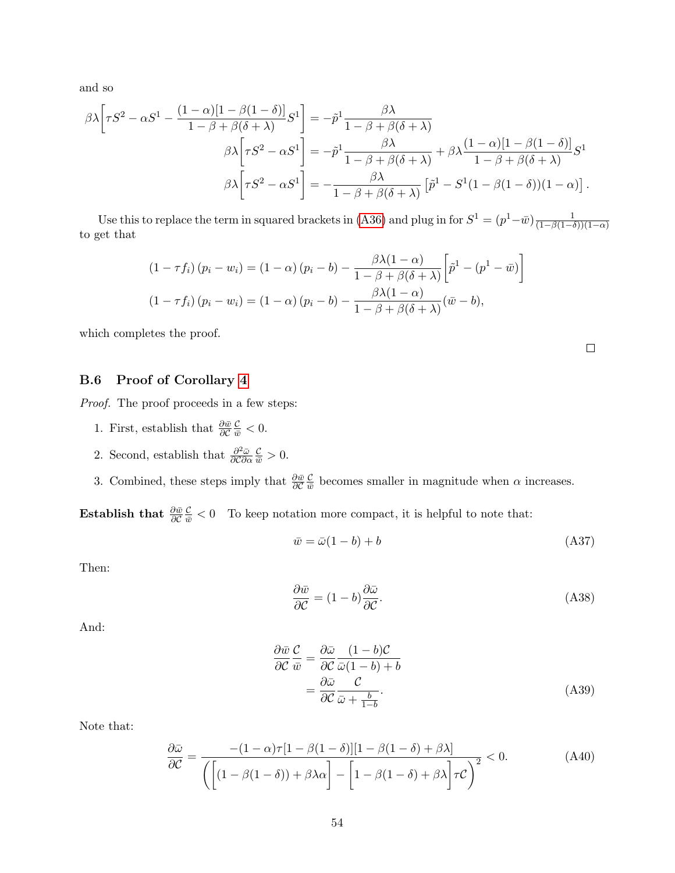and so

$$
\beta \lambda \left[ \tau S^2 - \alpha S^1 - \frac{(1 - \alpha)[1 - \beta(1 - \delta)]}{1 - \beta + \beta(\delta + \lambda)} S^1 \right] = -\tilde{p}^1 \frac{\beta \lambda}{1 - \beta + \beta(\delta + \lambda)}
$$

$$
\beta \lambda \left[ \tau S^2 - \alpha S^1 \right] = -\tilde{p}^1 \frac{\beta \lambda}{1 - \beta + \beta(\delta + \lambda)} + \beta \lambda \frac{(1 - \alpha)[1 - \beta(1 - \delta)]}{1 - \beta + \beta(\delta + \lambda)} S^1
$$

$$
\beta \lambda \left[ \tau S^2 - \alpha S^1 \right] = -\frac{\beta \lambda}{1 - \beta + \beta(\delta + \lambda)} \left[ \tilde{p}^1 - S^1 (1 - \beta(1 - \delta))(1 - \alpha) \right].
$$

Use this to replace the term in squared brackets in [\(A36\)](#page-54-1) and plug in for  $S^1 = (p^1 - \bar{w})\frac{1}{(1 - \beta(1 - \bar{w}))}$  $(1-\beta(1-\delta))(1-\alpha)$ to get that

$$
(1 - \tau f_i) (p_i - w_i) = (1 - \alpha) (p_i - b) - \frac{\beta \lambda (1 - \alpha)}{1 - \beta + \beta (\delta + \lambda)} \left[ \tilde{p}^1 - (p^1 - \bar{w}) \right]
$$

$$
(1 - \tau f_i) (p_i - w_i) = (1 - \alpha) (p_i - b) - \frac{\beta \lambda (1 - \alpha)}{1 - \beta + \beta (\delta + \lambda)} (\bar{w} - b),
$$

which completes the proof.

### <span id="page-55-0"></span>B.6 Proof of Corollary [4](#page-15-3)

Proof. The proof proceeds in a few steps:

- 1. First, establish that  $\frac{\partial \bar{w}}{\partial \mathcal{C}}$  $\frac{\mathcal{C}}{\bar{w}} < 0.$
- 2. Second, establish that  $\frac{\partial^2 \bar{\omega}}{\partial \hat{\omega}}$ ∂C∂α  $\frac{\mathcal{C}}{\bar{w}} > 0.$
- 3. Combined, these steps imply that  $\frac{\partial \bar{w}}{\partial \mathcal{C}}$  $\mathcal{C}_{0}^{(n)}$  $\frac{C}{\bar{w}}$  becomes smaller in magnitude when  $\alpha$  increases.

Establish that  $\frac{\partial \bar{w}}{\partial \mathcal{C}}$  $\frac{\mathcal{C}}{\bar{w}} < 0$  To keep notation more compact, it is helpful to note that:

$$
\bar{w} = \bar{\omega}(1 - b) + b \tag{A37}
$$

Then:

<span id="page-55-1"></span>
$$
\frac{\partial \bar{w}}{\partial \mathcal{C}} = (1 - b) \frac{\partial \bar{\omega}}{\partial \mathcal{C}}.
$$
\n(A38)

And:

<span id="page-55-2"></span>
$$
\frac{\partial \bar{w}}{\partial \mathcal{C}} \frac{\mathcal{C}}{\bar{w}} = \frac{\partial \bar{\omega}}{\partial \mathcal{C}} \frac{(1 - b)\mathcal{C}}{\bar{\omega}(1 - b) + b} \n= \frac{\partial \bar{\omega}}{\partial \mathcal{C}} \frac{\mathcal{C}}{\bar{\omega} + \frac{b}{1 - b}}.
$$
\n(A39)

Note that:

$$
\frac{\partial \bar{\omega}}{\partial \mathcal{C}} = \frac{-(1-\alpha)\tau[1-\beta(1-\delta)][1-\beta(1-\delta)+\beta\lambda]}{\left(\left[(1-\beta(1-\delta))+\beta\lambda\alpha\right]-\left[1-\beta(1-\delta)+\beta\lambda\right]\tau\mathcal{C}\right)^2} < 0.
$$
\n(A40)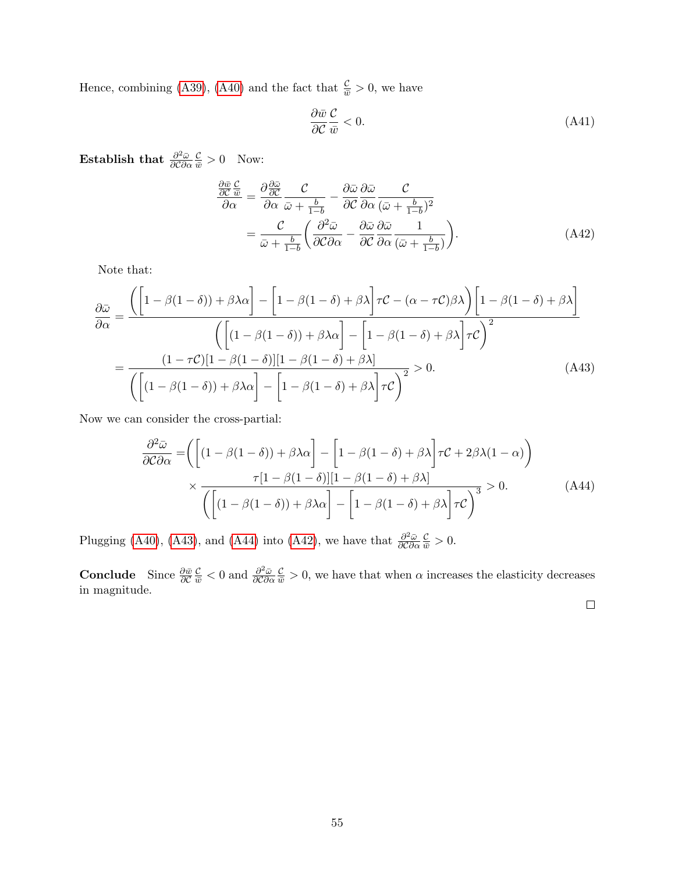Hence, combining [\(A39\)](#page-55-1), [\(A40\)](#page-55-2) and the fact that  $\frac{\mathcal{C}}{\bar{w}} > 0$ , we have

<span id="page-56-2"></span>
$$
\frac{\partial \bar{w}}{\partial \mathcal{C}} \frac{\mathcal{C}}{\bar{w}} < 0. \tag{A41}
$$

Establish that  $\frac{\partial^2 \bar{\omega}}{\partial \Omega}$ ∂C∂α  $\frac{\mathcal{C}}{\bar{w}} > 0$  Now:

$$
\frac{\partial \bar{w}}{\partial \alpha} \frac{\partial \bar{w}}{\partial \alpha} = \frac{\partial \frac{\partial \bar{w}}{\partial \alpha}}{\partial \alpha} \frac{\partial \bar{w}}{\partial \alpha} + \frac{b}{1-b} - \frac{\partial \bar{w}}{\partial \alpha} \frac{\partial \bar{w}}{\partial \alpha} \frac{\partial \bar{w}}{(\bar{w} + \frac{b}{1-b})^2} \n= \frac{\partial \bar{w}}{\partial \bar{w} + \frac{b}{1-b}} \left( \frac{\partial^2 \bar{w}}{\partial \bar{w}} - \frac{\partial \bar{w}}{\partial \bar{w}} \frac{\partial \bar{w}}{\partial \alpha} \frac{1}{(\bar{w} + \frac{b}{1-b})} \right).
$$
\n(A42)

Note that:

$$
\frac{\partial \bar{\omega}}{\partial \alpha} = \frac{\left( \left[ 1 - \beta(1 - \delta) + \beta \lambda \alpha \right] - \left[ 1 - \beta(1 - \delta) + \beta \lambda \right] \tau \mathcal{C} - (\alpha - \tau \mathcal{C}) \beta \lambda \right) \left[ 1 - \beta(1 - \delta) + \beta \lambda \right]}{\left( \left[ (1 - \beta(1 - \delta)) + \beta \lambda \alpha \right] - \left[ 1 - \beta(1 - \delta) + \beta \lambda \right] \tau \mathcal{C} \right)^2}
$$
\n
$$
= \frac{(1 - \tau \mathcal{C}) \left[ 1 - \beta(1 - \delta) \right] \left[ 1 - \beta(1 - \delta) + \beta \lambda \right]}{\left( \left[ (1 - \beta(1 - \delta)) + \beta \lambda \alpha \right] - \left[ 1 - \beta(1 - \delta) + \beta \lambda \right] \tau \mathcal{C} \right)^2} > 0. \tag{A43}
$$

Now we can consider the cross-partial:

$$
\frac{\partial^2 \bar{\omega}}{\partial \mathcal{C} \partial \alpha} = \left( \left[ (1 - \beta(1 - \delta)) + \beta \lambda \alpha \right] - \left[ 1 - \beta(1 - \delta) + \beta \lambda \right] \tau \mathcal{C} + 2\beta \lambda (1 - \alpha) \right) \times \frac{\tau [1 - \beta(1 - \delta)][1 - \beta(1 - \delta) + \beta \lambda]}{\left( \left[ (1 - \beta(1 - \delta)) + \beta \lambda \alpha \right] - \left[ 1 - \beta(1 - \delta) + \beta \lambda \right] \tau \mathcal{C} \right)^3} > 0. \tag{A44}
$$

Plugging [\(A40\)](#page-55-2), [\(A43\)](#page-56-0), and [\(A44\)](#page-56-1) into [\(A42\)](#page-56-2), we have that  $\frac{\partial^2 \bar{\omega}}{\partial \partial \bar{\omega}}$ ∂C∂α  $\frac{\mathcal{C}}{\bar{w}} > 0.$ 

Conclude Since  $\frac{\partial \bar{w}}{\partial \mathcal{C}}$  $\frac{\mathcal{C}}{\bar{w}} < 0$  and  $\frac{\partial^2 \bar{\omega}}{\partial \mathcal{C} \partial \alpha}$ ∂C∂α  $\frac{\mathcal{C}}{\bar{w}} > 0$ , we have that when  $\alpha$  increases the elasticity decreases in magnitude.

<span id="page-56-1"></span><span id="page-56-0"></span> $\Box$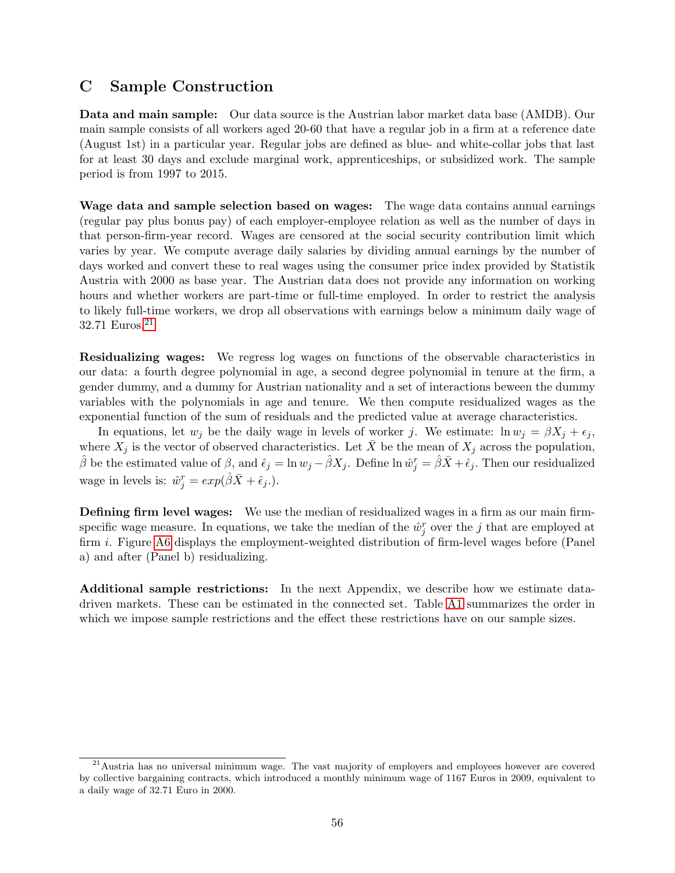## <span id="page-57-0"></span>C Sample Construction

Data and main sample: Our data source is the Austrian labor market data base (AMDB). Our main sample consists of all workers aged 20-60 that have a regular job in a firm at a reference date (August 1st) in a particular year. Regular jobs are defined as blue- and white-collar jobs that last for at least 30 days and exclude marginal work, apprenticeships, or subsidized work. The sample period is from 1997 to 2015.

Wage data and sample selection based on wages: The wage data contains annual earnings (regular pay plus bonus pay) of each employer-employee relation as well as the number of days in that person-firm-year record. Wages are censored at the social security contribution limit which varies by year. We compute average daily salaries by dividing annual earnings by the number of days worked and convert these to real wages using the consumer price index provided by Statistik Austria with 2000 as base year. The Austrian data does not provide any information on working hours and whether workers are part-time or full-time employed. In order to restrict the analysis to likely full-time workers, we drop all observations with earnings below a minimum daily wage of 32.71 Euros.[21](#page-57-1)

Residualizing wages: We regress log wages on functions of the observable characteristics in our data: a fourth degree polynomial in age, a second degree polynomial in tenure at the firm, a gender dummy, and a dummy for Austrian nationality and a set of interactions beween the dummy variables with the polynomials in age and tenure. We then compute residualized wages as the exponential function of the sum of residuals and the predicted value at average characteristics.

In equations, let  $w_i$  be the daily wage in levels of worker j. We estimate:  $\ln w_i = \beta X_i + \epsilon_i$ , where  $X_j$  is the vector of observed characteristics. Let  $\bar{X}$  be the mean of  $X_j$  across the population,  $\hat{\beta}$  be the estimated value of  $\beta$ , and  $\hat{\epsilon}_j = \ln w_j - \hat{\beta}X_j$ . Define  $\ln \hat{w}_j^r = \hat{\beta}\bar{X} + \hat{\epsilon}_j$ . Then our residualized wage in levels is:  $\hat{w}_j^r = exp(\hat{\beta}\bar{X} + \hat{\epsilon}_j).$ 

Defining firm level wages: We use the median of residualized wages in a firm as our main firmspecific wage measure. In equations, we take the median of the  $\hat{w}_j^r$  over the j that are employed at firm i. Figure [A6](#page-67-0) displays the employment-weighted distribution of firm-level wages before (Panel a) and after (Panel b) residualizing.

Additional sample restrictions: In the next Appendix, we describe how we estimate datadriven markets. These can be estimated in the connected set. Table [A1](#page-60-0) summarizes the order in which we impose sample restrictions and the effect these restrictions have on our sample sizes.

<span id="page-57-1"></span><sup>&</sup>lt;sup>21</sup> Austria has no universal minimum wage. The vast majority of employers and employees however are covered by collective bargaining contracts, which introduced a monthly minimum wage of 1167 Euros in 2009, equivalent to a daily wage of 32.71 Euro in 2000.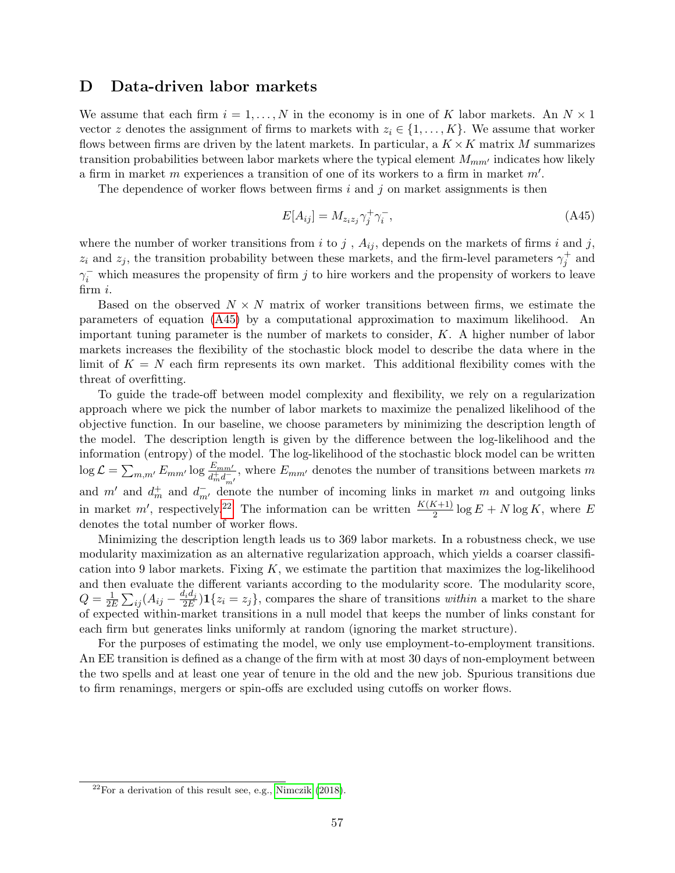## <span id="page-58-0"></span>D Data-driven labor markets

We assume that each firm  $i = 1, \ldots, N$  in the economy is in one of K labor markets. An  $N \times 1$ vector z denotes the assignment of firms to markets with  $z_i \in \{1, \ldots, K\}$ . We assume that worker flows between firms are driven by the latent markets. In particular, a  $K \times K$  matrix M summarizes transition probabilities between labor markets where the typical element  $M_{mm'}$  indicates how likely a firm in market m experiences a transition of one of its workers to a firm in market  $m'$ .

The dependence of worker flows between firms i and j on market assignments is then

<span id="page-58-1"></span>
$$
E[A_{ij}] = M_{z_iz_j} \gamma_j^+ \gamma_i^-, \tag{A45}
$$

where the number of worker transitions from i to j,  $A_{ij}$ , depends on the markets of firms i and j,  $z_i$  and  $z_j$ , the transition probability between these markets, and the firm-level parameters  $\gamma_j^+$  and  $\gamma_i^-$  which measures the propensity of firm j to hire workers and the propensity of workers to leave firm i.

Based on the observed  $N \times N$  matrix of worker transitions between firms, we estimate the parameters of equation [\(A45\)](#page-58-1) by a computational approximation to maximum likelihood. An important tuning parameter is the number of markets to consider, K. A higher number of labor markets increases the flexibility of the stochastic block model to describe the data where in the limit of  $K = N$  each firm represents its own market. This additional flexibility comes with the threat of overfitting.

To guide the trade-off between model complexity and flexibility, we rely on a regularization approach where we pick the number of labor markets to maximize the penalized likelihood of the objective function. In our baseline, we choose parameters by minimizing the description length of the model. The description length is given by the difference between the log-likelihood and the information (entropy) of the model. The log-likelihood of the stochastic block model can be written  $\log \mathcal{L} = \sum_{m,m'} E_{mm'} \log \frac{E_{mm'}}{d_m^+ d_{m'}^-}$ , where  $E_{mm'}$  denotes the number of transitions between markets m and m' and  $d_m^+$  and  $d_{m'}^-$  denote the number of incoming links in market m and outgoing links in market m', respectively.<sup>[22](#page-58-2)</sup> The information can be written  $\frac{K(K+1)}{2} \log E + N \log K$ , where E denotes the total number of worker flows.

Minimizing the description length leads us to 369 labor markets. In a robustness check, we use modularity maximization as an alternative regularization approach, which yields a coarser classification into 9 labor markets. Fixing  $K$ , we estimate the partition that maximizes the log-likelihood and then evaluate the different variants according to the modularity score. The modularity score,  $Q=\frac{1}{2l}$ 2E P ij (Aij − did<sup>j</sup>  $\frac{u_i u_j}{2E}$  1 $\{z_i = z_j\}$ , compares the share of transitions within a market to the share of expected within-market transitions in a null model that keeps the number of links constant for each firm but generates links uniformly at random (ignoring the market structure).

For the purposes of estimating the model, we only use employment-to-employment transitions. An EE transition is defined as a change of the firm with at most 30 days of non-employment between the two spells and at least one year of tenure in the old and the new job. Spurious transitions due to firm renamings, mergers or spin-offs are excluded using cutoffs on worker flows.

<span id="page-58-2"></span> $^{22}$ For a derivation of this result see, e.g., [Nimczik](#page-31-0) [\(2018\)](#page-31-0).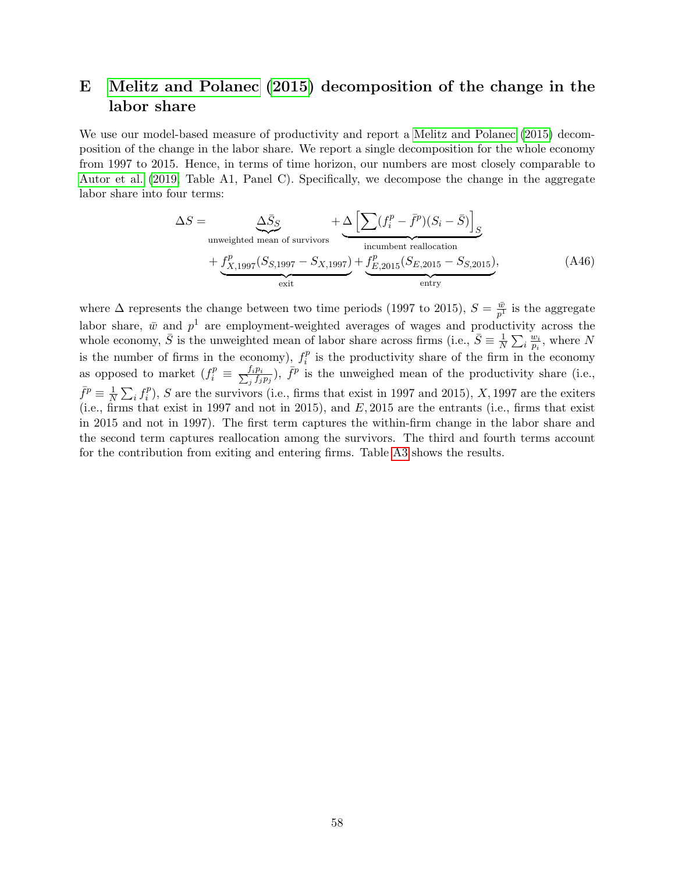# <span id="page-59-0"></span>E [Melitz and Polanec](#page-31-16) [\(2015\)](#page-31-16) decomposition of the change in the labor share

We use our model-based measure of productivity and report a [Melitz and Polanec](#page-31-16) [\(2015\)](#page-31-16) decomposition of the change in the labor share. We report a single decomposition for the whole economy from 1997 to 2015. Hence, in terms of time horizon, our numbers are most closely comparable to [Autor et al.](#page-30-10) [\(2019,](#page-30-10) Table A1, Panel C). Specifically, we decompose the change in the aggregate labor share into four terms:

<span id="page-59-1"></span>
$$
\Delta S = \underbrace{\Delta \bar{S}_S}_{\text{unweighted mean of survives}} + \underbrace{\Delta \left[ \sum (f_i^p - \bar{f}^p)(S_i - \bar{S}) \right]_S}_{\text{incumbent reallocation}} + \underbrace{f_{X,1997}^p(S_{5,1997} - S_{X,1997})}_{\text{exit}} + \underbrace{f_{E,2015}^p(S_{E,2015} - S_{S,2015})}_{\text{entry}},
$$
\n(A46)

where  $\Delta$  represents the change between two time periods (1997 to 2015),  $S = \frac{\bar{w}}{n^2}$  $\frac{\bar{w}}{p^1}$  is the aggregate labor share,  $\bar{w}$  and  $p^1$  are employment-weighted averages of wages and productivity across the whole economy,  $\bar{S}$  is the unweighted mean of labor share across firms (i.e.,  $\bar{S} \equiv \frac{1}{N}$  $\frac{1}{N}\sum_i \frac{w_i}{p_i}$  $\frac{w_i}{p_i}$ , where N is the number of firms in the economy),  $f_i^p$  $i<sup>p</sup>$  is the productivity share of the firm in the economy as opposed to market  $(f_i^p) \equiv \frac{f_i p_i}{\sum_i f_i}$  $\frac{f_i p_i}{f_j f_j p_j}$ ),  $\bar{f}^p$  is the unweighed mean of the productivity share (i.e.,  $\bar{f}^p \equiv \frac{1}{\Lambda}$  $\frac{1}{N} \sum_i f_i^p$  $i_j^p$ , S are the survivors (i.e., firms that exist in 1997 and 2015), X, 1997 are the exiters (i.e., firms that exist in 1997 and not in 2015), and  $E$ , 2015 are the entrants (i.e., firms that exist in 2015 and not in 1997). The first term captures the within-firm change in the labor share and the second term captures reallocation among the survivors. The third and fourth terms account for the contribution from exiting and entering firms. Table [A3](#page-62-0) shows the results.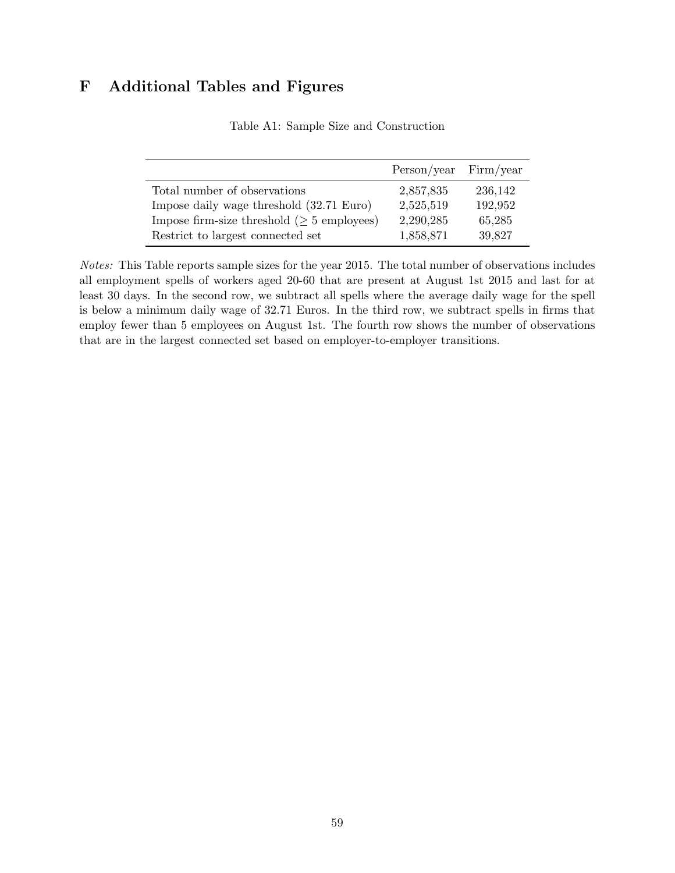# <span id="page-60-0"></span>F Additional Tables and Figures

|                                                  | $Person/year$ Firm/year |         |
|--------------------------------------------------|-------------------------|---------|
| Total number of observations                     | 2,857,835               | 236,142 |
| Impose daily wage threshold (32.71 Euro)         | 2,525,519               | 192,952 |
| Impose firm-size threshold ( $\geq$ 5 employees) | 2,290,285               | 65,285  |
| Restrict to largest connected set                | 1,858,871               | 39,827  |

Table A1: Sample Size and Construction

Notes: This Table reports sample sizes for the year 2015. The total number of observations includes all employment spells of workers aged 20-60 that are present at August 1st 2015 and last for at least 30 days. In the second row, we subtract all spells where the average daily wage for the spell is below a minimum daily wage of 32.71 Euros. In the third row, we subtract spells in firms that employ fewer than 5 employees on August 1st. The fourth row shows the number of observations that are in the largest connected set based on employer-to-employer transitions.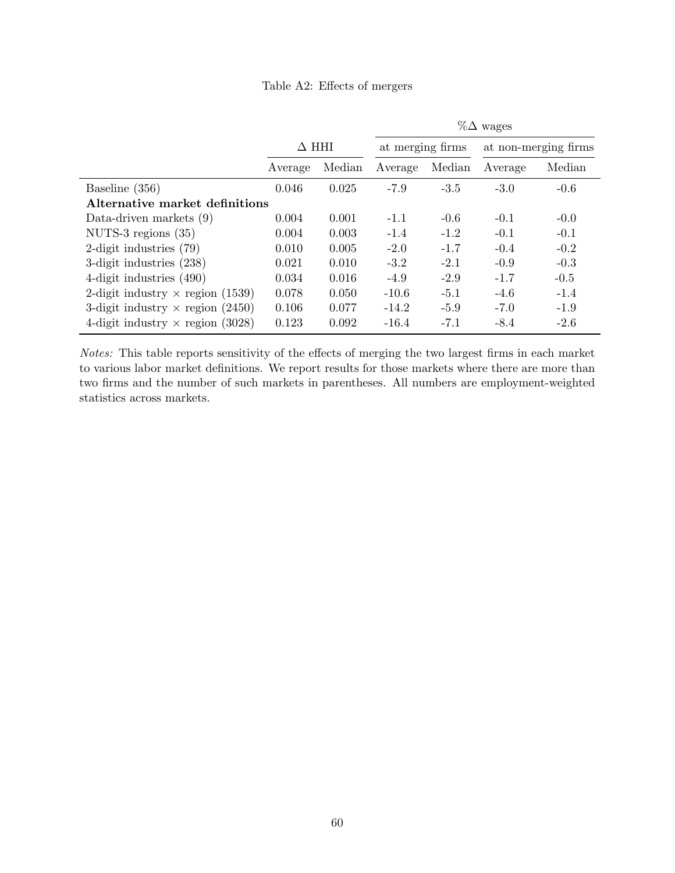<span id="page-61-0"></span>

|                                         |              |        | $\%\Delta$ wages |        |         |                      |
|-----------------------------------------|--------------|--------|------------------|--------|---------|----------------------|
|                                         | $\Delta$ HHI |        | at merging firms |        |         | at non-merging firms |
|                                         | Average      | Median | Average          | Median | Average | Median               |
| Baseline (356)                          | 0.046        | 0.025  | $-7.9$           | $-3.5$ | $-3.0$  | $-0.6$               |
| Alternative market definitions          |              |        |                  |        |         |                      |
| Data-driven markets $(9)$               | 0.004        | 0.001  | $-1.1$           | $-0.6$ | $-0.1$  | $-0.0$               |
| NUTS-3 regions $(35)$                   | 0.004        | 0.003  | $-1.4$           | $-1.2$ | $-0.1$  | $-0.1$               |
| 2-digit industries $(79)$               | 0.010        | 0.005  | $-2.0$           | $-1.7$ | $-0.4$  | $-0.2$               |
| 3-digit industries (238)                | 0.021        | 0.010  | $-3.2$           | $-2.1$ | $-0.9$  | $-0.3$               |
| 4-digit industries $(490)$              | 0.034        | 0.016  | $-4.9$           | $-2.9$ | $-1.7$  | $-0.5$               |
| 2-digit industry $\times$ region (1539) | 0.078        | 0.050  | $-10.6$          | $-5.1$ | $-4.6$  | $-1.4$               |
| 3-digit industry $\times$ region (2450) | 0.106        | 0.077  | $-14.2$          | $-5.9$ | $-7.0$  | $-1.9$               |
| 4-digit industry $\times$ region (3028) | 0.123        | 0.092  | $-16.4$          | $-7.1$ | $-8.4$  | $-2.6$               |

Notes: This table reports sensitivity of the effects of merging the two largest firms in each market to various labor market definitions. We report results for those markets where there are more than two firms and the number of such markets in parentheses. All numbers are employment-weighted statistics across markets.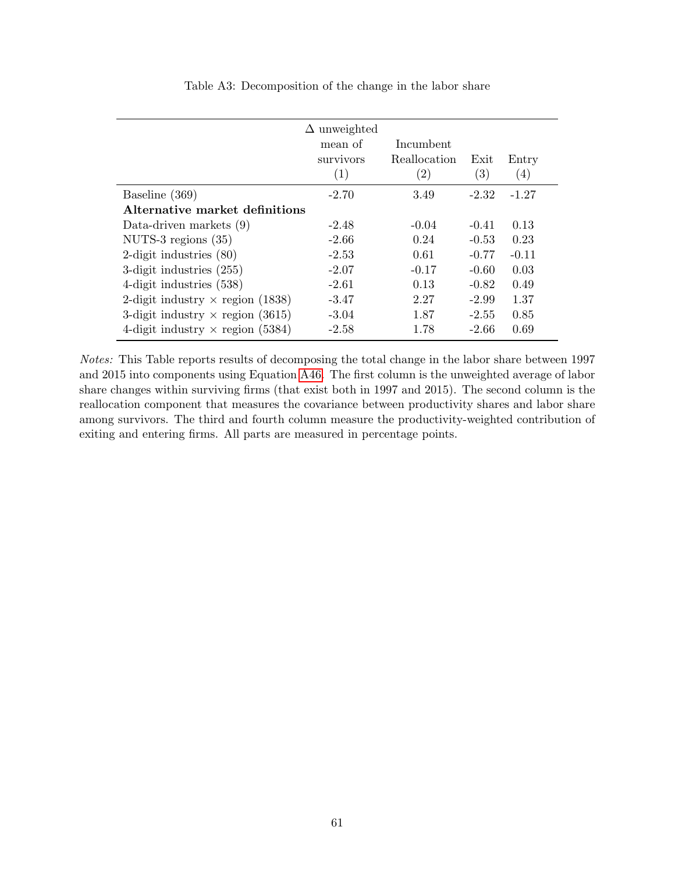<span id="page-62-0"></span>

|                                         | $\Delta$ unweighted<br>mean of<br>survivors<br>(1) | Incumbent<br>Reallocation<br>(2) | Exit<br>(3) | Entry<br>(4) |
|-----------------------------------------|----------------------------------------------------|----------------------------------|-------------|--------------|
| Baseline (369)                          | $-2.70$                                            | 3.49                             | $-2.32$     | $-1.27$      |
| Alternative market definitions          |                                                    |                                  |             |              |
| Data-driven markets $(9)$               | $-2.48$                                            | $-0.04$                          | $-0.41$     | 0.13         |
| NUTS-3 regions $(35)$                   | $-2.66$                                            | 0.24                             | $-0.53$     | 0.23         |
| 2-digit industries $(80)$               | $-2.53$                                            | 0.61                             | $-0.77$     | $-0.11$      |
| 3-digit industries $(255)$              | $-2.07$                                            | $-0.17$                          | $-0.60$     | 0.03         |
| 4-digit industries (538)                | $-2.61$                                            | 0.13                             | $-0.82$     | 0.49         |
| 2-digit industry $\times$ region (1838) | $-3.47$                                            | 2.27                             | $-2.99$     | 1.37         |
| 3-digit industry $\times$ region (3615) | $-3.04$                                            | 1.87                             | $-2.55$     | 0.85         |
| 4-digit industry $\times$ region (5384) | $-2.58$                                            | 1.78                             | $-2.66$     | 0.69         |

Table A3: Decomposition of the change in the labor share

Notes: This Table reports results of decomposing the total change in the labor share between 1997 and 2015 into components using Equation [A46.](#page-59-1) The first column is the unweighted average of labor share changes within surviving firms (that exist both in 1997 and 2015). The second column is the reallocation component that measures the covariance between productivity shares and labor share among survivors. The third and fourth column measure the productivity-weighted contribution of exiting and entering firms. All parts are measured in percentage points.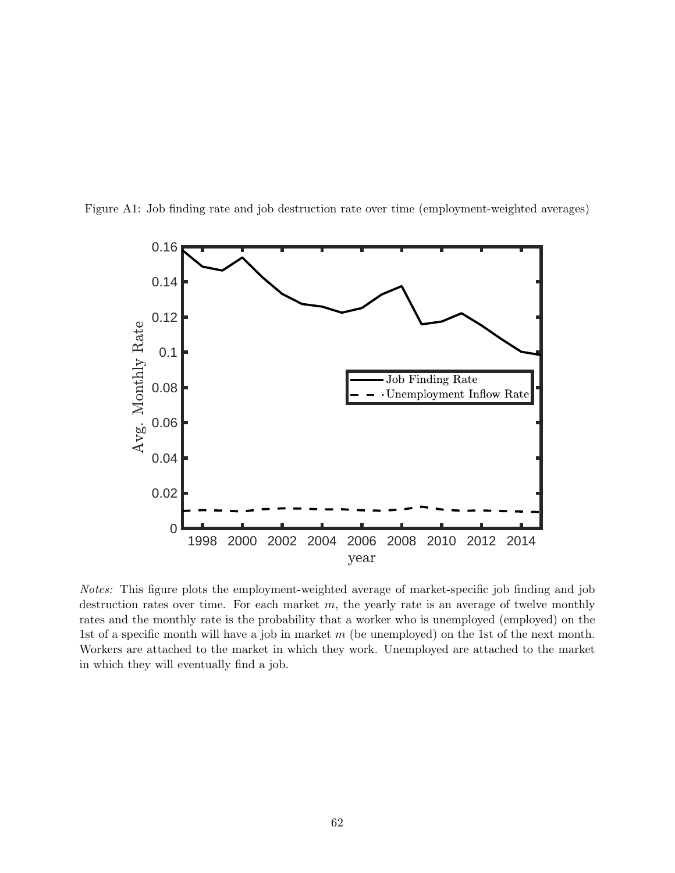<span id="page-63-0"></span>



Notes: This figure plots the employment-weighted average of market-specific job finding and job destruction rates over time. For each market  $m$ , the yearly rate is an average of twelve monthly rates and the monthly rate is the probability that a worker who is unemployed (employed) on the 1st of a specific month will have a job in market m (be unemployed) on the 1st of the next month. Workers are attached to the market in which they work. Unemployed are attached to the market in which they will eventually find a job.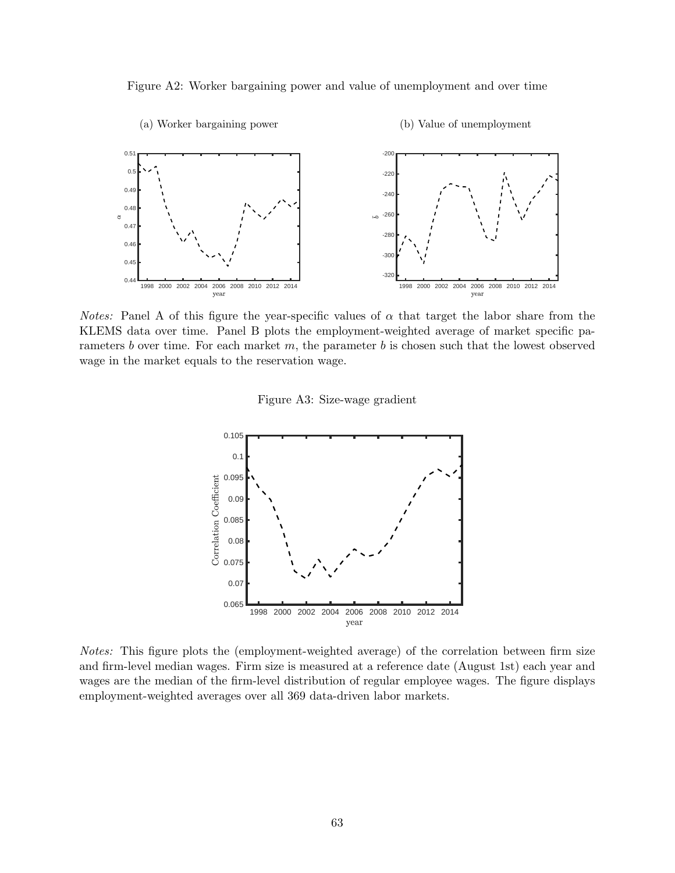



<span id="page-64-0"></span>*Notes:* Panel A of this figure the year-specific values of  $\alpha$  that target the labor share from the KLEMS data over time. Panel B plots the employment-weighted average of market specific parameters b over time. For each market  $m$ , the parameter b is chosen such that the lowest observed wage in the market equals to the reservation wage.

Figure A3: Size-wage gradient



Notes: This figure plots the (employment-weighted average) of the correlation between firm size and firm-level median wages. Firm size is measured at a reference date (August 1st) each year and wages are the median of the firm-level distribution of regular employee wages. The figure displays employment-weighted averages over all 369 data-driven labor markets.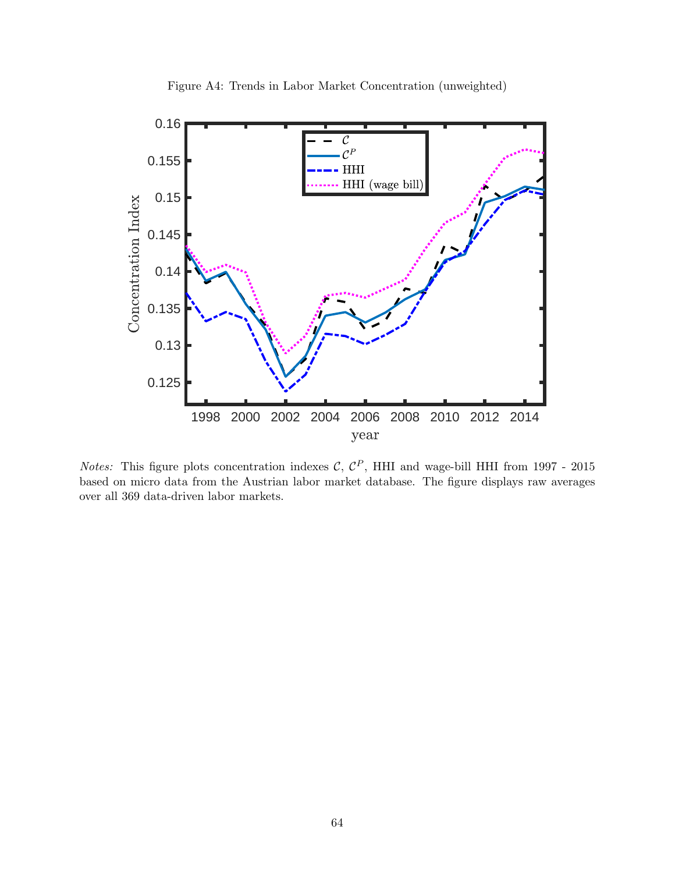<span id="page-65-0"></span>

Figure A4: Trends in Labor Market Concentration (unweighted)

*Notes:* This figure plots concentration indexes C,  $C^P$ , HHI and wage-bill HHI from 1997 - 2015 based on micro data from the Austrian labor market database. The figure displays raw averages over all 369 data-driven labor markets.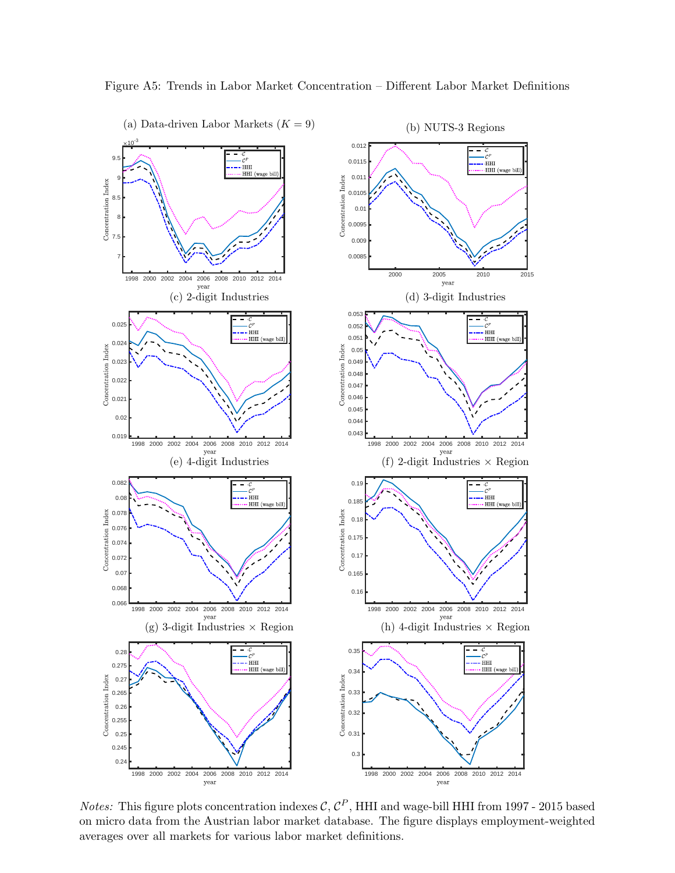

<span id="page-66-0"></span>Figure A5: Trends in Labor Market Concentration – Different Labor Market Definitions

*Notes:* This figure plots concentration indexes  $\mathcal{C}, \mathcal{C}^P$ , HHI and wage-bill HHI from 1997 - 2015 based on micro data from the Austrian labor market database. The figure displays employment-weighted averages over all markets for various labor market definitions.